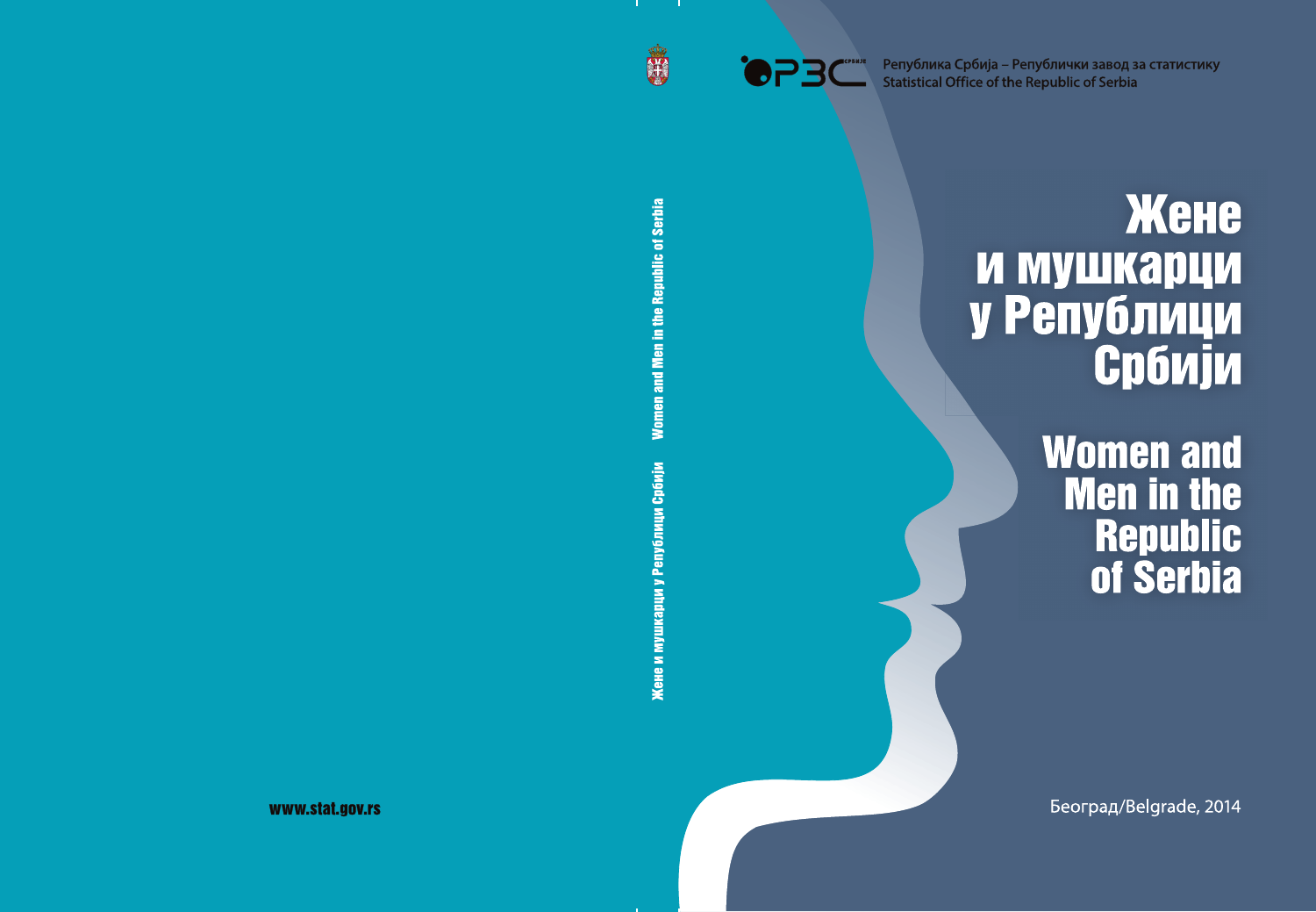

Република Србија - Републички завод за статистику **Statistical Office of the Republic of Serbia** 

# Жене **И МУШКАРЦИ** у Републици Србији

**Women and Men in the Republic** of Serbia

Београд/Belgrade, 2014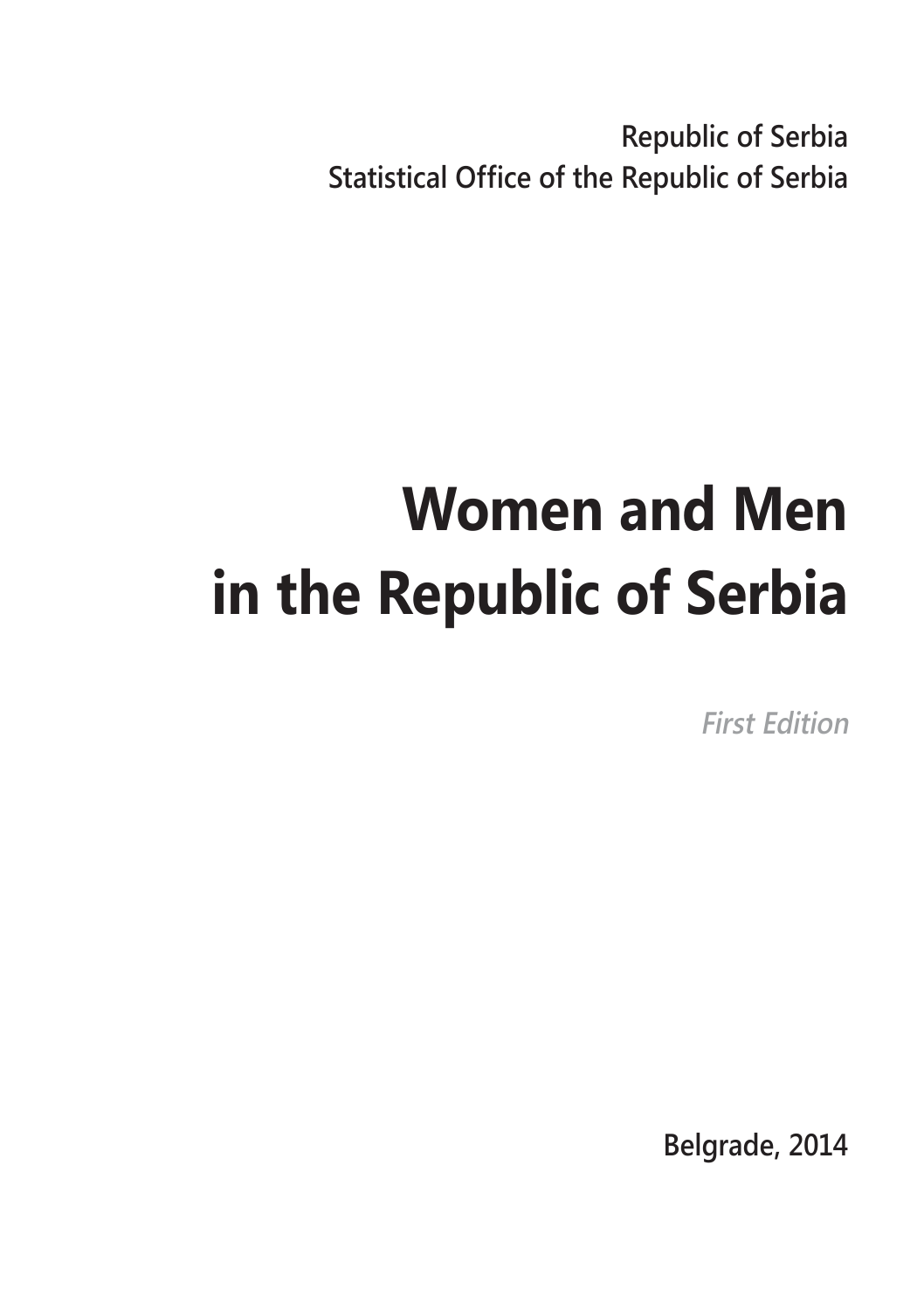**Republic of Serbia Statistical Office of the Republic of Serbia**

# **Women and Men in the Republic of Serbia**

**First Edition**

**Belgrade, 2014**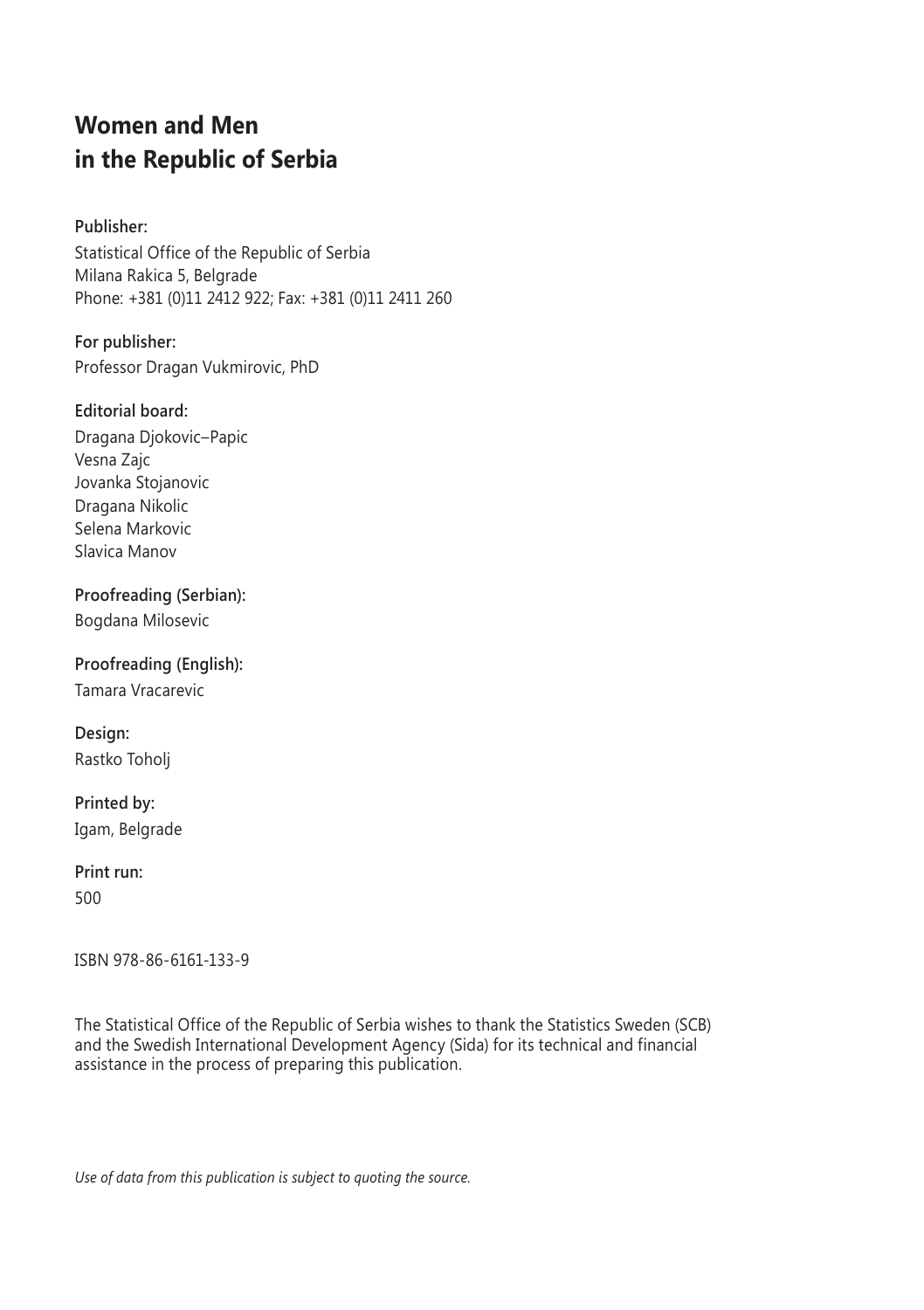## **Women and Men in the Republic of Serbia**

## **Publisher:**

Statistical Office of the Republic of Serbia Milana Rakica 5, Belgrade Phone: +381 (0)11 2412 922; Fax: +381 (0)11 2411 260

**For publisher:** Professor Dragan Vukmirovic, PhD

### **Editorial board:**

Dragana Djokovic–Papic Vesna Zajc Jovanka Stojanovic Dragana Nikolic Selena Markovic Slavica Manov

**Proofreading (Serbian):** Bogdana Milosevic

**Proofreading (English):** Tamara Vracarevic

**Design:** Rastko Toholj

**Printed by:** Igam, Belgrade

## **Print run:**

500

ISBN 978-86-6161-133-9

The Statistical Office of the Republic of Serbia wishes to thank the Statistics Sweden (SCB) and the Swedish International Development Agency (Sida) for its technical and financial assistance in the process of preparing this publication.

*Use of data from this publication is subject to quoting the source.*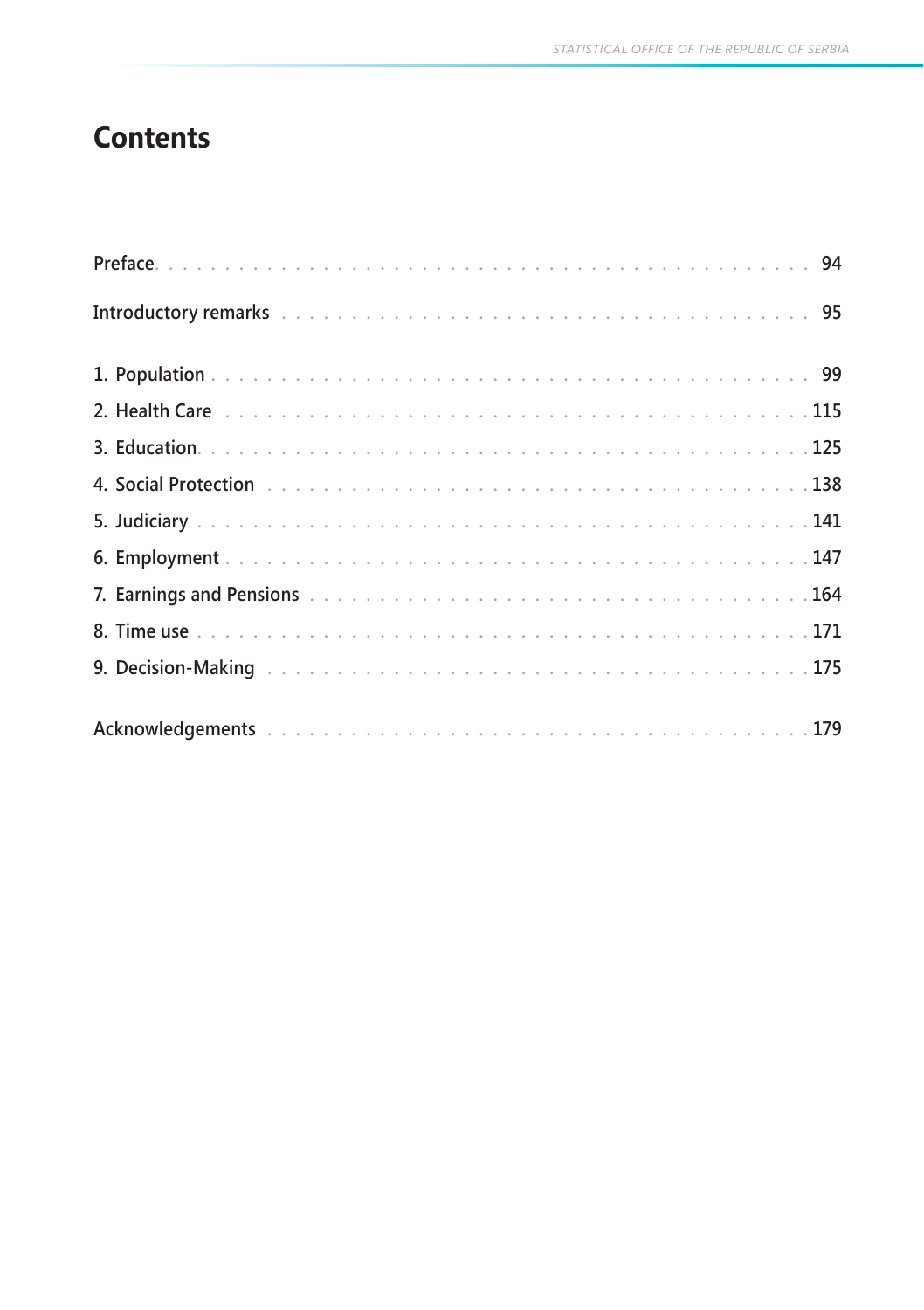# **Contents**

| Introductory remarks to access the contract of the contract of the contract of the contract of the contract of the contract of the contract of the contract of the contract of the contract of the contract of the contract of |  |  |  |  |  |  |  |  |  |  |  |  |  |  |  |  |  |
|--------------------------------------------------------------------------------------------------------------------------------------------------------------------------------------------------------------------------------|--|--|--|--|--|--|--|--|--|--|--|--|--|--|--|--|--|
|                                                                                                                                                                                                                                |  |  |  |  |  |  |  |  |  |  |  |  |  |  |  |  |  |
| 2. Health Care <b>by Letting Careforce 2. Health Carefor</b> Advisory Resource 2. Letting 2. Health Care                                                                                                                       |  |  |  |  |  |  |  |  |  |  |  |  |  |  |  |  |  |
|                                                                                                                                                                                                                                |  |  |  |  |  |  |  |  |  |  |  |  |  |  |  |  |  |
|                                                                                                                                                                                                                                |  |  |  |  |  |  |  |  |  |  |  |  |  |  |  |  |  |
|                                                                                                                                                                                                                                |  |  |  |  |  |  |  |  |  |  |  |  |  |  |  |  |  |
|                                                                                                                                                                                                                                |  |  |  |  |  |  |  |  |  |  |  |  |  |  |  |  |  |
|                                                                                                                                                                                                                                |  |  |  |  |  |  |  |  |  |  |  |  |  |  |  |  |  |
|                                                                                                                                                                                                                                |  |  |  |  |  |  |  |  |  |  |  |  |  |  |  |  |  |
|                                                                                                                                                                                                                                |  |  |  |  |  |  |  |  |  |  |  |  |  |  |  |  |  |
|                                                                                                                                                                                                                                |  |  |  |  |  |  |  |  |  |  |  |  |  |  |  |  |  |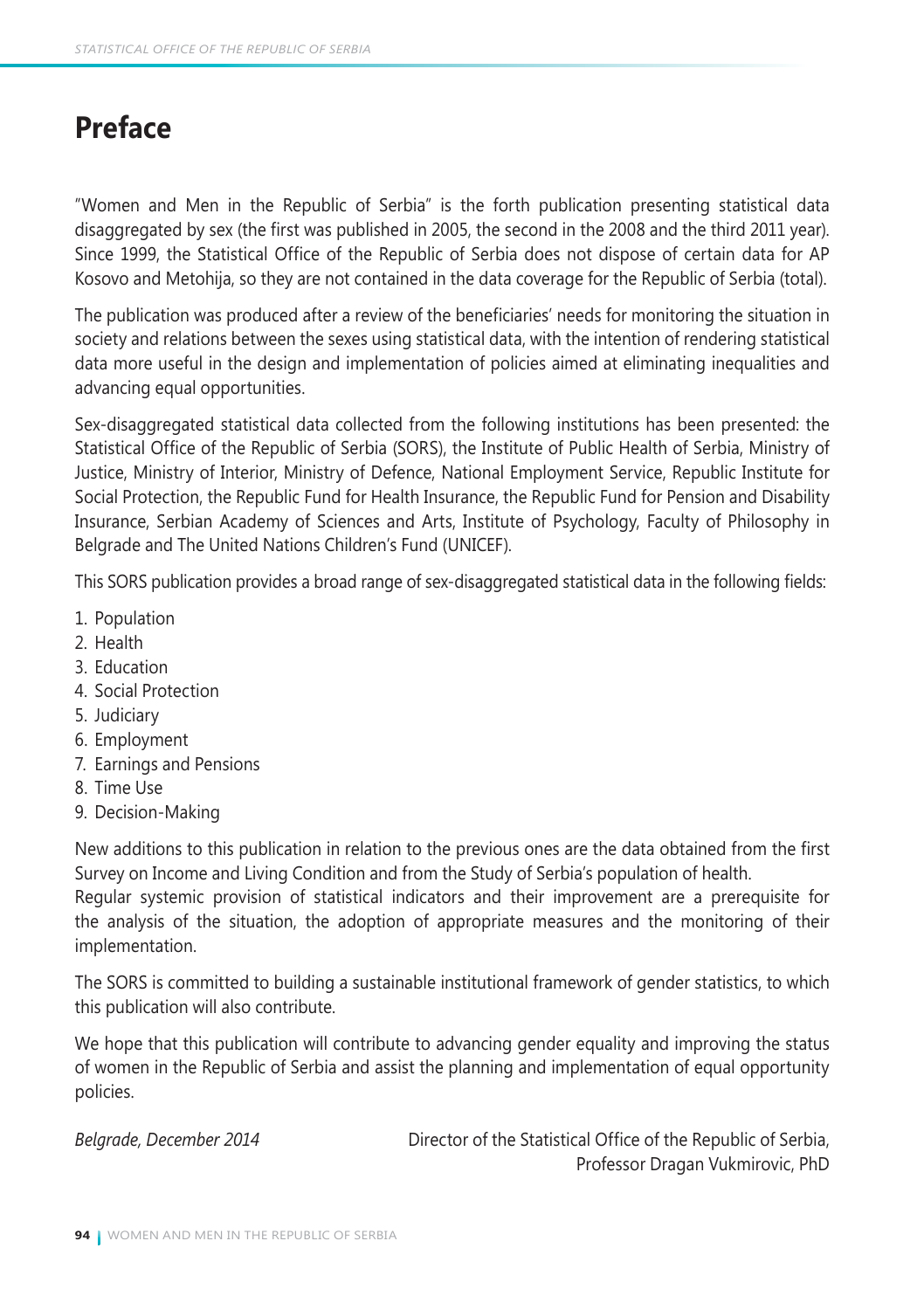# **Preface**

"Women and Men in the Republic of Serbia" is the forth publication presenting statistical data disaggregated by sex (the first was published in 2005, the second in the 2008 and the third 2011 year). Since 1999, the Statistical Office of the Republic of Serbia does not dispose of certain data for AP Kosovo and Metohija, so they are not contained in the data coverage for the Republic of Serbia (total).

The publication was produced after a review of the beneficiaries' needs for monitoring the situation in society and relations between the sexes using statistical data, with the intention of rendering statistical data more useful in the design and implementation of policies aimed at eliminating inequalities and advancing equal opportunities.

Sex-disaggregated statistical data collected from the following institutions has been presented: the Statistical Office of the Republic of Serbia (SORS), the Institute of Public Health of Serbia, Ministry of Justice, Ministry of Interior, Ministry of Defence, National Employment Service, Republic Institute for Social Protection, the Republic Fund for Health Insurance, the Republic Fund for Pension and Disability Insurance, Serbian Academy of Sciences and Arts, Institute of Psychology, Faculty of Philosophy in Belgrade and The United Nations Children's Fund (UNICEF).

This SORS publication provides a broad range of sex-disaggregated statistical data in the following fields:

- 1. Population
- 2. Health
- 3. Education
- 4. Social Protection
- 5. Judiciary
- 6. Employment
- 7. Earnings and Pensions
- 8. Time Use
- 9.Decision-Making

New additions to this publication in relation to the previous ones are the data obtained from the first Survey on Income and Living Condition and from the Study of Serbia's population of health.

Regular systemic provision of statistical indicators and their improvement are a prerequisite for the analysis of the situation, the adoption of appropriate measures and the monitoring of their implementation.

The SORS is committed to building a sustainable institutional framework of gender statistics, to which this publication will also contribute.

We hope that this publication will contribute to advancing gender equality and improving the status of women in the Republic of Serbia and assist the planning and implementation of equal opportunity policies.

*Belgrade, December 2014* Director of the Statistical Office of the Republic of Serbia, Professor Dragan Vukmirovic, PhD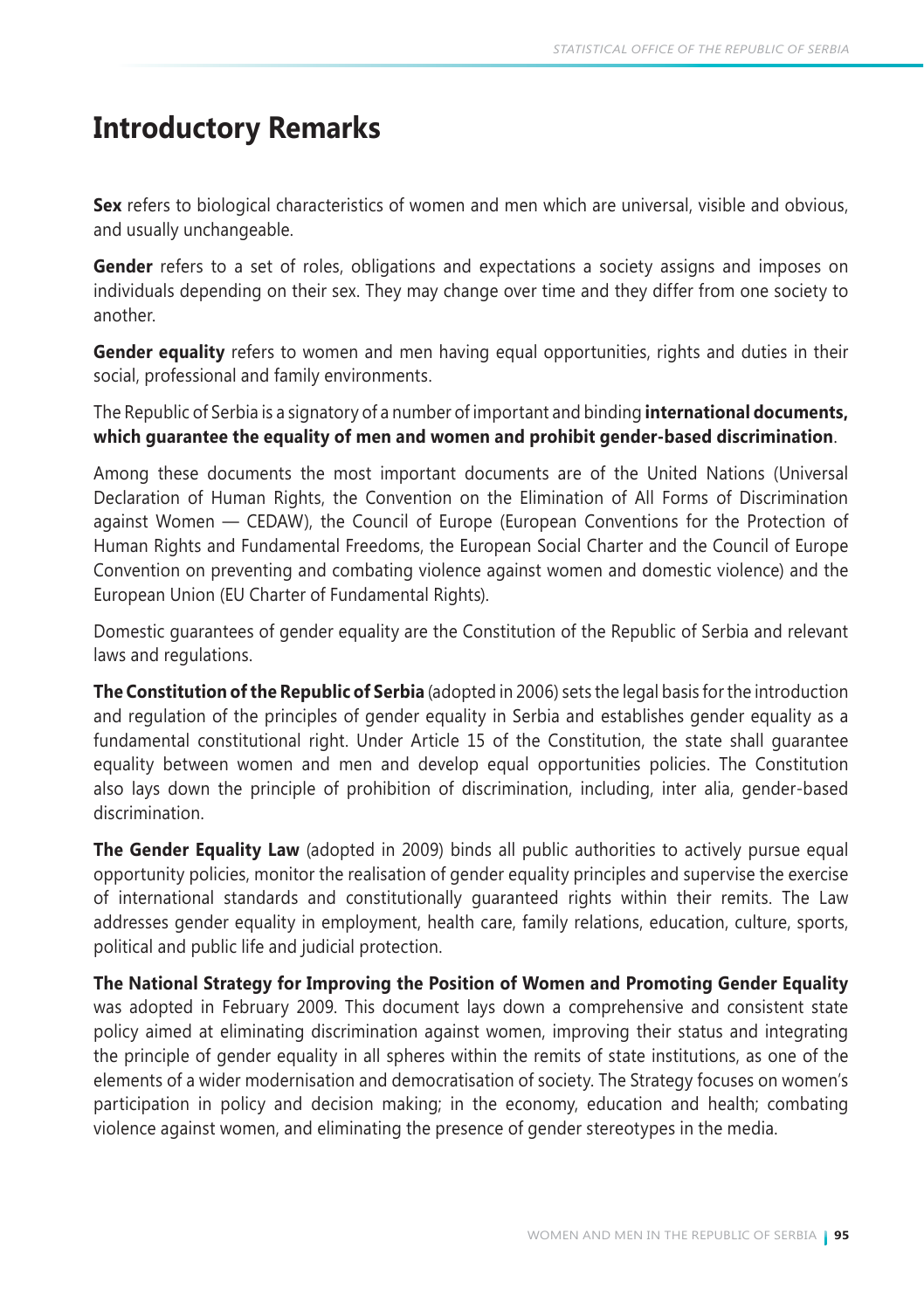## **Introductory Remarks**

**Sex** refers to biological characteristics of women and men which are universal, visible and obvious, and usually unchangeable.

**Gender** refers to a set of roles, obligations and expectations a society assigns and imposes on individuals depending on their sex. They may change over time and they differ from one society to another.

**Gender equality** refers to women and men having equal opportunities, rights and duties in their social, professional and family environments.

The Republic of Serbia is a signatory of a number of important and binding **international documents, which guarantee the equality of men and women and prohibit gender-based discrimination**.

Among these documents the most important documents are of the United Nations (Universal Declaration of Human Rights, the Convention on the Elimination of All Forms of Discrimination against Women — CEDAW), the Council of Europe (European Conventions for the Protection of Human Rights and Fundamental Freedoms, the European Social Charter and the Council of Europe Convention on preventing and combating violence against women and domestic violence) and the European Union (EU Charter of Fundamental Rights).

Domestic guarantees of gender equality are the Constitution of the Republic of Serbia and relevant laws and regulations.

**The Constitution of the Republic of Serbia** (adopted in 2006) sets the legal basis for the introduction and regulation of the principles of gender equality in Serbia and establishes gender equality as a fundamental constitutional right. Under Article 15 of the Constitution, the state shall guarantee equality between women and men and develop equal opportunities policies. The Constitution also lays down the principle of prohibition of discrimination, including, inter alia, gender-based discrimination.

**The Gender Equality Law** (adopted in 2009) binds all public authorities to actively pursue equal opportunity policies, monitor the realisation of gender equality principles and supervise the exercise of international standards and constitutionally guaranteed rights within their remits. The Law addresses gender equality in employment, health care, family relations, education, culture, sports, political and public life and judicial protection.

**The National Strategy for Improving the Position of Women and Promoting Gender Equality** was adopted in February 2009. This document lays down a comprehensive and consistent state policy aimed at eliminating discrimination against women, improving their status and integrating the principle of gender equality in all spheres within the remits of state institutions, as one of the elements of a wider modernisation and democratisation of society. The Strategy focuses on women's participation in policy and decision making; in the economy, education and health; combating violence against women, and eliminating the presence of gender stereotypes in the media.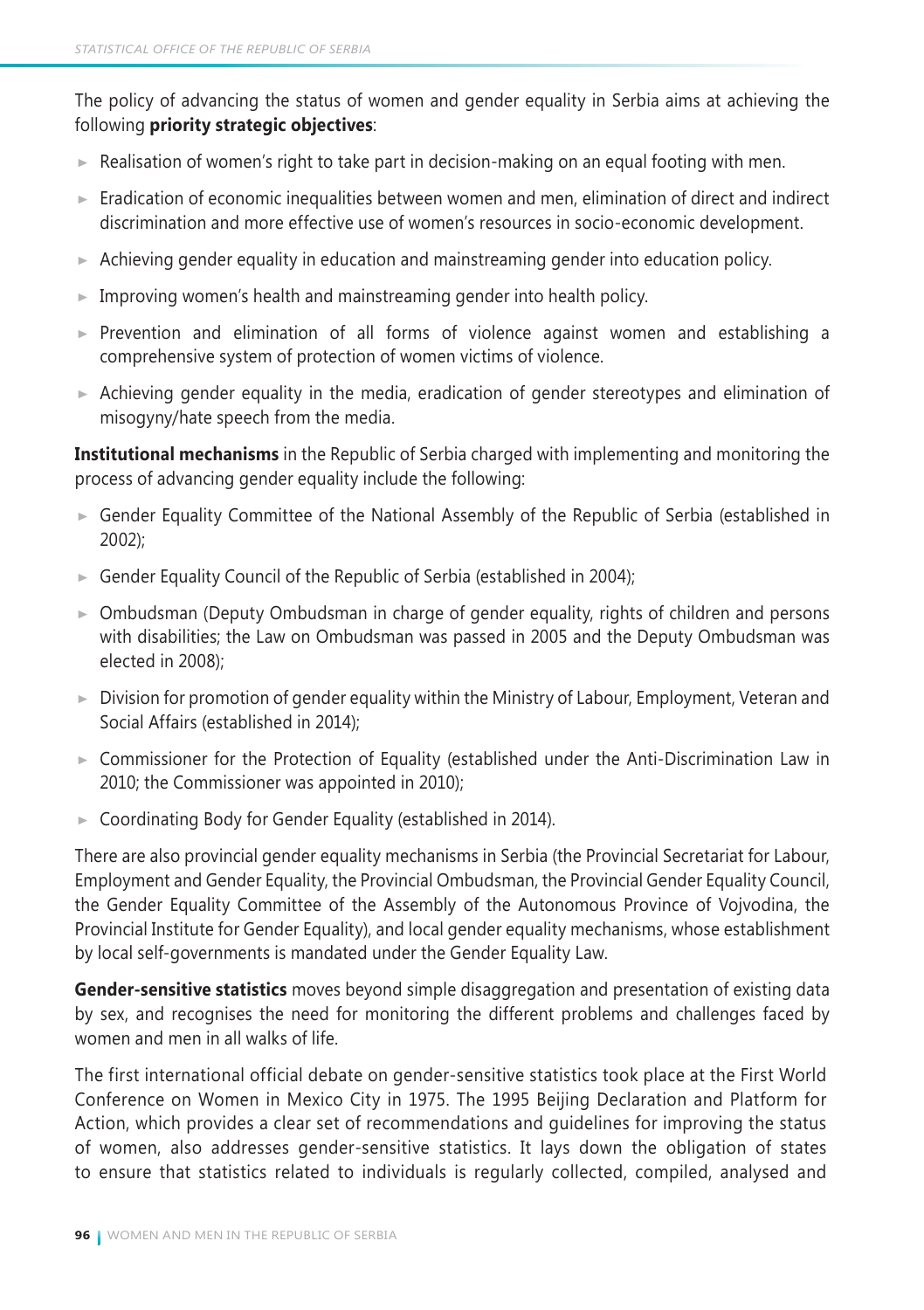The policy of advancing the status of women and gender equality in Serbia aims at achieving the following **priority strategic objectives**:

- $\blacktriangleright$  Realisation of women's right to take part in decision-making on an equal footing with men.
- $\blacktriangleright$  Eradication of economic inequalities between women and men, elimination of direct and indirect discrimination and more effective use of women's resources in socio-economic development.
- $\triangleright$  Achieving gender equality in education and mainstreaming gender into education policy.
- $\blacktriangleright$  Improving women's health and mainstreaming gender into health policy.
- $\triangleright$  Prevention and elimination of all forms of violence against women and establishing a comprehensive system of protection of women victims of violence.
- $\triangleright$  Achieving gender equality in the media, eradication of gender stereotypes and elimination of misogyny/hate speech from the media.

**Institutional mechanisms** in the Republic of Serbia charged with implementing and monitoring the process of advancing gender equality include the following:

- Gender Equality Committee of the National Assembly of the Republic of Serbia (established in 2002);
- Gender Equality Council of the Republic of Serbia (established in 2004);
- Ombudsman (Deputy Ombudsman in charge of gender equality, rights of children and persons with disabilities; the Law on Ombudsman was passed in 2005 and the Deputy Ombudsman was elected in 2008);
- $\triangleright$  Division for promotion of gender equality within the Ministry of Labour, Employment, Veteran and Social Affairs (established in 2014);
- Commissioner for the Protection of Equality (established under the Anti-Discrimination Law in 2010; the Commissioner was appointed in 2010);
- ► Coordinating Body for Gender Equality (established in 2014).

There are also provincial gender equality mechanisms in Serbia (the Provincial Secretariat for Labour, Employment and Gender Equality, the Provincial Ombudsman, the Provincial Gender Equality Council, the Gender Equality Committee of the Assembly of the Autonomous Province of Vojvodina, the Provincial Institute for Gender Equality), and local gender equality mechanisms, whose establishment by local self-governments is mandated under the Gender Equality Law.

**Gender-sensitive statistics** moves beyond simple disaggregation and presentation of existing data by sex, and recognises the need for monitoring the different problems and challenges faced by women and men in all walks of life.

The first international official debate on gender-sensitive statistics took place at the First World Conference on Women in Mexico City in 1975. The 1995 Beijing Declaration and Platform for Action, which provides a clear set of recommendations and guidelines for improving the status of women, also addresses gender-sensitive statistics. It lays down the obligation of states to ensure that statistics related to individuals is regularly collected, compiled, analysed and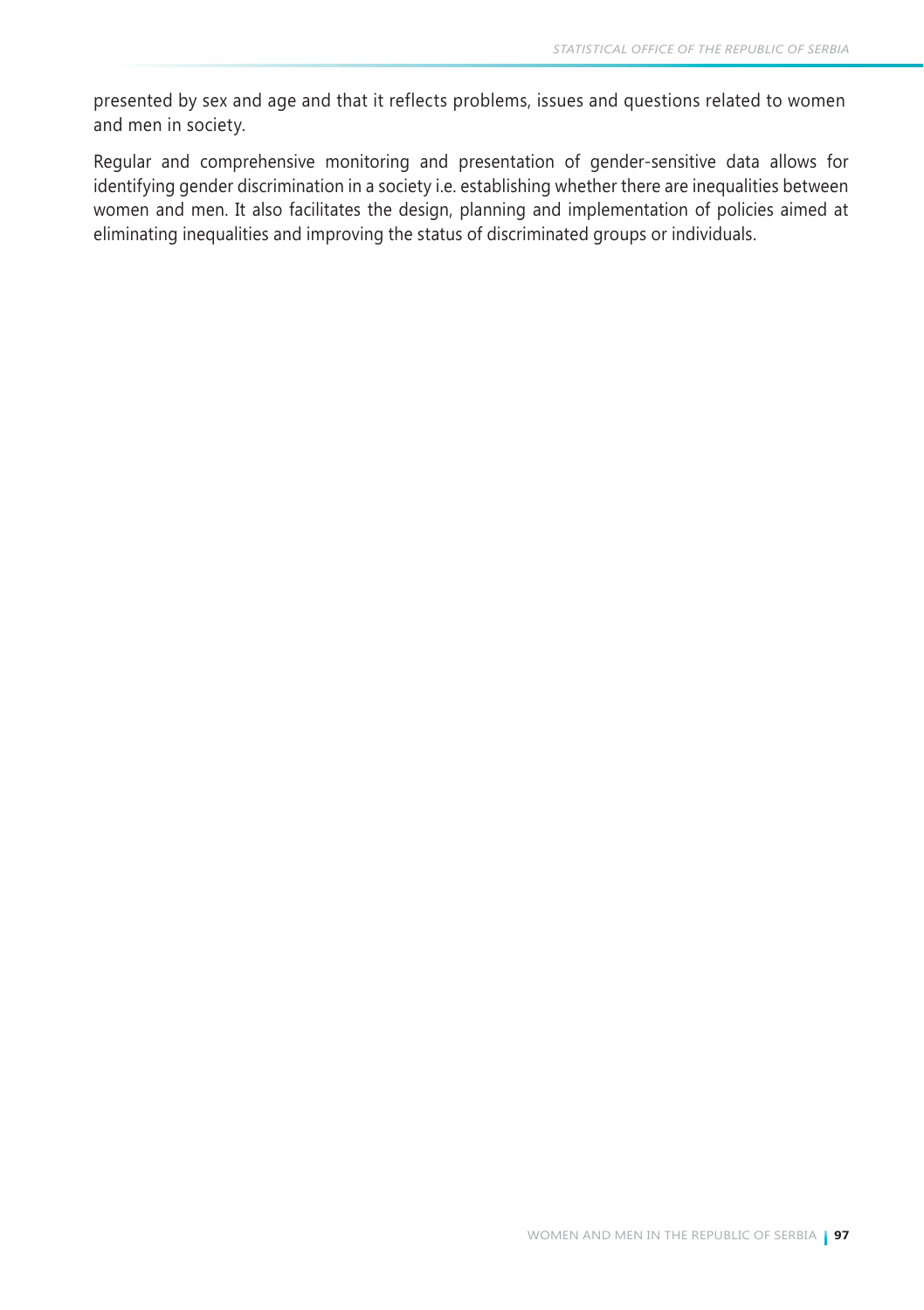presented by sex and age and that it reflects problems, issues and questions related to women and men in society.

Regular and comprehensive monitoring and presentation of gender-sensitive data allows for identifying gender discrimination in a society i.e. establishing whether there are inequalities between women and men. It also facilitates the design, planning and implementation of policies aimed at eliminating inequalities and improving the status of discriminated groups or individuals.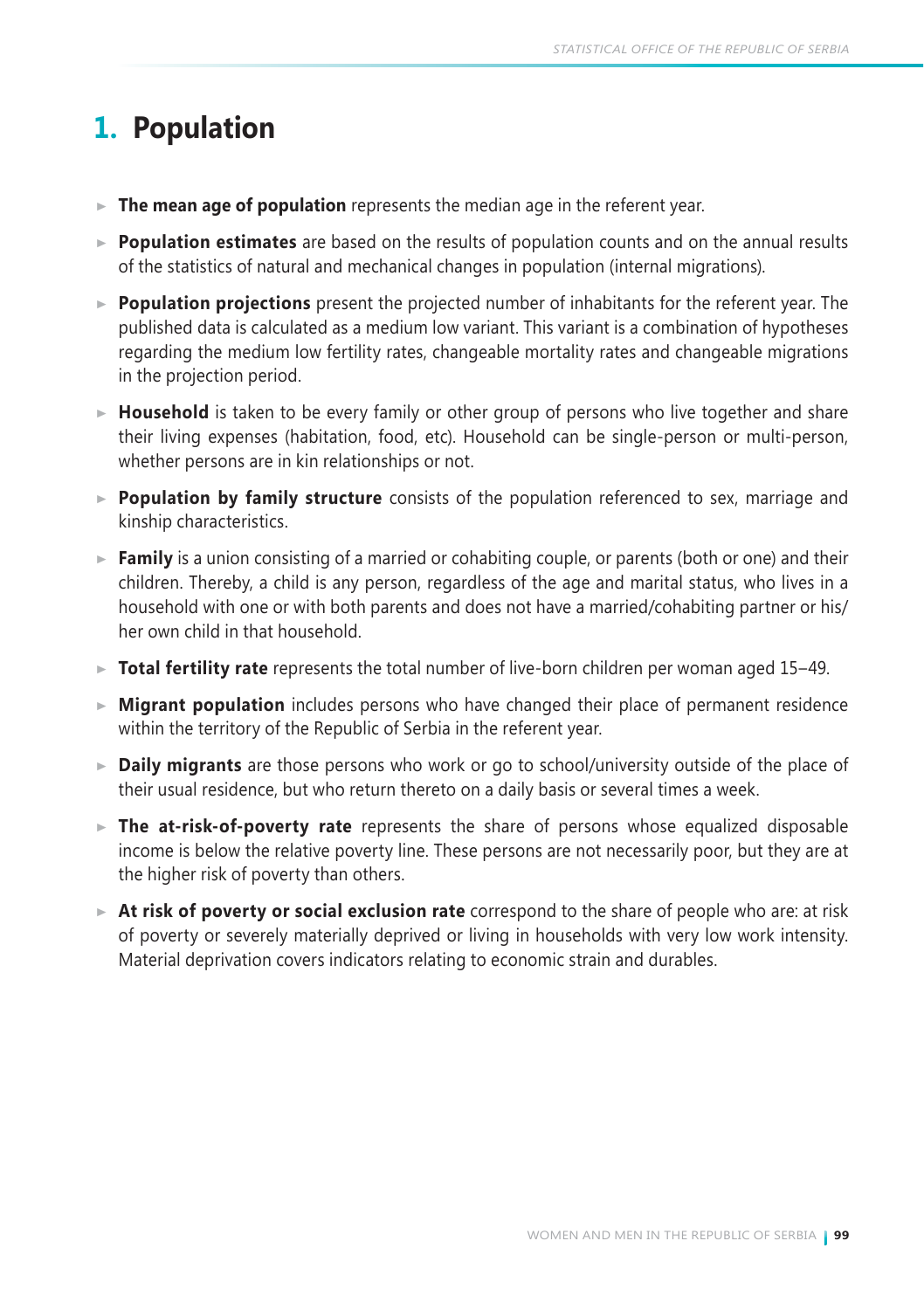# **1. Population**

- **The mean age of population** represents the median age in the referent year.
- **Population estimates** are based on the results of population counts and on the annual results of the statistics of natural and mechanical changes in population (internal migrations).
- **Population projections** present the projected number of inhabitants for the referent year. The published data is calculated as a medium low variant. This variant is a combination of hypotheses regarding the medium low fertility rates, changeable mortality rates and changeable migrations in the projection period.
- ► **Household** is taken to be every family or other group of persons who live together and share their living expenses (habitation, food, etc). Household can be single-person or multi-person, whether persons are in kin relationships or not.
- **Population by family structure** consists of the population referenced to sex, marriage and kinship characteristics.
- ► **Family** is a union consisting of a married or cohabiting couple, or parents (both or one) and their children. Thereby, a child is any person, regardless of the age and marital status, who lives in a household with one or with both parents and does not have a married/cohabiting partner or his/ her own child in that household.
- ► Total fertility rate represents the total number of live-born children per woman aged 15-49.
- **Migrant population** includes persons who have changed their place of permanent residence within the territory of the Republic of Serbia in the referent year.
- **Daily migrants** are those persons who work or go to school/university outside of the place of their usual residence, but who return thereto on a daily basis or several times a week.
- **The at-risk-of-poverty rate** represents the share of persons whose equalized disposable income is below the relative poverty line. These persons are not necessarily poor, but they are at the higher risk of poverty than others.
- **At risk of poverty or social exclusion rate** correspond to the share of people who are: at risk of poverty or severely materially deprived or living in households with very low work intensity. Material deprivation covers indicators relating to economic strain and durables.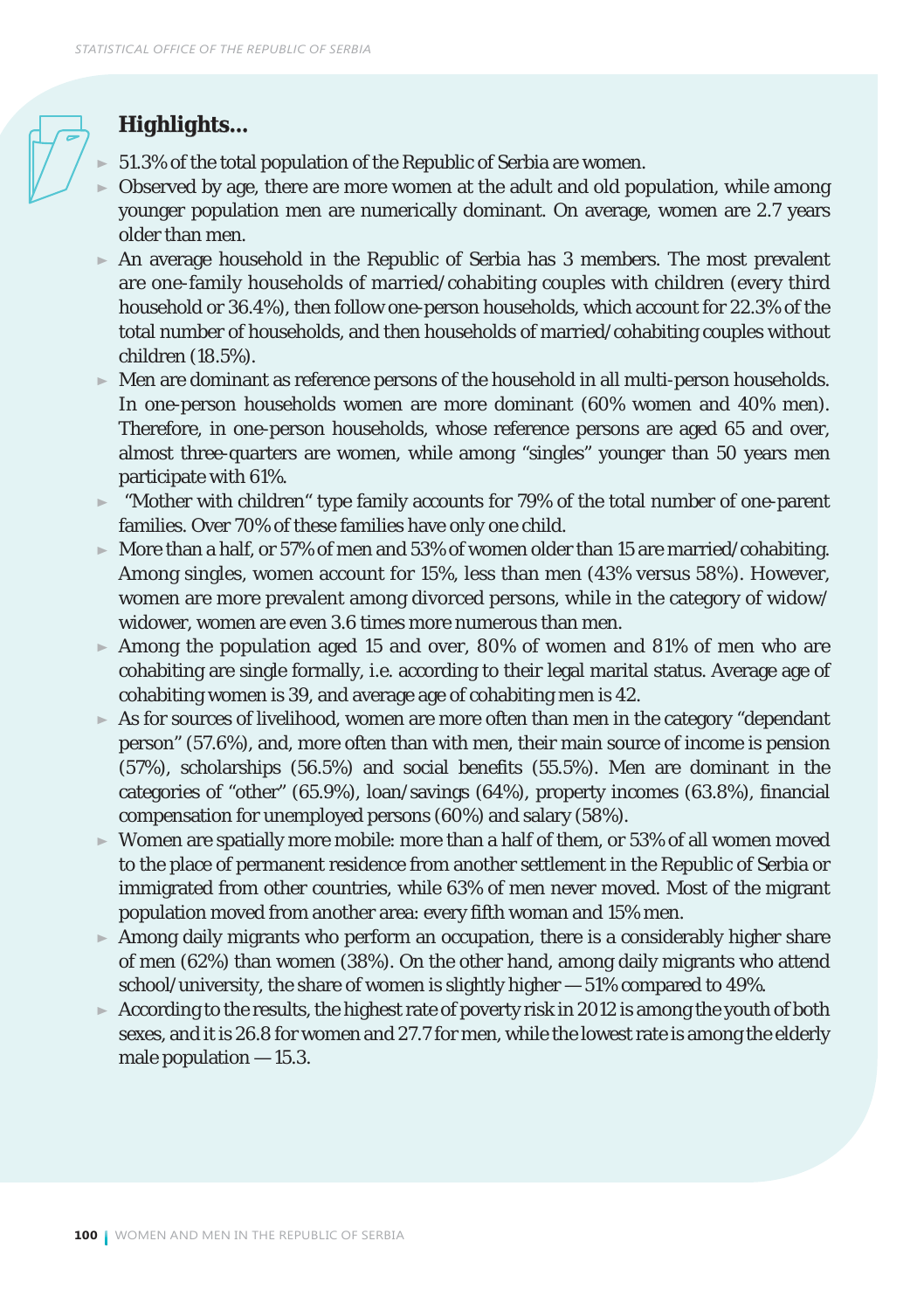## *Highlights...*

- 51.3% of the total population of the Republic of Serbia are women.
- Observed by age, there are more women at the adult and old population, while among younger population men are numerically dominant. On average, women are 2.7 years older than men.
- $\triangleright$  An average household in the Republic of Serbia has 3 members. The most prevalent are one-family households of married/cohabiting couples with children (every third household or 36.4%), then follow one-person households, which account for 22.3% of the total number of households, and then households of married/cohabiting couples without children (18.5%).
- Men are dominant as reference persons of the household in all multi-person households. In one-person households women are more dominant (60% women and 40% men). Therefore, in one-person households, whose reference persons are aged 65 and over, almost three-quarters are women, while among "singles" younger than 50 years men participate with 61%.
- $\blacktriangleright$  "Mother with children" type family accounts for 79% of the total number of one-parent families. Over 70% of these families have only one child.
- $\triangleright$  More than a half, or 57% of men and 53% of women older than 15 are married/cohabiting. Among singles, women account for 15%, less than men (43% versus 58%). However, women are more prevalent among divorced persons, while in the category of widow/ widower, women are even 3.6 times more numerous than men.
- Among the population aged 15 and over, 80% of women and 81% of men who are cohabiting are single formally, i.e. according to their legal marital status. Average age of cohabiting women is 39, and average age of cohabiting men is 42.
- $\triangleright$  As for sources of livelihood, women are more often than men in the category "dependant" person" (57.6%), and, more often than with men, their main source of income is pension (57%), scholarships (56.5%) and social benefits (55.5%). Men are dominant in the categories of "other" (65.9%), loan/savings (64%), property incomes (63.8%), financial compensation for unemployed persons (60%) and salary (58%).
- Women are spatially more mobile: more than a half of them, or 53% of all women moved to the place of permanent residence from another settlement in the Republic of Serbia or immigrated from other countries, while 63% of men never moved. Most of the migrant population moved from another area: every fifth woman and 15% men.
- $\blacktriangleright$  Among daily migrants who perform an occupation, there is a considerably higher share of men (62%) than women (38%). On the other hand, among daily migrants who attend school/university, the share of women is slightly higher — 51% compared to 49%.
- $\triangleright$  According to the results, the highest rate of poverty risk in 2012 is among the youth of both sexes, and it is 26.8 for women and 27.7 for men, while the lowest rate is among the elderly male population — 15.3.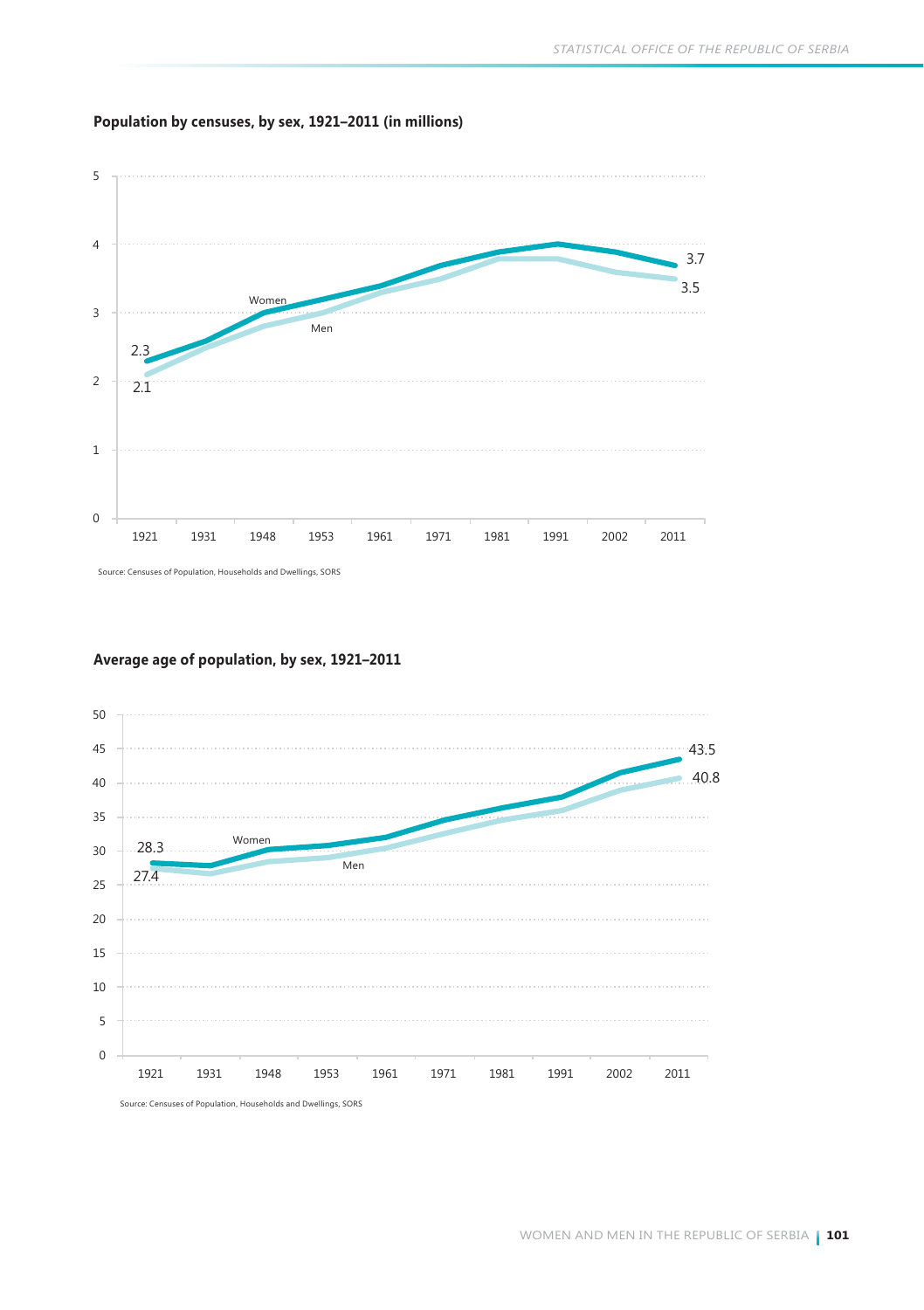#### **Population by censuses, by sex, 1921–2011 (in millions)**



Source: Censuses of Population, Households and Dwellings, SORS

#### **Average age of population, by sex, 1921–2011**

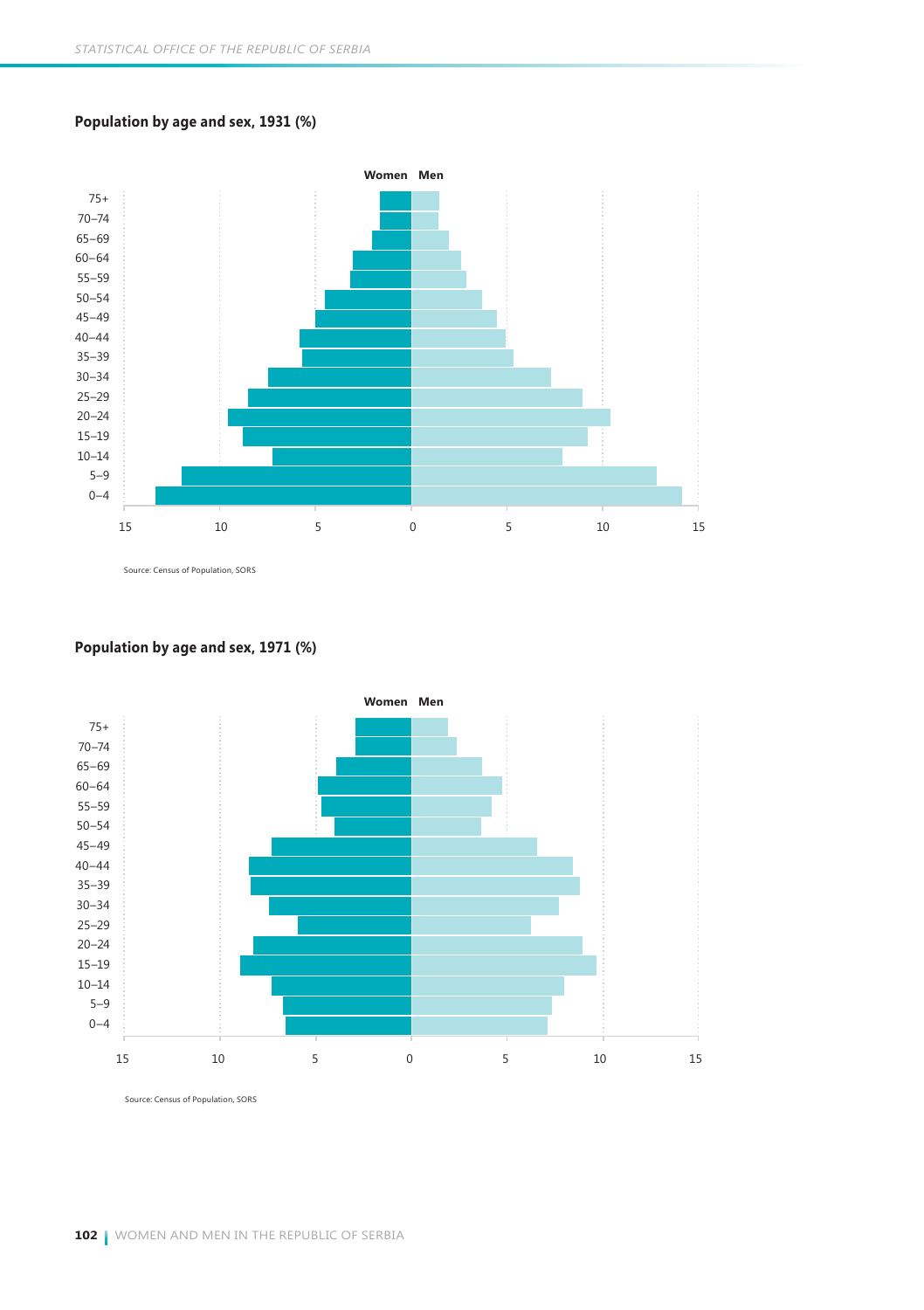#### **Population by age and sex, 1931 (%)**



Source: Census of Population, SORS

#### **Population by age and sex, 1971 (%)**



Source: Census of Population, SORS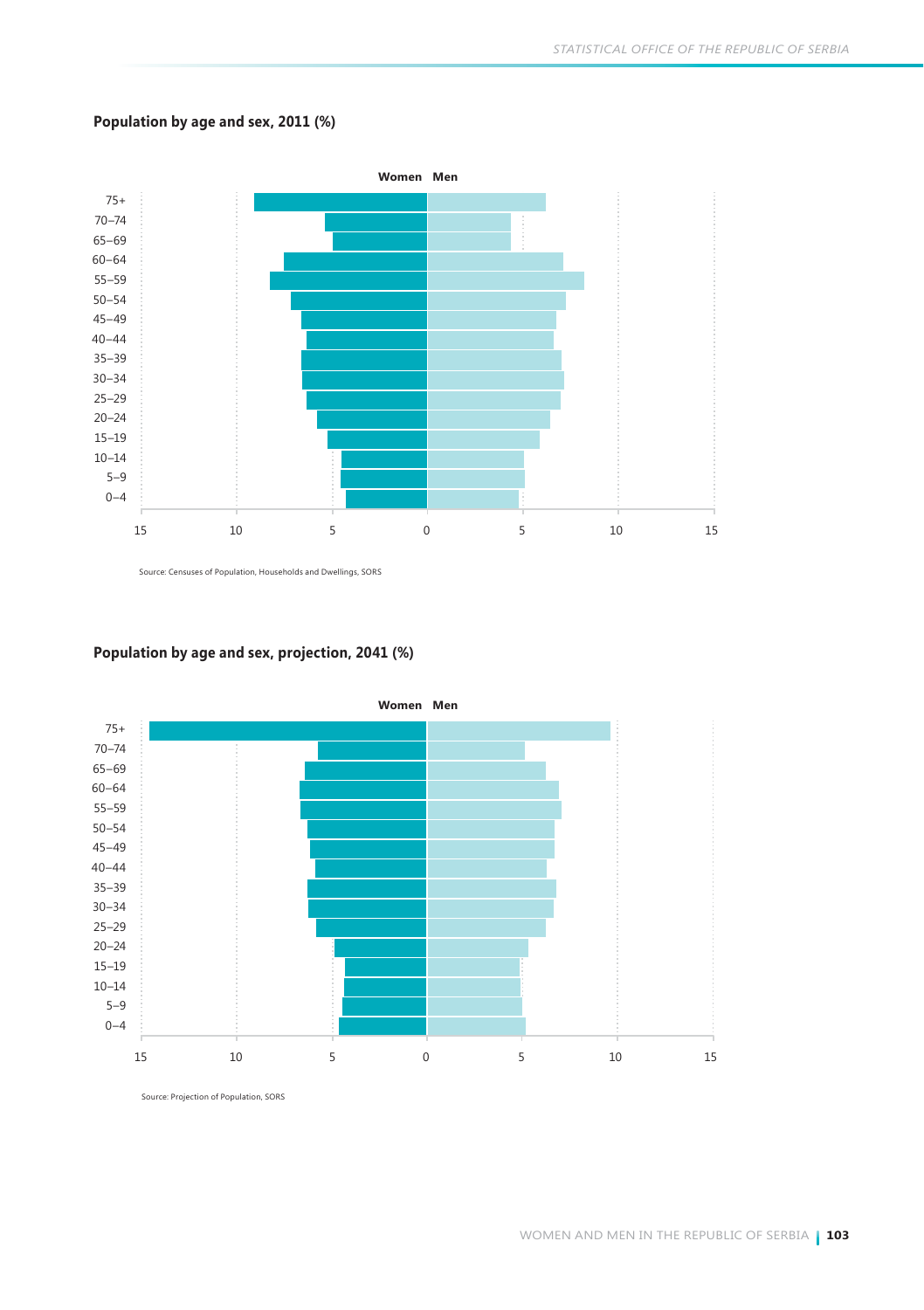#### **Population by age and sex, 2011 (%)**



Source: Censuses of Population, Households and Dwellings, SORS

#### **Population by age and sex, projection, 2041 (%)**



Source: Projection of Population, SORS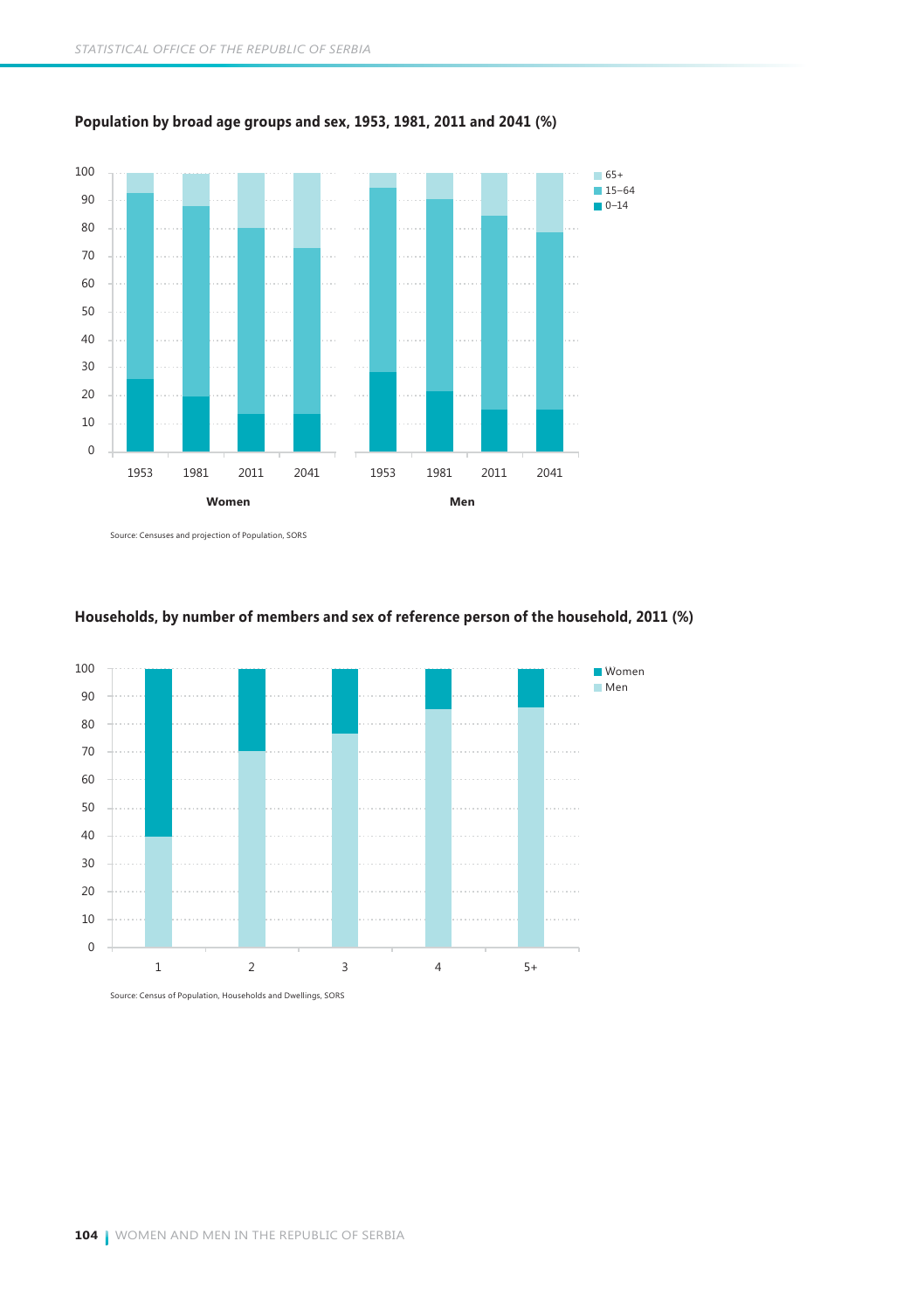

#### **Population by broad age groups and sex, 1953, 1981, 2011 and 2041 (%)**

Source: Censuses and projection of Population, SORS



#### **Households, by number of members and sex of reference person of the household, 2011 (%)**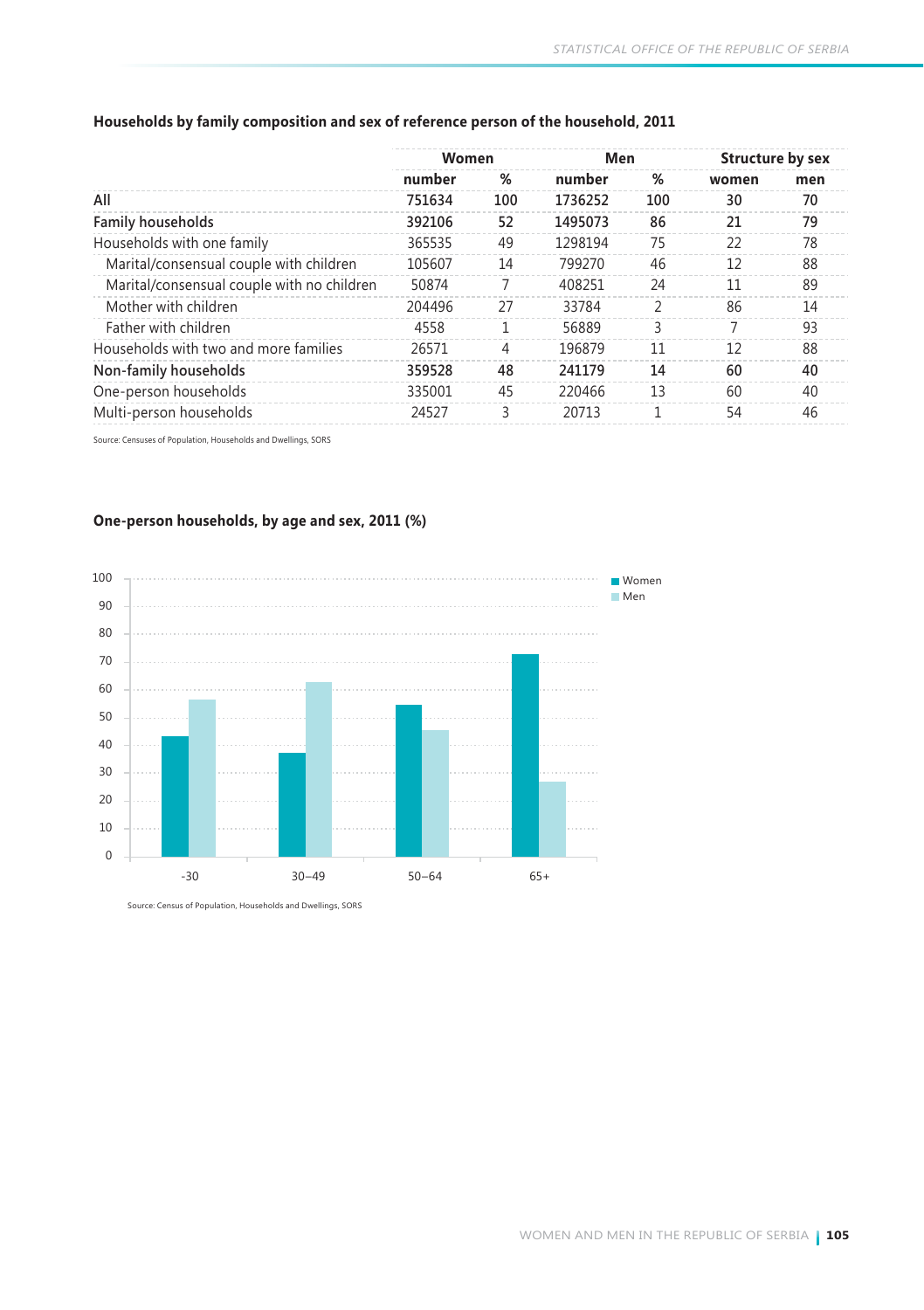|                                            | Women  |                | Men     |     | Structure by sex |     |
|--------------------------------------------|--------|----------------|---------|-----|------------------|-----|
|                                            | number | %              | number  | %   | women            | men |
| All                                        | 751634 | 100            | 1736252 | 100 | 30               | 70  |
| Family households                          | 392106 | 52             | 1495073 | 86  | 21               | 79  |
| Households with one family                 | 365535 | 49             | 1298194 | 75  | 22               | 78  |
| Marital/consensual couple with children    | 105607 | 14             | 799270  | 46  | 12               | 88  |
| Marital/consensual couple with no children | 50874  |                | 408251  | 24  | 11               | 89  |
| Mother with children                       | 204496 | 27             | 33784   | 2   | 86               | 14  |
| Father with children                       | 4558   |                | 56889   | ς   |                  | 93  |
| Households with two and more families      | 26571  | $\overline{4}$ | 196879  | 11  | 12               | 88  |
| Non-family households                      | 359528 | 48             | 241179  | 14  | 60               | 40  |
| One-person households                      | 335001 | 45             | 220466  | 13  | 60               | 40  |
| Multi-person households                    | 24527  | ς              | 20713   |     | 54               | 46  |

#### **Households by family composition and sex of reference person of the household, 2011**

Source: Censuses of Population, Households and Dwellings, SORS



#### **One-person households, by age and sex, 2011 (%)**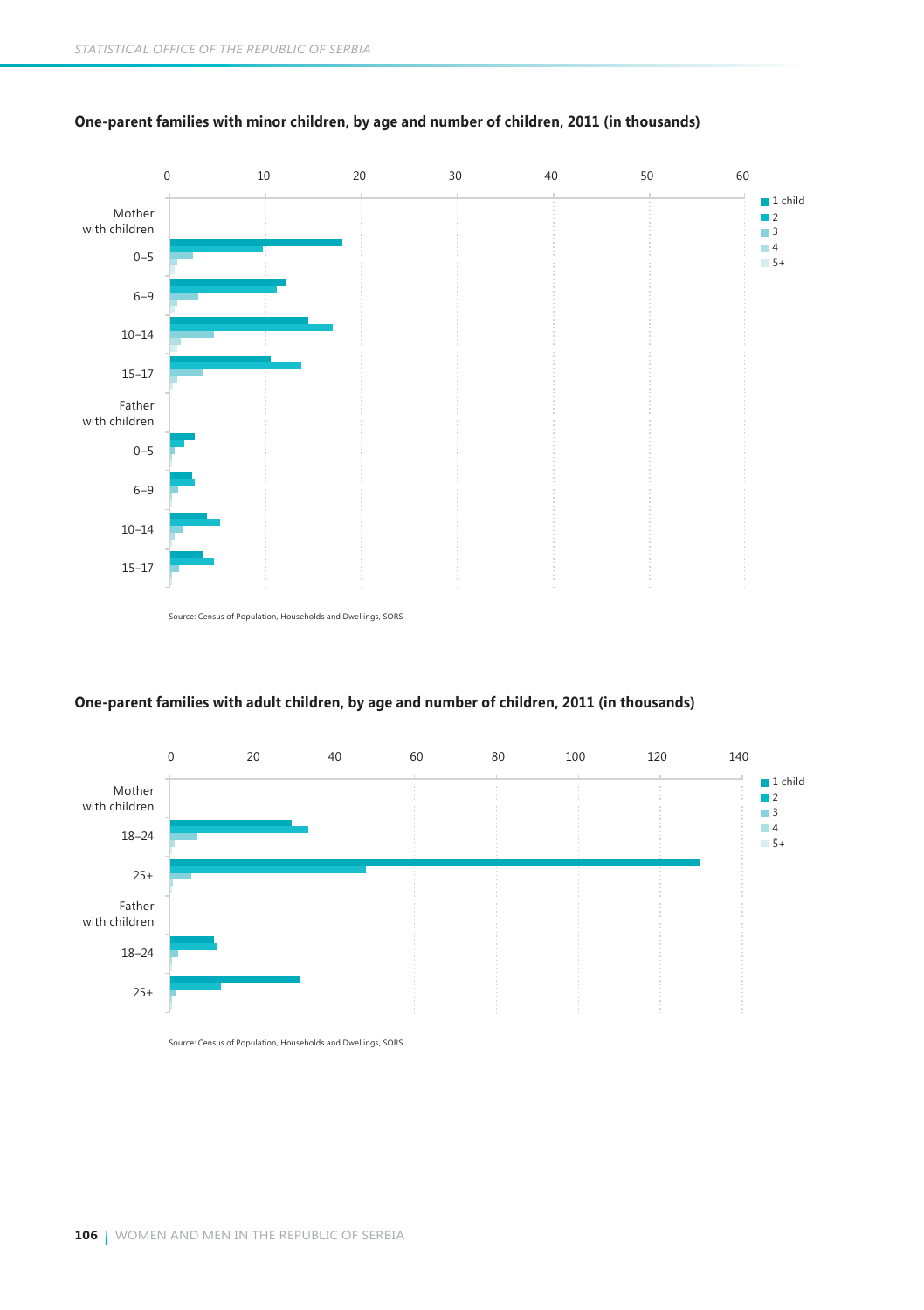

#### **One-parent families with minor children, by age and number of children, 2011 (in thousands)**

Source: Census of Population, Households and Dwellings, SORS



#### **One-parent families with adult children, by age and number of children, 2011 (in thousands)**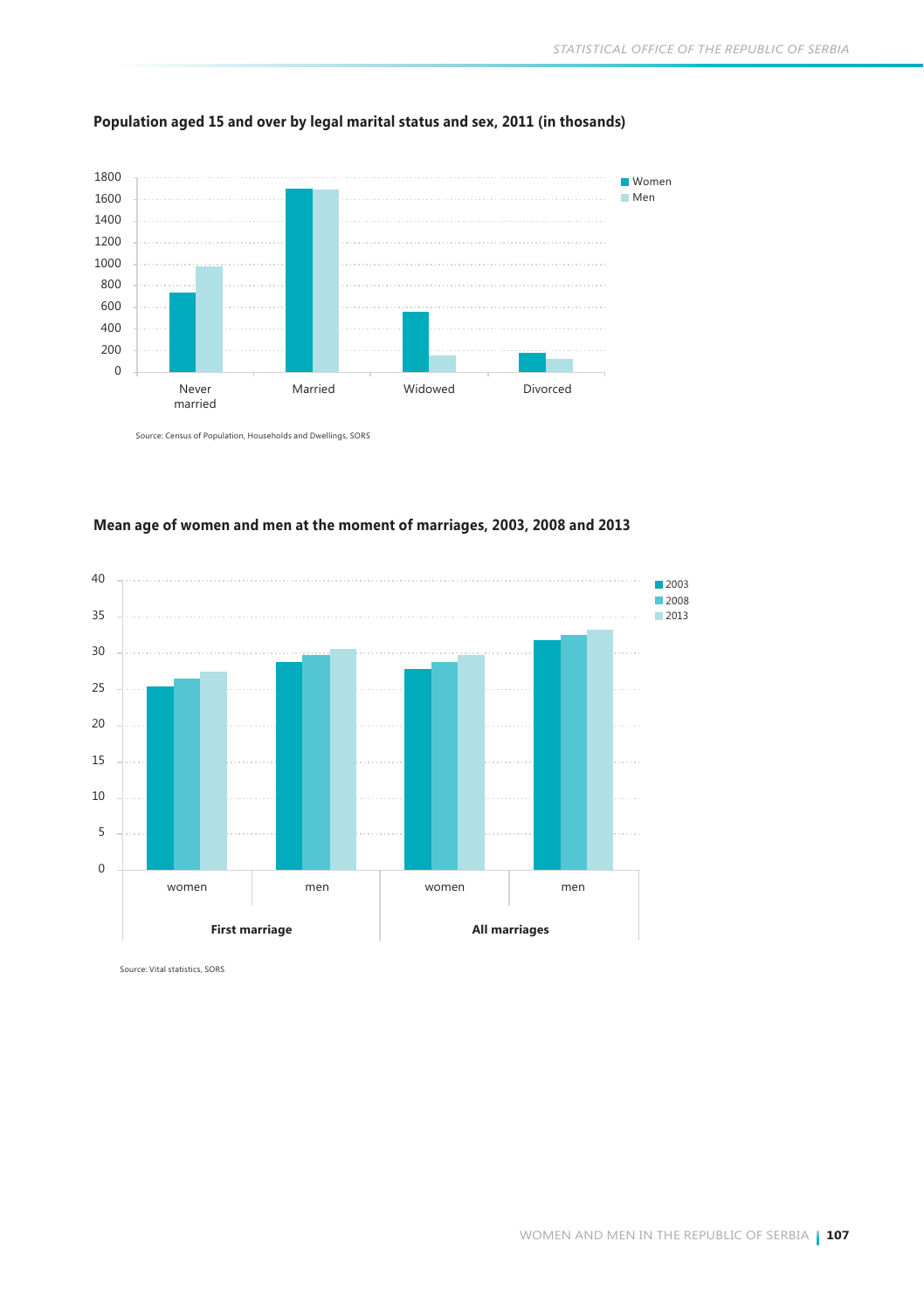

#### **Population aged 15 and over by legal marital status and sex, 2011 (in thosands)**

Source: Census of Population, Households and Dwellings, SORS



#### **Mean age of women and men at the moment of marriages, 2003, 2008 and 2013**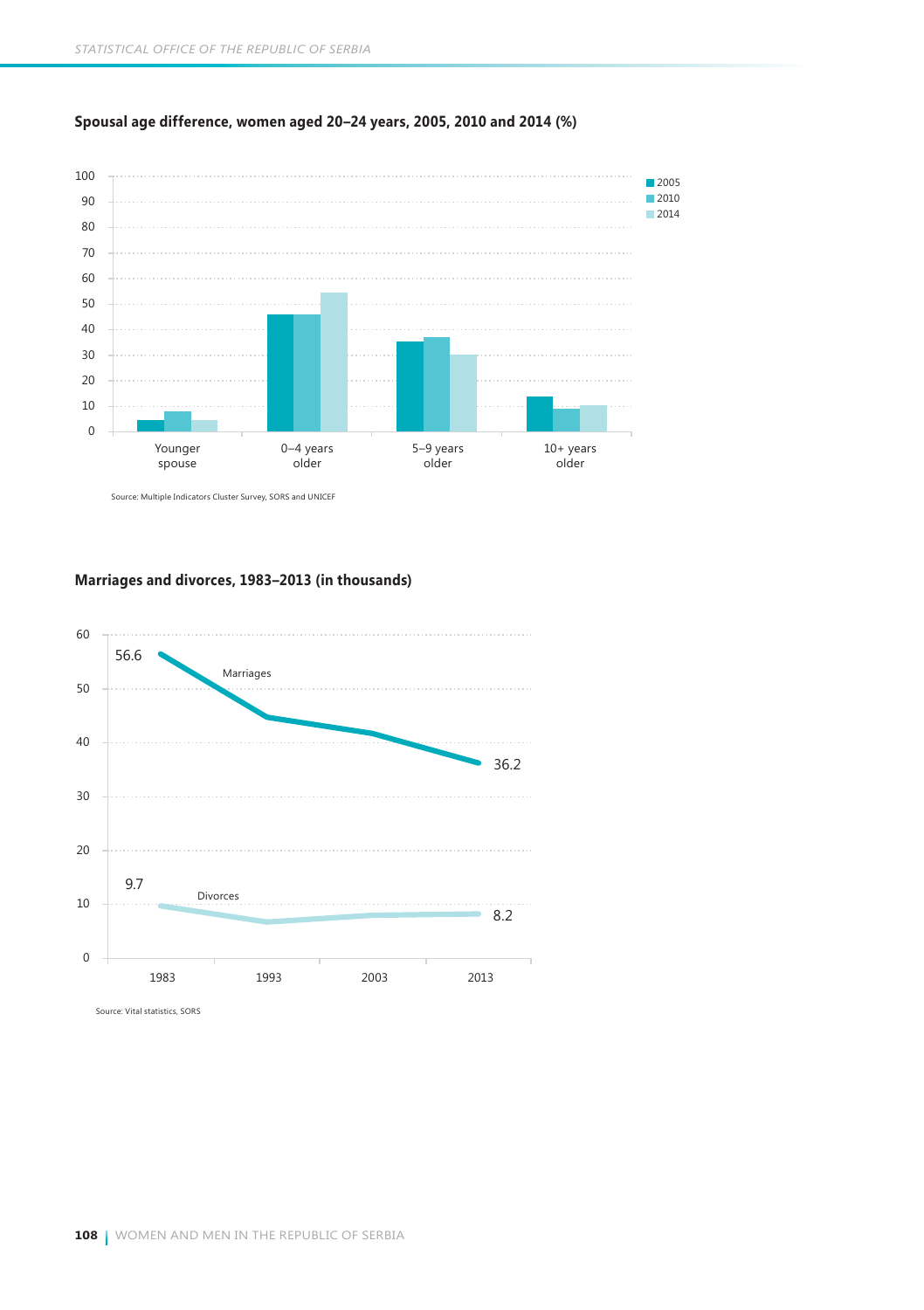

#### **Spousal age difference, women aged 20–24 years, 2005, 2010 and 2014 (%)**

**Marriages and divorces, 1983–2013 (in thousands)**

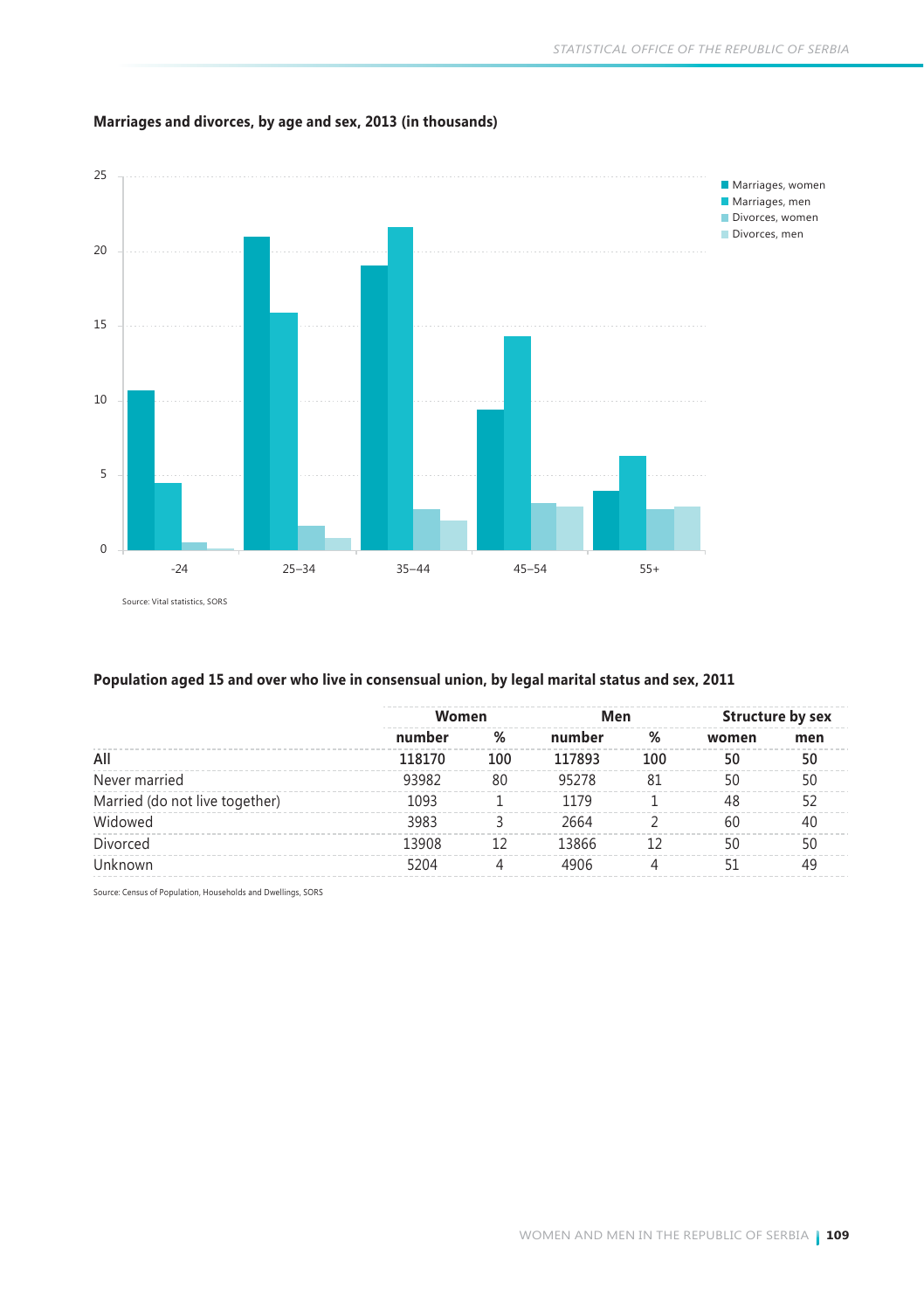

#### **Marriages and divorces, by age and sex, 2013 (in thousands)**

#### **Population aged 15 and over who live in consensual union, by legal marital status and sex, 2011**

|                                | Women  |     | Men    |     |       | Structure by sex |  |
|--------------------------------|--------|-----|--------|-----|-------|------------------|--|
|                                | number | %   | number | %   | women | men              |  |
| All                            | 118170 | 100 | 117893 | 100 | 50    | 50               |  |
| Never married                  | 93982  | 80  | 95278  | 81  | 50    | 50               |  |
| Married (do not live together) | 1093   |     | 1179   |     | 48    | 57               |  |
| Widowed                        | 3983   |     | 2664   |     | 60    | 40               |  |
| Divorced                       | 13908  |     | 13866  |     | 50    | 50               |  |
| Unknown                        | 5204   | 4   | 4906   |     | 51    | 49               |  |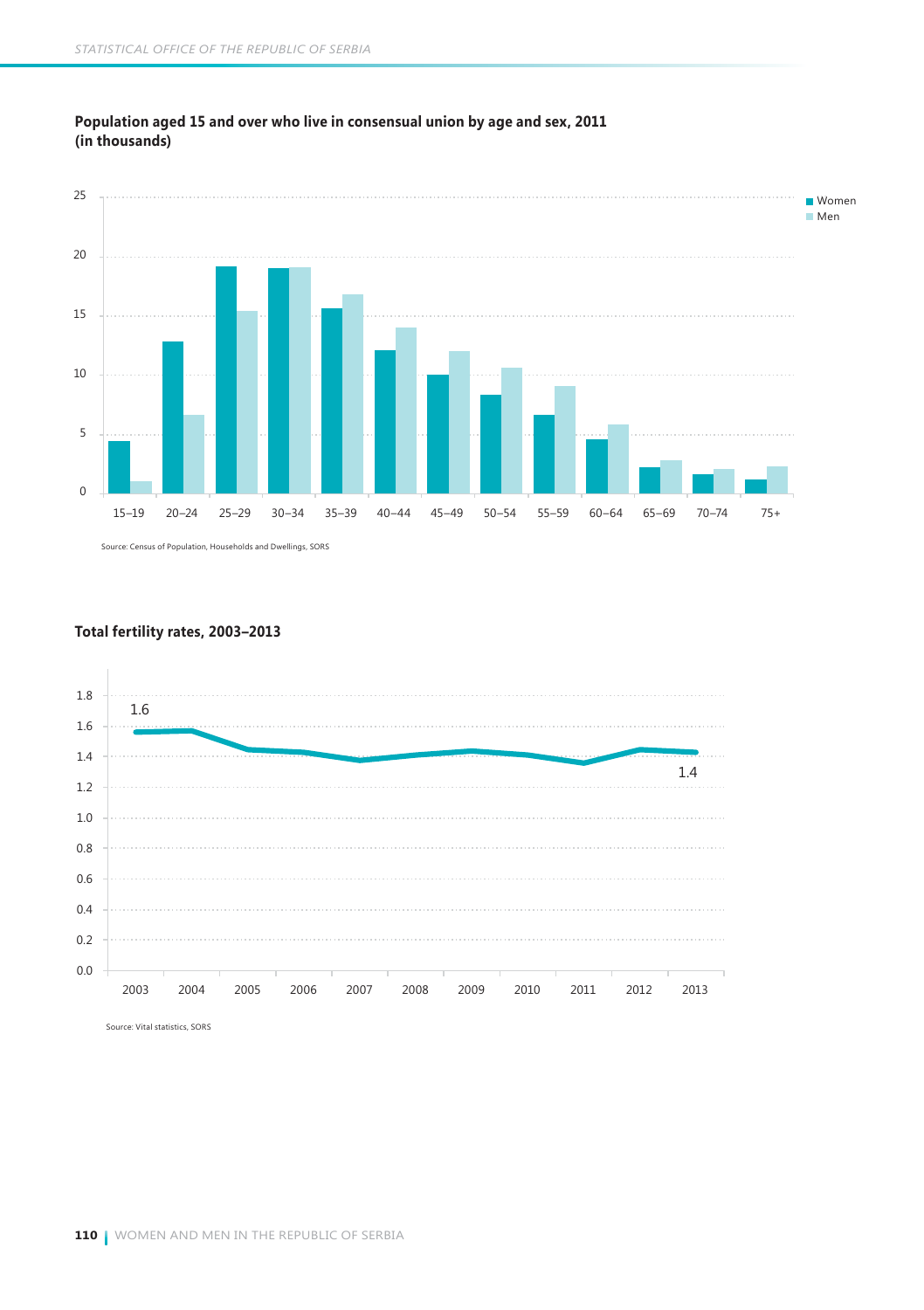

#### **Population aged 15 and over who live in consensual union by age and sex, 2011 (in thousands)**

Source: Census of Population, Households and Dwellings, SORS

#### **Total fertility rates, 2003–2013**

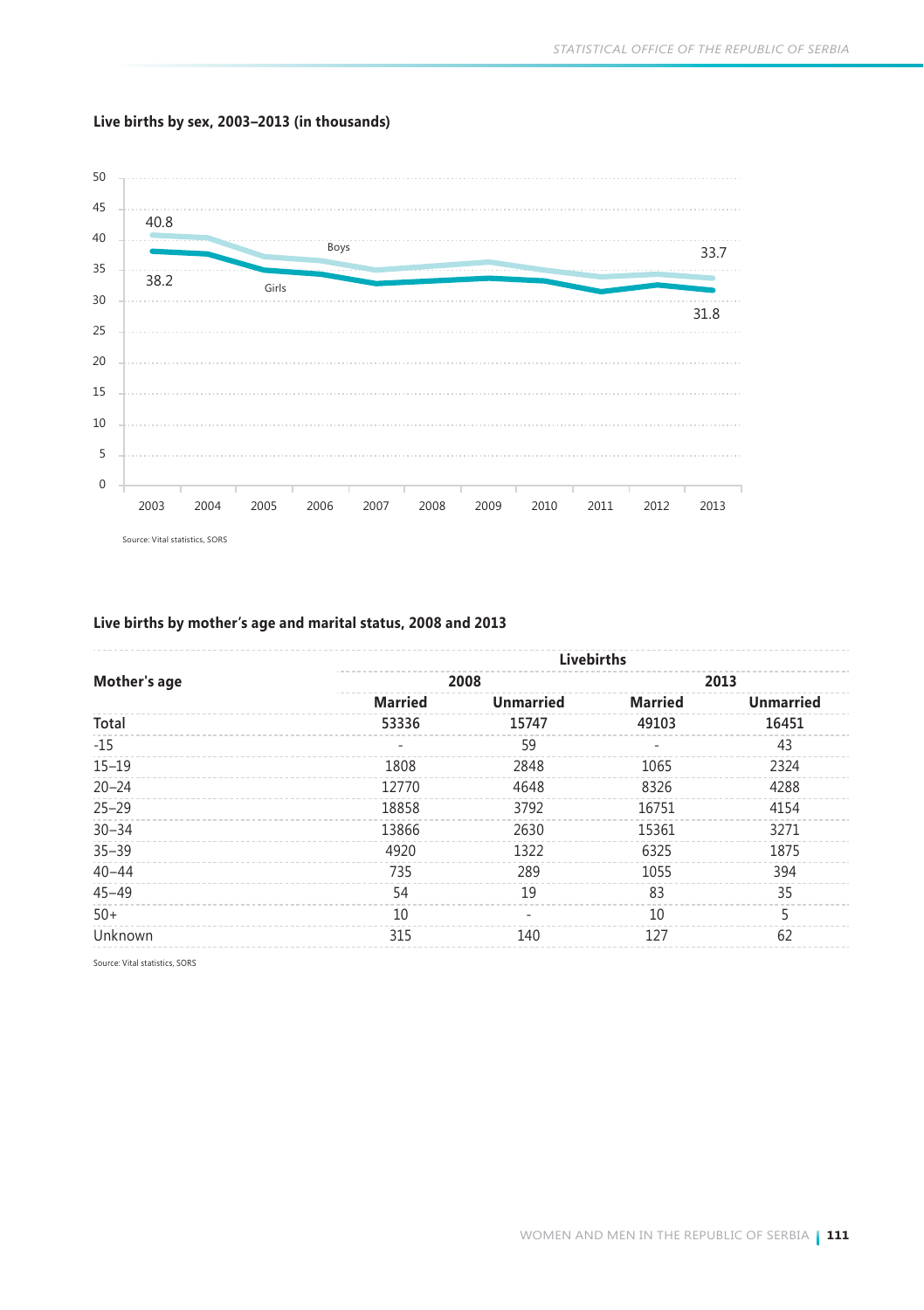

#### **Live births by sex, 2003–2013 (in thousands)**

### **Live births by mother's age and marital status, 2008 and 2013**

|              |                          | Livebirths       |                          |                  |
|--------------|--------------------------|------------------|--------------------------|------------------|
| Mother's age |                          | 2008             |                          | 2013             |
|              | <b>Married</b>           | <b>Unmarried</b> | <b>Married</b>           | <b>Unmarried</b> |
| Total        | 53336                    | 15747            | 49103                    | 16451            |
| $-15$        | $\overline{\phantom{a}}$ | 59               | $\overline{\phantom{a}}$ | 43               |
| $15 - 19$    | 1808                     | 2848             | 1065                     | 2324             |
| $20 - 24$    | 12770                    | 4648             | 8326                     | 4288             |
| $25 - 29$    | 18858                    | 3792             | 16751                    | 4154             |
| $30 - 34$    | 13866                    | 2630             | 15361                    | 3271             |
| $35 - 39$    | 4920                     | 1322             | 6325                     | 1875             |
| $40 - 44$    | 735                      | 289              | 1055                     | 394              |
| $45 - 49$    | 54                       | 19               | 83                       | 35               |
| $50+$        | 10                       | ٠                | 10                       | 5                |
| Unknown      | 315                      | 140              | 127                      | 62               |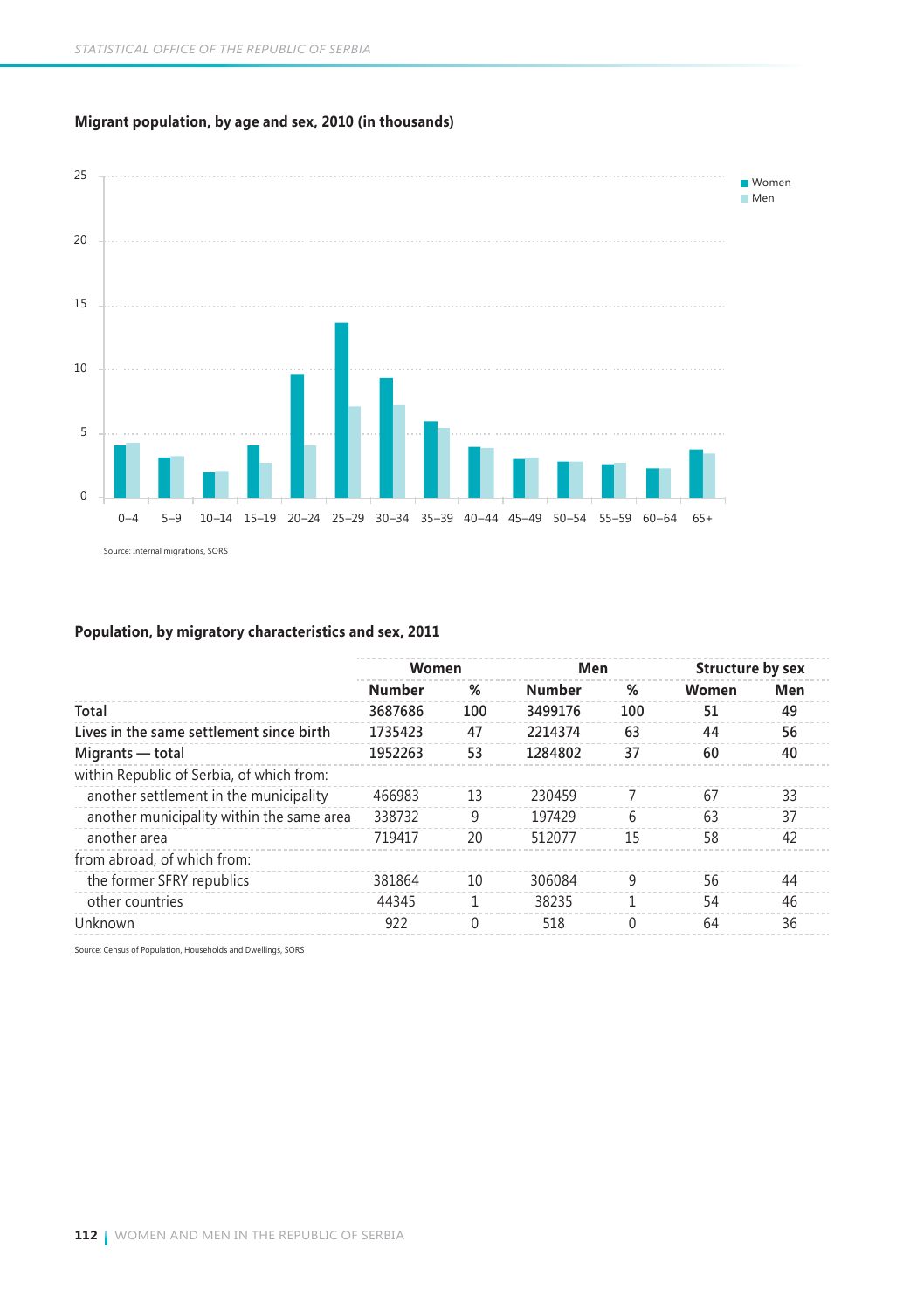

#### **Migrant population, by age and sex, 2010 (in thousands)**

#### **Population, by migratory characteristics and sex, 2011**

|                                           | Women   |          | Men     |              | Structure by sex |     |  |
|-------------------------------------------|---------|----------|---------|--------------|------------------|-----|--|
|                                           | Number  | %        | Number  | %            | Women            | Men |  |
| Total                                     | 3687686 | 100      | 3499176 | 100          | 51               | 49  |  |
| Lives in the same settlement since birth  | 1735423 | 47       | 2214374 | 63           | 44               | 56  |  |
| Migrants — total                          | 1952263 | 53       | 1284802 | 37           | 60               | 40  |  |
| within Republic of Serbia, of which from: |         |          |         |              |                  |     |  |
| another settlement in the municipality    | 466983  | 13       | 230459  |              | 67               | 33  |  |
| another municipality within the same area | 338732  | 9        | 197429  | 6            | 63               | 37  |  |
| another area                              | 719417  | 20       | 512077  | 15           | 58               | 42  |  |
| from abroad, of which from:               |         |          |         |              |                  |     |  |
| the former SFRY republics                 | 381864  | 10       | 306084  | q            | 56               | 44  |  |
| other countries                           | 44345   |          | 38235   |              | 54               | 46  |  |
| Unknown                                   | 922     | $\Omega$ | 518     | <sup>0</sup> | 64               | 36  |  |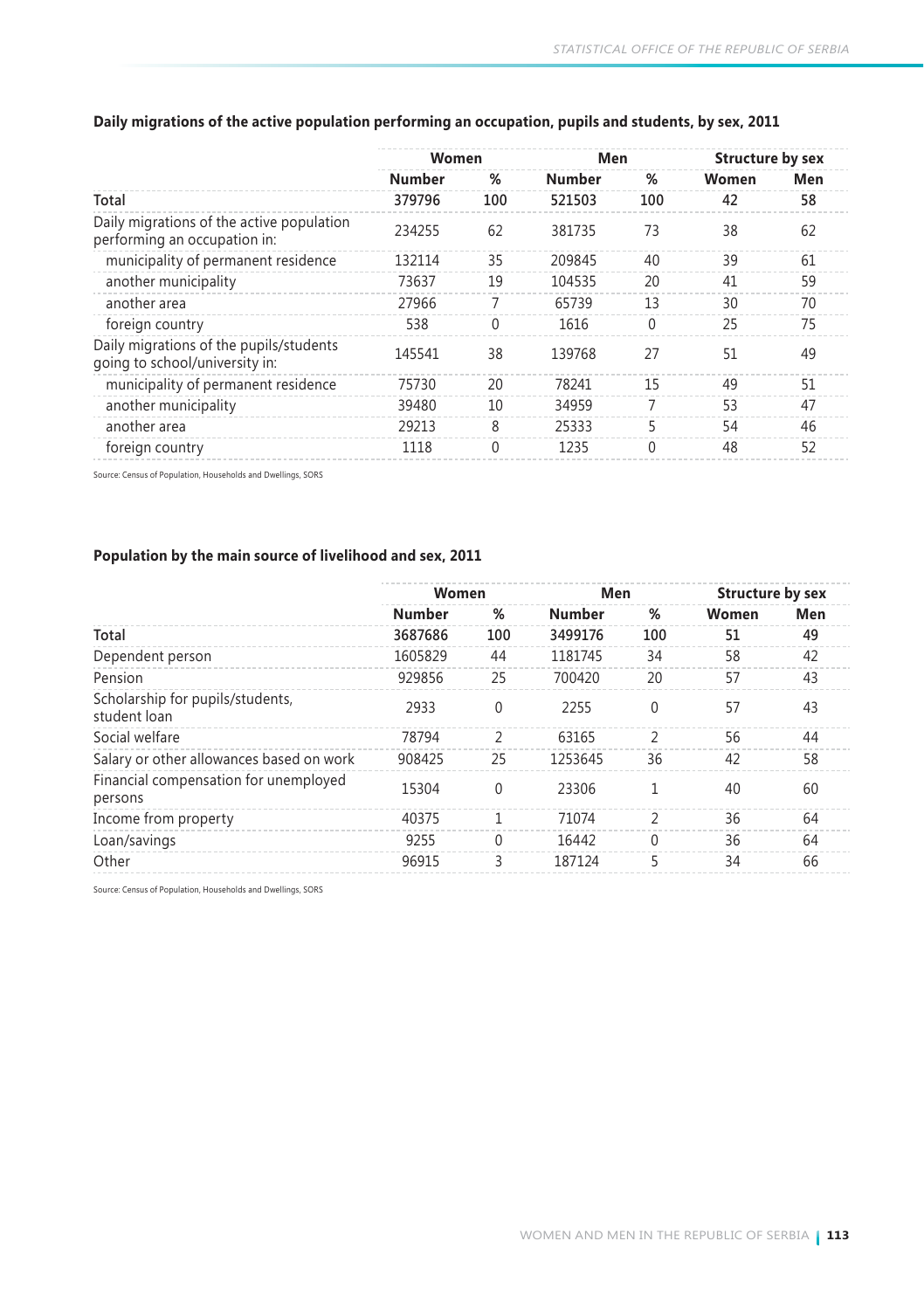|        |          |        |     | Structure by sex |     |  |
|--------|----------|--------|-----|------------------|-----|--|
| Number | %        | Number | %   | Women            | Men |  |
| 379796 | 100      | 521503 | 100 | 42               | 58  |  |
| 234255 | 62       | 381735 | 73  | 38               | 62  |  |
| 132114 | 35       | 209845 | 40  | 39               | 61  |  |
| 73637  | 19       | 104535 | 20  | 41               | 59  |  |
| 27966  |          | 65739  | 13  | 30               | 70  |  |
| 538    | 0        | 1616   | 0   | 25               | 75  |  |
| 145541 | 38       | 139768 | 27  | 51               | 49  |  |
| 75730  | 20       | 78241  | 15  | 49               | 51  |  |
| 39480  | 10       | 34959  |     | 53               | 47  |  |
| 29213  | 8        | 25333  | 5   | 54               | 46  |  |
| 1118   | $\Omega$ | 1235   | 0   | 48               | 52  |  |
|        |          | Women  |     | Men              |     |  |

#### **Daily migrations of the active population performing an occupation, pupils and students, by sex, 2011**

Source: Census of Population, Households and Dwellings, SORS

#### **Population by the main source of livelihood and sex, 2011**

|                                                  | Women         |          | Men           |                          | Structure by sex |     |  |
|--------------------------------------------------|---------------|----------|---------------|--------------------------|------------------|-----|--|
|                                                  | <b>Number</b> | %        | <b>Number</b> | %                        | Women            | Men |  |
| Total                                            | 3687686       | 100      | 3499176       | 100                      | 51               | 49  |  |
| Dependent person                                 | 1605829       | 44       | 1181745       | 34                       | 58               | 42  |  |
| Pension                                          | 929856        | 25       | 700420        | 20                       | 57               | 43  |  |
| Scholarship for pupils/students,<br>student loan | 2933          | $\Omega$ | 2255          | $\Omega$                 | 57               | 43  |  |
| Social welfare                                   | 78794         | C        | 63165         | $\mathcal{P}$            | 56               | 44  |  |
| Salary or other allowances based on work         | 908425        | 25       | 1253645       | 36                       | 42               | 58  |  |
| Financial compensation for unemployed<br>persons | 15304         | 0        | 23306         |                          | 40               | 60  |  |
| Income from property                             | 40375         |          | 71074         | $\overline{\phantom{a}}$ | 36               | 64  |  |
| Loan/savings                                     | 9255          | 0        | 16442         | 0                        | 36               | 64  |  |
| Other                                            | 96915         | 3        | 187124        | 5                        | 34               | 66  |  |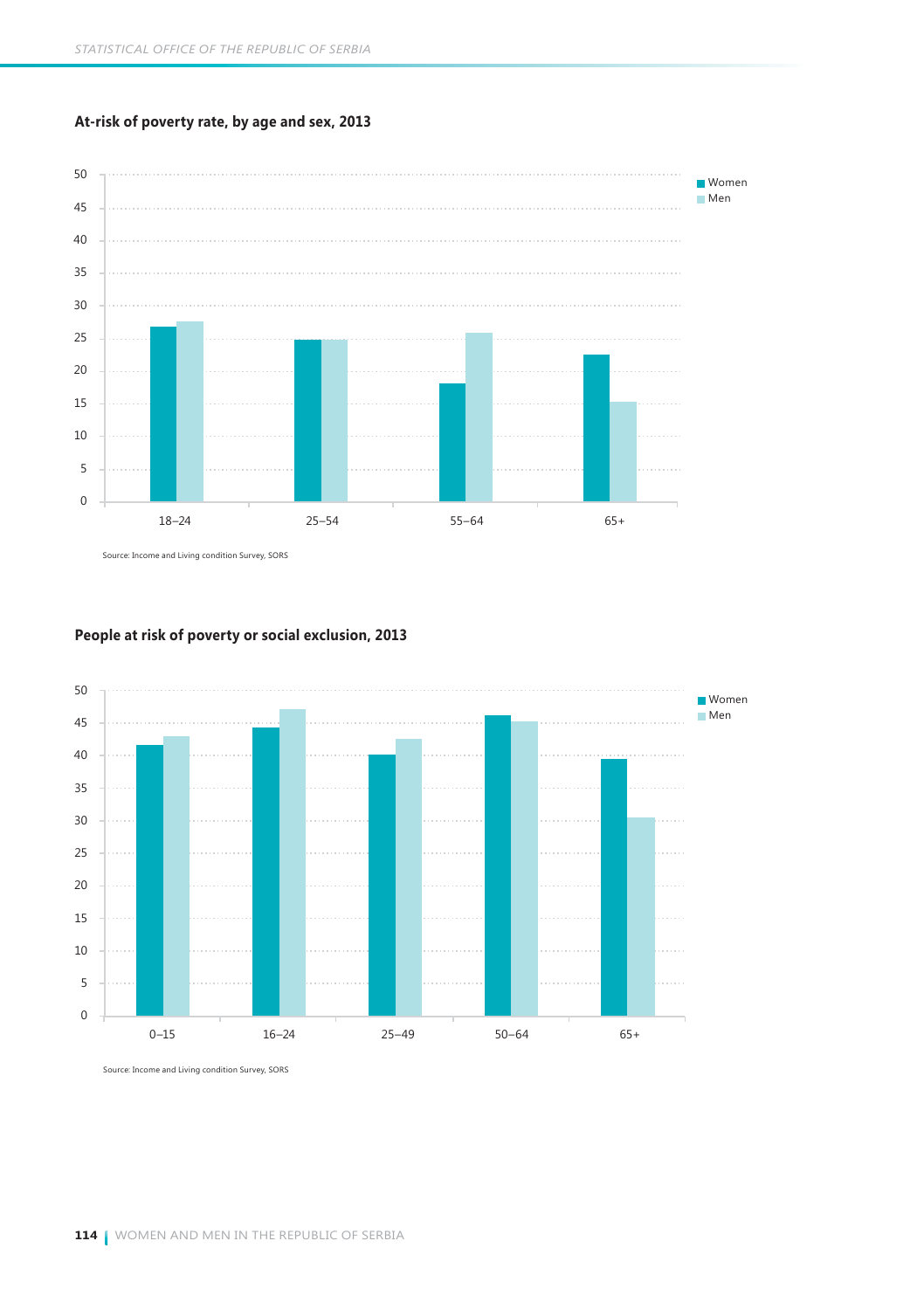#### **At-risk of poverty rate, by age and sex, 2013**



Source: Income and Living condition Survey, SORS



#### **People at risk of poverty or social exclusion, 2013**

Source: Income and Living condition Survey, SORS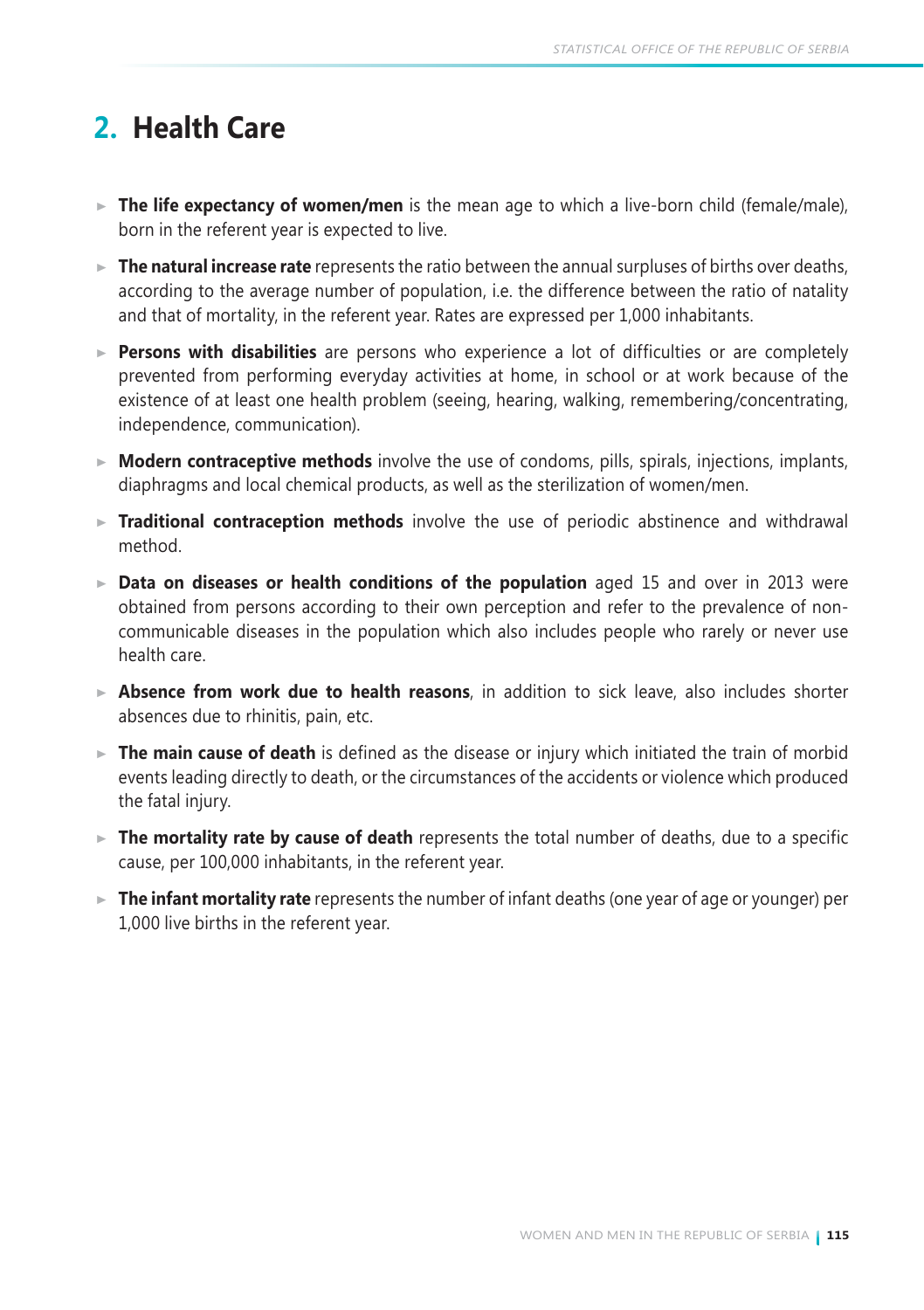# **2. Health Care**

- ► The life expectancy of women/men is the mean age to which a live-born child (female/male), born in the referent year is expected to live.
- **The natural increase rate** represents the ratio between the annual surpluses of births over deaths, according to the average number of population, i.e. the difference between the ratio of natality and that of mortality, in the referent year. Rates are expressed per 1,000 inhabitants.
- **Persons with disabilities** are persons who experience a lot of difficulties or are completely prevented from performing everyday activities at home, in school or at work because of the existence of at least one health problem (seeing, hearing, walking, remembering/concentrating, independence, communication).
- ► **Modern contraceptive methods** involve the use of condoms, pills, spirals, injections, implants, diaphragms and local chemical products, as well as the sterilization of women/men.
- **Traditional contraception methods** involve the use of periodic abstinence and withdrawal method.
- **Data on diseases or health conditions of the population** aged 15 and over in 2013 were obtained from persons according to their own perception and refer to the prevalence of noncommunicable diseases in the population which also includes people who rarely or never use health care.
- **Absence from work due to health reasons**, in addition to sick leave, also includes shorter absences due to rhinitis, pain, etc.
- **The main cause of death** is defined as the disease or injury which initiated the train of morbid events leading directly to death, or the circumstances of the accidents or violence which produced the fatal injury.
- **The mortality rate by cause of death** represents the total number of deaths, due to a specific cause, per 100,000 inhabitants, in the referent year.
- **The infant mortality rate** represents the number of infant deaths (one year of age or younger) per 1,000 live births in the referent year.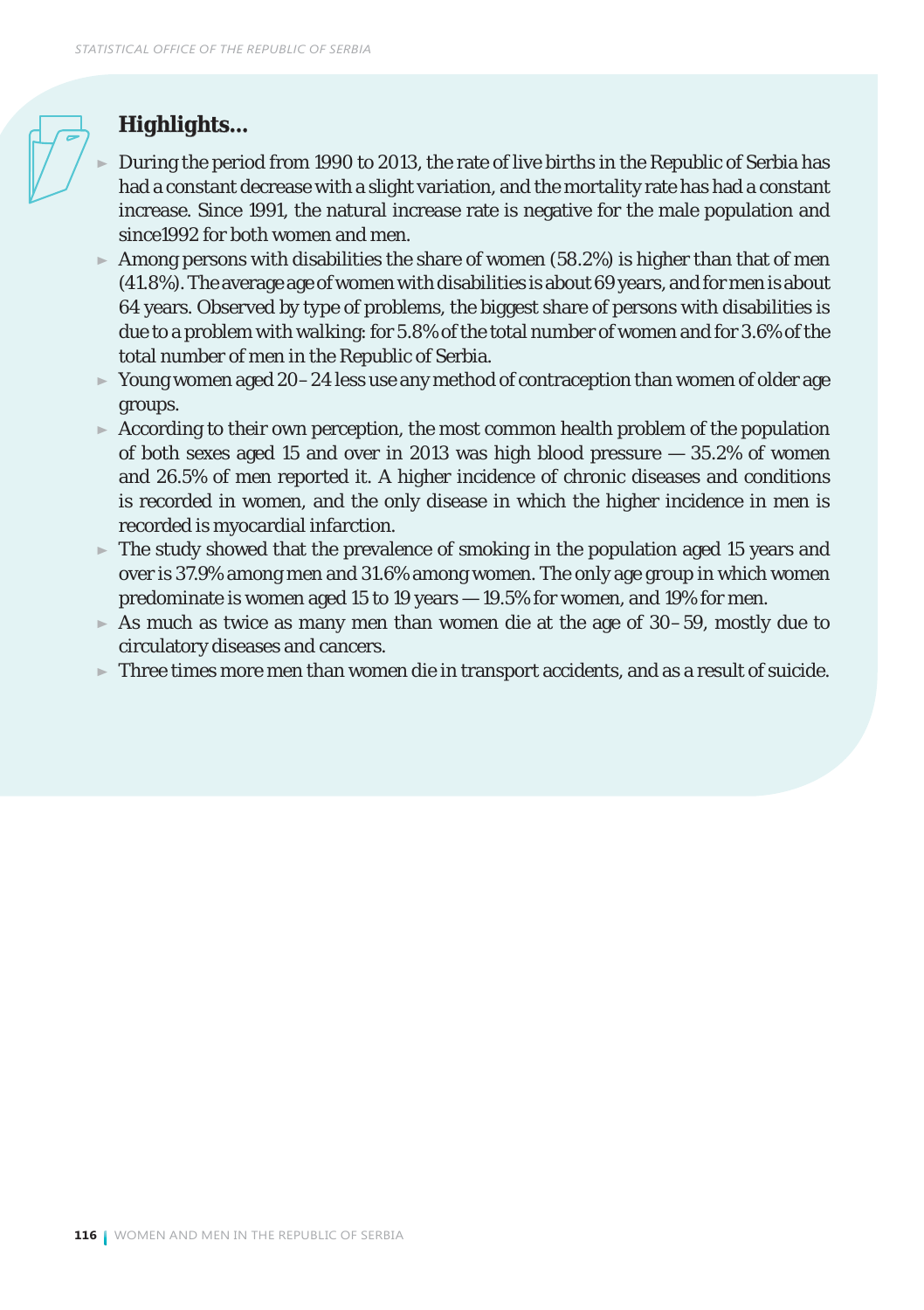## *Highlights...*

- During the period from 1990 to 2013, the rate of live births in the Republic of Serbia has had a constant decrease with a slight variation, and the mortality rate has had a constant increase. Since 1991, the natural increase rate is negative for the male population and since1992 for both women and men.
- $\blacktriangleright$  Among persons with disabilities the share of women (58.2%) is higher than that of men (41.8%). The average age of women with disabilities is about 69 years, and for men is about 64 years. Observed by type of problems, the biggest share of persons with disabilities is due to a problem with walking: for 5.8% of the total number of women and for 3.6% of the total number of men in the Republic of Serbia.
- $\triangleright$  Young women aged 20–24 less use any method of contraception than women of older age groups.
- $\triangleright$  According to their own perception, the most common health problem of the population of both sexes aged 15 and over in 2013 was high blood pressure  $-35.2\%$  of women and 26.5% of men reported it. A higher incidence of chronic diseases and conditions is recorded in women, and the only disease in which the higher incidence in men is recorded is myocardial infarction.
- $\triangleright$  The study showed that the prevalence of smoking in the population aged 15 years and over is 37.9% among men and 31.6% among women. The only age group in which women predominate is women aged 15 to 19 years — 19.5% for women, and 19% for men.
- $\blacktriangleright$  As much as twice as many men than women die at the age of 30–59, mostly due to circulatory diseases and cancers.
- $\triangleright$  Three times more men than women die in transport accidents, and as a result of suicide.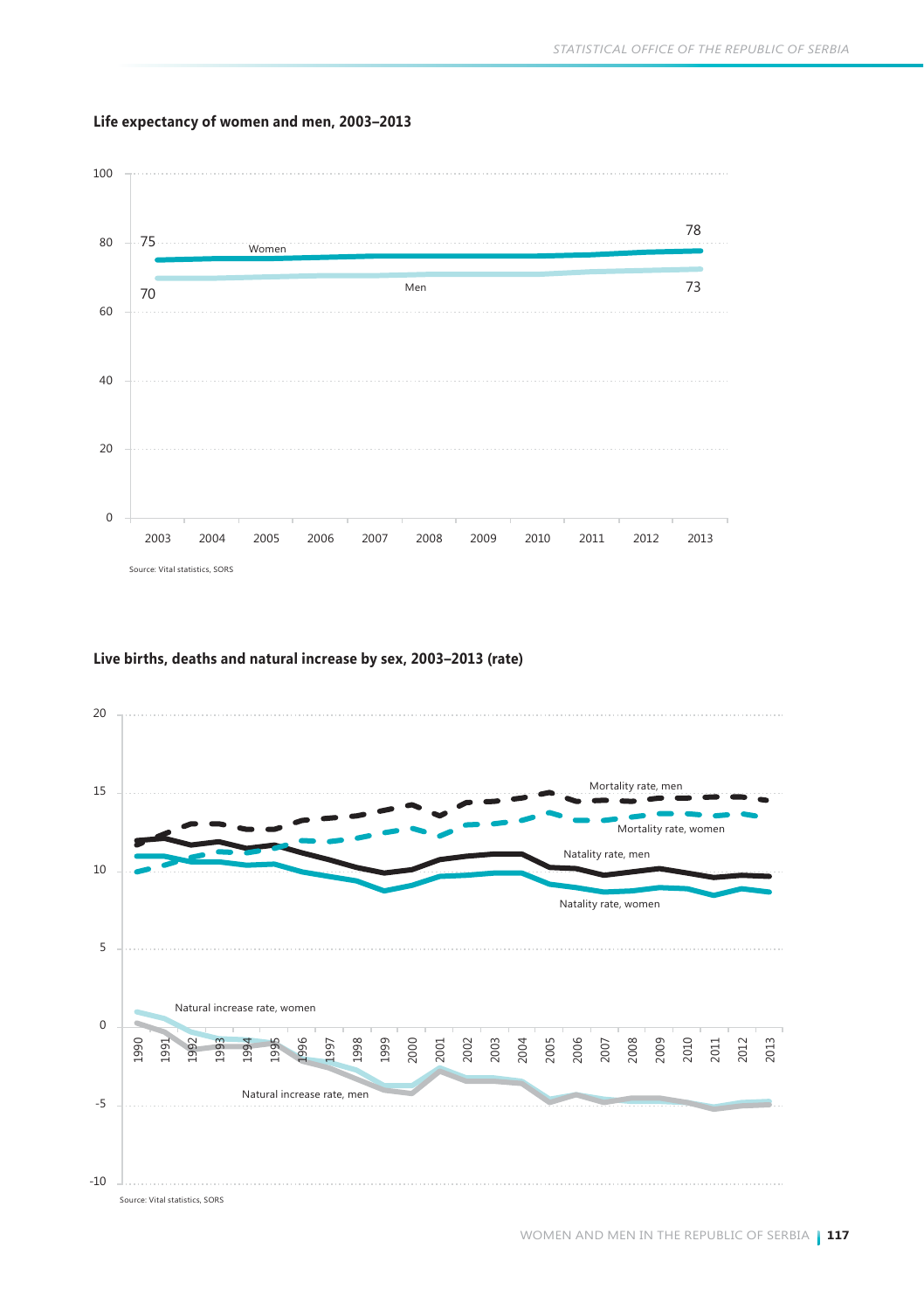

#### **Life expectancy of women and men, 2003–2013**

#### **Live births, deaths and natural increase by sex, 2003–2013 (rate)**

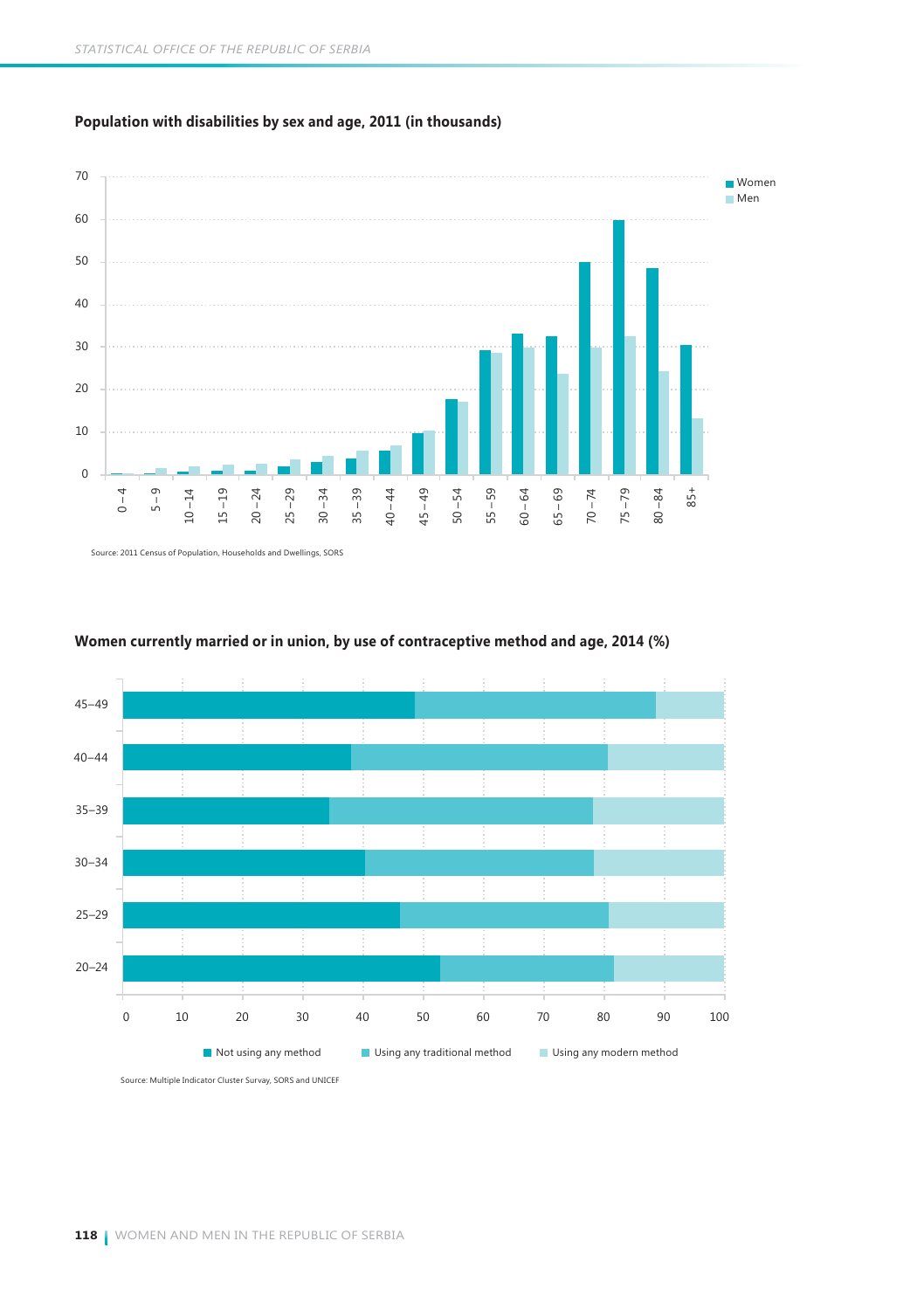**Population with disabilities by sex and age, 2011 (in thousands)**



Source: 2011 Census of Population, Households and Dwellings, SORS



#### **Women currently married or in union, by use of contraceptive method and age, 2014 (%)**

Source: Multiple Indicator Cluster Survay, SORS and UNICEF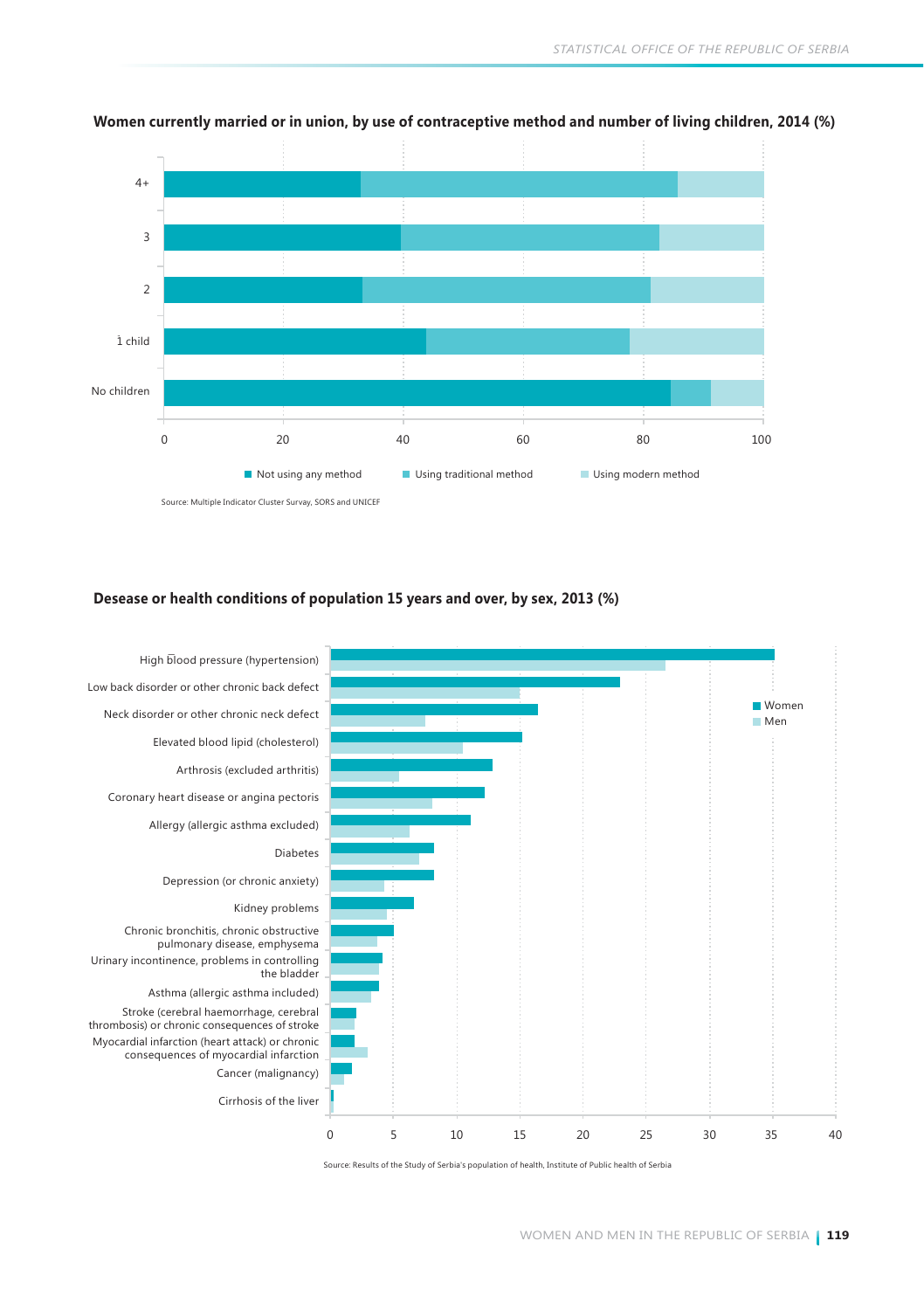

#### **Women currently married or in union, by use of contraceptive method and number of living children, 2014 (%)**

#### **Desease or health conditions of population 15 years and over, by sex, 2013 (%)**



Source: Results of the Study of Serbia's population of health, Institute of Public health of Serbia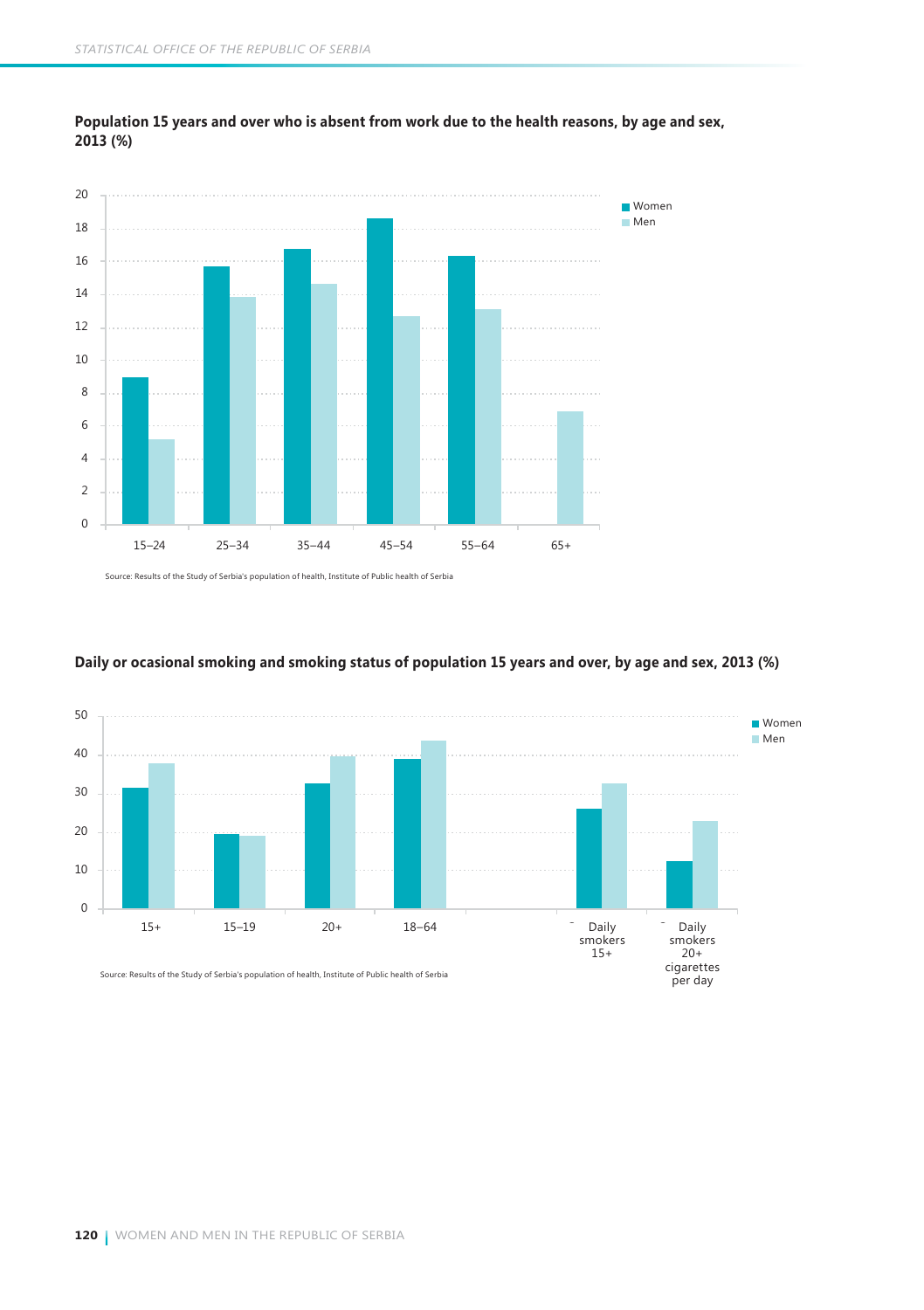



Source: Results of the Study of Serbia's population of health, Institute of Public health of Serbia



#### **Daily or ocasional smoking and smoking status of population 15 years and over, by age and sex, 2013 (%)**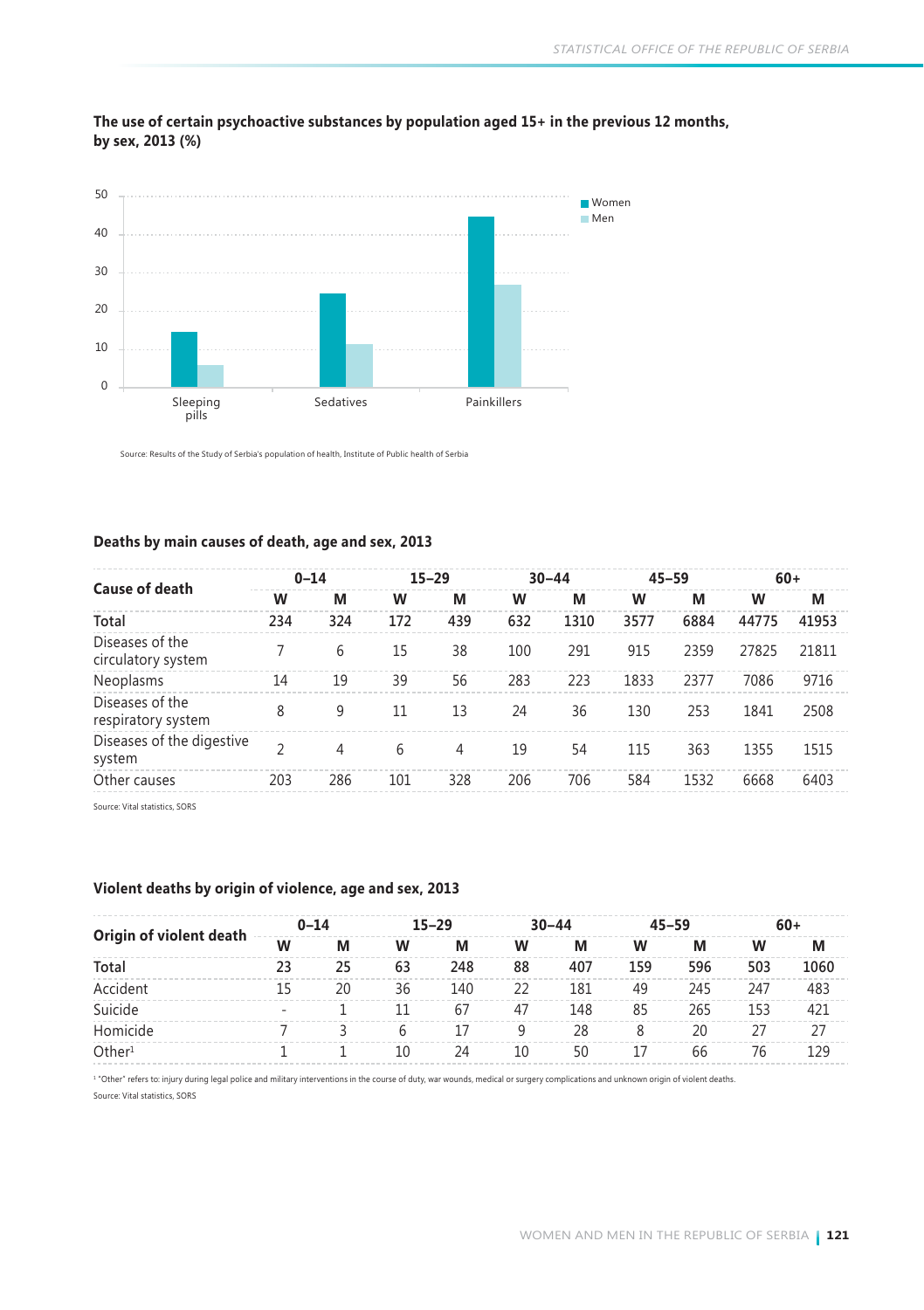

#### **The use of certain psychoactive substances by population aged 15+ in the previous 12 months, by sex, 2013 (%)**

Source: Results of the Study of Serbia's population of health, Institute of Public health of Serbia

#### **Deaths by main causes of death, age and sex, 2013**

| Cause of death                        |                          | $0 - 14$ |     | $15 - 29$ |     | $30 - 44$ |      | $45 - 59$ | $60+$ |       |
|---------------------------------------|--------------------------|----------|-----|-----------|-----|-----------|------|-----------|-------|-------|
|                                       | w                        | M        | W   | M         | w   | М         | w    | M         | W     | M     |
| Total                                 | 234                      | 324      | 172 | 439       | 632 | 1310      | 3577 | 6884      | 44775 | 41953 |
| Diseases of the<br>circulatory system |                          | 6        | 15  | 38        | 100 | 291       | 915  | 2359      | 27825 | 21811 |
| Neoplasms                             | 14                       | 19       | 39  | 56        | 283 | 223       | 1833 | 2377      | 7086  | 9716  |
| Diseases of the<br>respiratory system | 8                        | 9        | 11  | 13        | 24  | 36        | 130  | 253       | 1841  | 2508  |
| Diseases of the digestive<br>system   | $\overline{\phantom{a}}$ | 4        | 6   | 4         | 19  | 54        | 115  | 363       | 1355  | 1515  |
| Other causes                          | 203                      | 286      | 101 | 328       | 206 | 706       | 584  | 1532      | 6668  | 6403  |

Source: Vital statistics, SORS

#### **Violent deaths by origin of violence, age and sex, 2013**

| Origin of violent death |    | $0 - 14$ | $15 - 29$ |     |    | $30 - 44$ |     | $45 - 59$ | $60+$ |      |
|-------------------------|----|----------|-----------|-----|----|-----------|-----|-----------|-------|------|
|                         | W  | M        | W         | М   | w  | М         | w   | М         | w     | М    |
| Total                   | 23 | 25       | 63        | 248 | 88 | 407       | 159 | 596       | 503   | 1060 |
| Accident                | 15 | 20       | 36        | 140 | 22 | 181       | 49  | 245       | 247   | 483  |
| Suicide                 |    |          | 11        | 67  | 47 | 148       | 85  | 265       | 153   | 421  |
| Homicide                |    |          | b         | 17  | q  | 28        | 8   | 20        |       | 27   |
| Other <sup>1</sup>      |    |          | 10        | 24  | 10 | 50        | 17  | 66        | 76    | 129  |

1 "Other" refers to: injury during legal police and military interventions in the course of duty, war wounds, medical or surgery complications and unknown origin of violent deaths.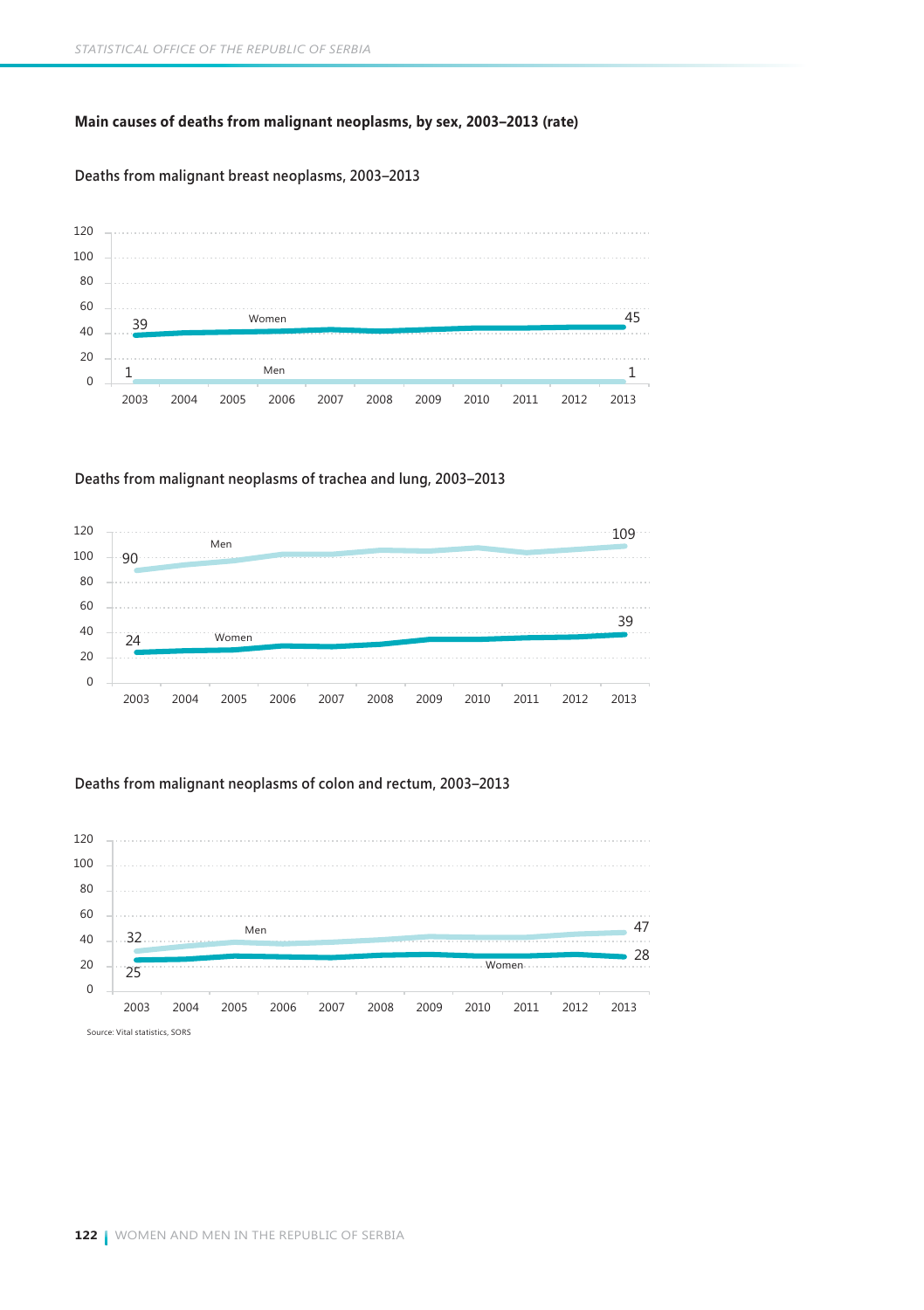#### **Main causes of deaths from malignant neoplasms, by sex, 2003–2013 (rate)**

#### **Deaths from malignant breast neoplasms, 2003–2013**



#### **Deaths from malignant neoplasms of trachea and lung, 2003–2013**



#### **Deaths from malignant neoplasms of colon and rectum, 2003–2013**

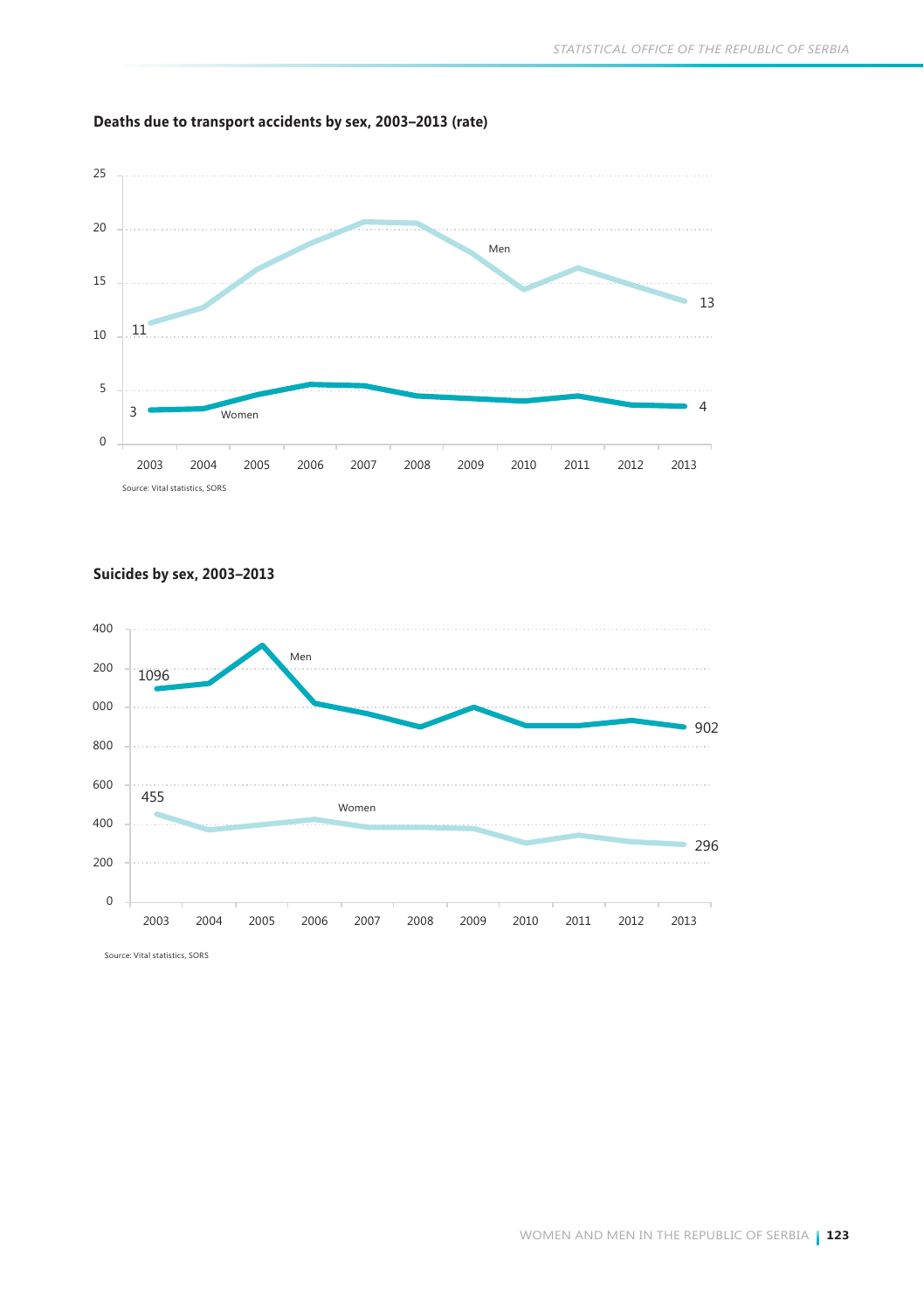



**Suicides by sex, 2003–2013** 

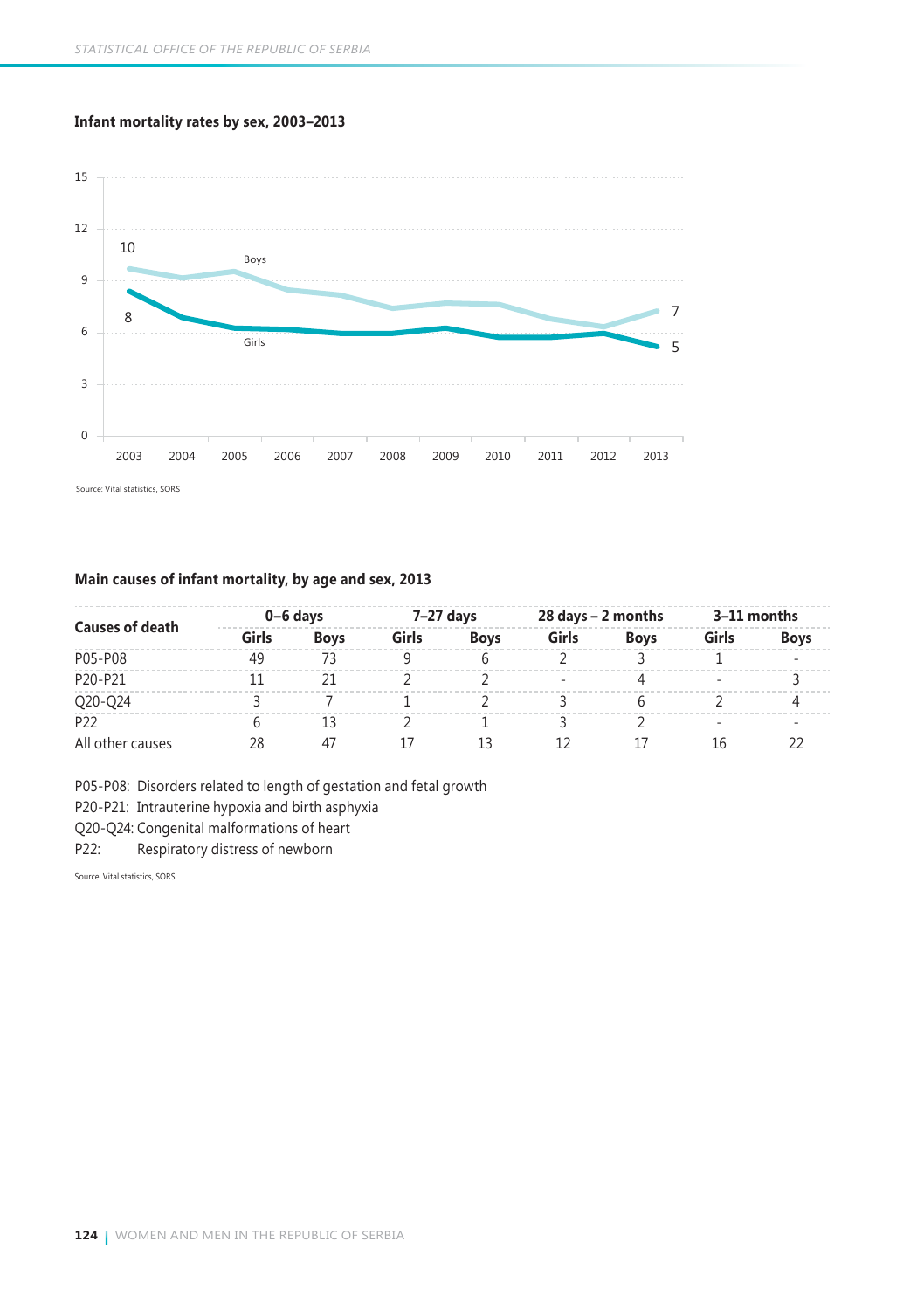#### **Infant mortality rates by sex, 2003–2013**



#### **Main causes of infant mortality, by age and sex, 2013**

| <b>Causes of death</b> |       | 0-6 davs    |       | $7-27$ days |       | 28 days - 2 months | 3–11 months |             |  |
|------------------------|-------|-------------|-------|-------------|-------|--------------------|-------------|-------------|--|
|                        | Girls | <b>Boys</b> | Girls | <b>Boys</b> | Girls | <b>Boys</b>        | Girls       | <b>Boys</b> |  |
| P05-P08                | 49    |             |       |             |       |                    |             |             |  |
| P20-P21                |       |             |       |             |       |                    |             |             |  |
| Q20-Q24                |       |             |       |             |       |                    |             |             |  |
| P <sub>22</sub>        |       |             |       |             |       |                    |             |             |  |
| All other causes       |       |             |       | 13          |       |                    | 16          |             |  |

P05-P08: Disorders related to length of gestation and fetal growth

P20-P21: Intrauterine hypoxia and birth asphyxia

Q20-Q24: Congenital malformations of heart

P22: Respiratory distress of newborn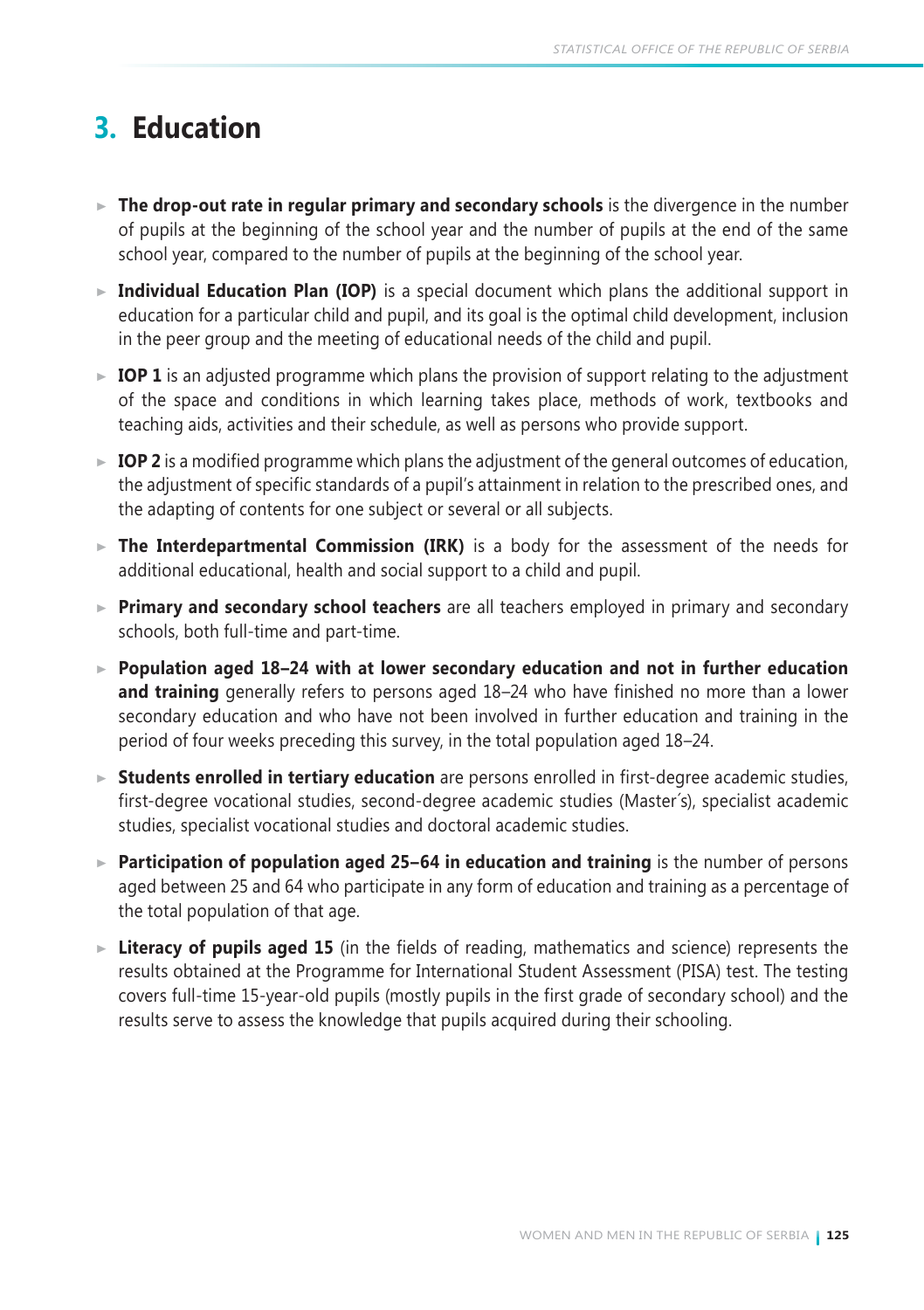# **3. Education**

- **The drop-out rate in regular primary and secondary schools** is the divergence in the number of pupils at the beginning of the school year and the number of pupils at the end of the same school year, compared to the number of pupils at the beginning of the school year.
- **Individual Education Plan (IOP)** is a special document which plans the additional support in education for a particular child and pupil, and its goal is the optimal child development, inclusion in the peer group and the meeting of educational needs of the child and pupil.
- $\triangleright$  **IOP 1** is an adjusted programme which plans the provision of support relating to the adjustment of the space and conditions in which learning takes place, methods of work, textbooks and teaching aids, activities and their schedule, as well as persons who provide support.
- $\triangleright$  **IOP 2** is a modified programme which plans the adjustment of the general outcomes of education, the adjustment of specific standards of a pupil's attainment in relation to the prescribed ones, and the adapting of contents for one subject or several or all subjects.
- ► The Interdepartmental Commission (IRK) is a body for the assessment of the needs for additional educational, health and social support to a child and pupil.
- **Primary and secondary school teachers** are all teachers employed in primary and secondary schools, both full-time and part-time.
- **Population aged 18–24 with at lower secondary education and not in further education and training** generally refers to persons aged 18–24 who have finished no more than a lower secondary education and who have not been involved in further education and training in the period of four weeks preceding this survey, in the total population aged 18–24.
- **Students enrolled in tertiary education** are persons enrolled in first-degree academic studies, first-degree vocational studies, second-degree academic studies (Master´s), specialist academic studies, specialist vocational studies and doctoral academic studies.
- ► **Participation of population aged 25–64 in education and training** is the number of persons aged between 25 and 64 who participate in any form of education and training as a percentage of the total population of that age.
- **Literacy of pupils aged 15** (in the fields of reading, mathematics and science) represents the results obtained at the Programme for International Student Assessment (PISA) test. The testing covers full-time 15-year-old pupils (mostly pupils in the first grade of secondary school) and the results serve to assess the knowledge that pupils acquired during their schooling.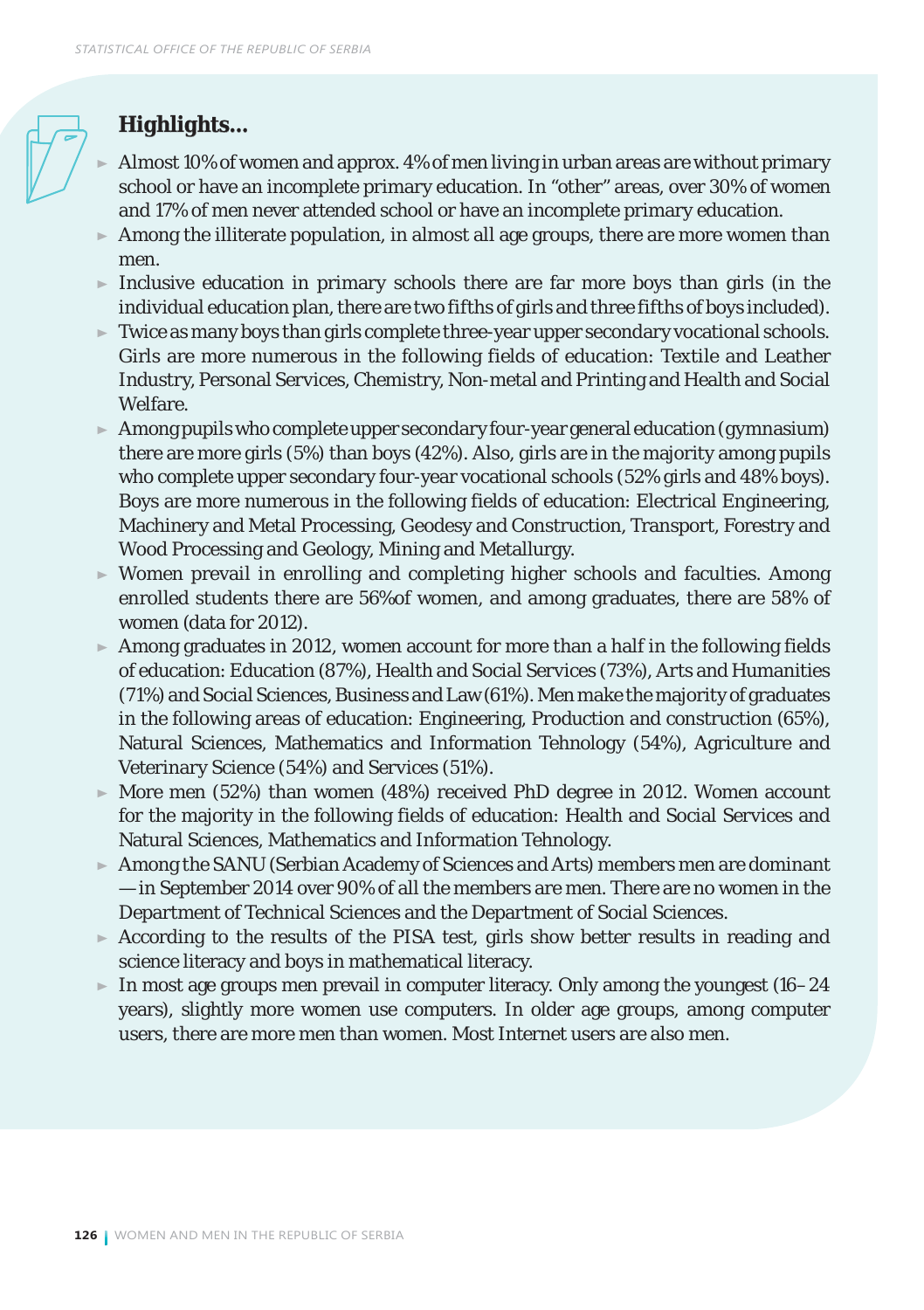### *Highlights...*

- Almost 10% of women and approx. 4% of men living in urban areas are without primary school or have an incomplete primary education. In "other" areas, over 30% of women and 17% of men never attended school or have an incomplete primary education.
- $\blacktriangleright$  Among the illiterate population, in almost all age groups, there are more women than men.
- Inclusive education in primary schools there are far more boys than girls (in the individual education plan, there are two fifths of girls and three fifths of boys included).
- $\blacktriangleright$  Twice as many boys than girls complete three-year upper secondary vocational schools. Girls are more numerous in the following fields of education: Textile and Leather Industry, Personal Services, Chemistry, Non-metal and Printing and Health and Social Welfare.
- $\blacktriangleright$  Among pupils who complete upper secondary four-year general education (gymnasium) there are more girls (5%) than boys (42%). Also, girls are in the majority among pupils who complete upper secondary four-year vocational schools (52% girls and 48% boys). Boys are more numerous in the following fields of education: Electrical Engineering, Machinery and Metal Processing, Geodesy and Construction, Transport, Forestry and Wood Processing and Geology, Mining and Metallurgy.
- $\triangleright$  Women prevail in enrolling and completing higher schools and faculties. Among enrolled students there are 56%of women, and among graduates, there are 58% of women (data for 2012).
- Among graduates in 2012, women account for more than a half in the following fields of education: Education (87%), Health and Social Services (73%), Arts and Humanities (71%) and Social Sciences, Business and Law (61%). Men make the majority of graduates in the following areas of education: Engineering, Production and construction (65%), Natural Sciences, Mathematics and Information Tehnology (54%), Agriculture and Veterinary Science (54%) and Services (51%).
- $\blacktriangleright$  More men (52%) than women (48%) received PhD degree in 2012. Women account for the majority in the following fields of education: Health and Social Services and Natural Sciences, Mathematics and Information Tehnology.
- Among the SANU (Serbian Academy of Sciences and Arts) members men are dominant — in September 2014 over 90% of all the members are men. There are no women in the Department of Technical Sciences and the Department of Social Sciences.
- $\triangleright$  According to the results of the PISA test, girls show better results in reading and science literacy and boys in mathematical literacy.
- In most age groups men prevail in computer literacy. Only among the youngest  $(16-24)$ years), slightly more women use computers. In older age groups, among computer users, there are more men than women. Most Internet users are also men.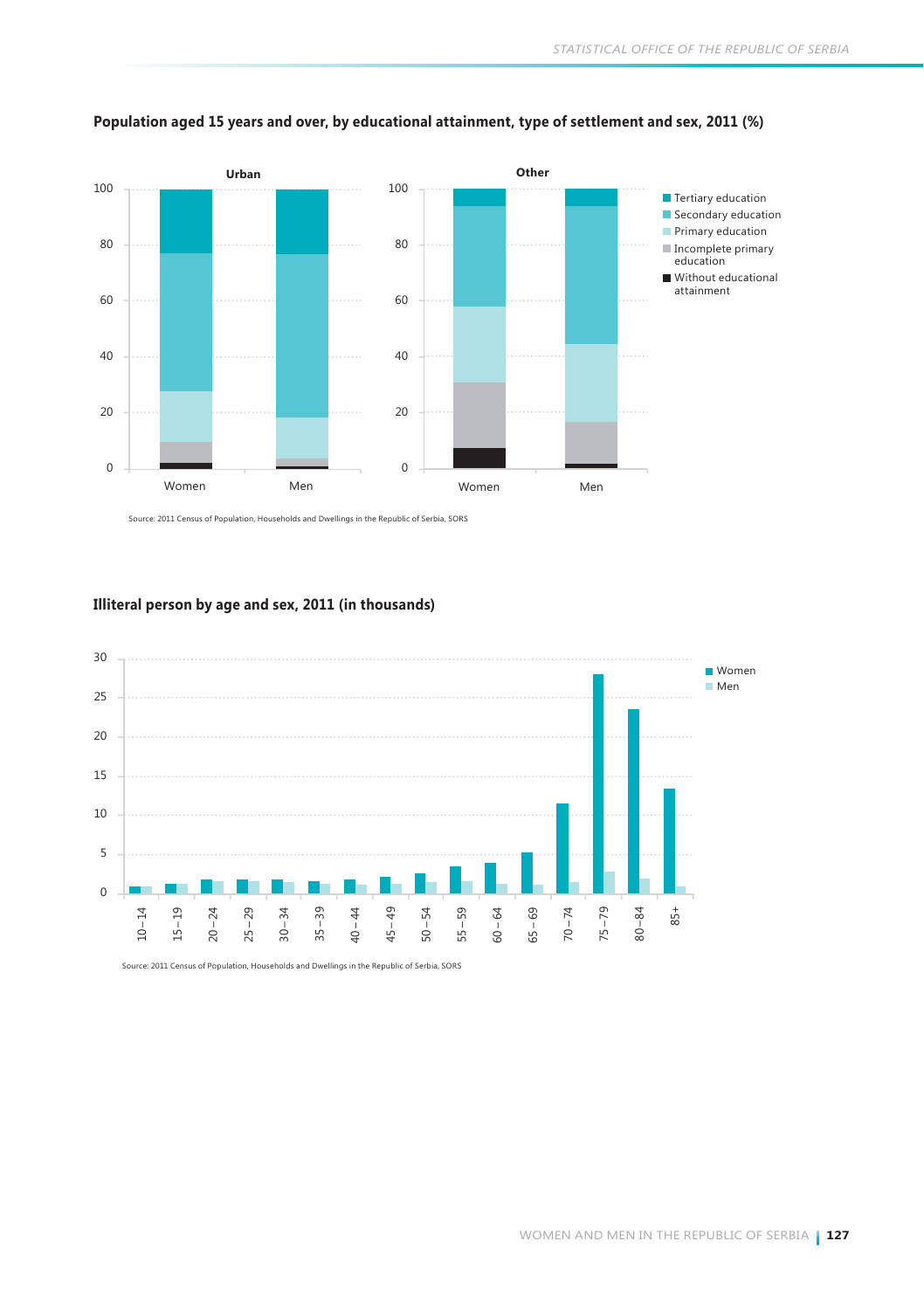

### **Population aged 15 years and over, by educational attainment, type of settlement and sex, 2011 (%)**

Source: 2011 Census of Population, Households and Dwellings in the Republic of Serbia, SORS

### **Illiteral person by age and sex, 2011 (in thousands)**

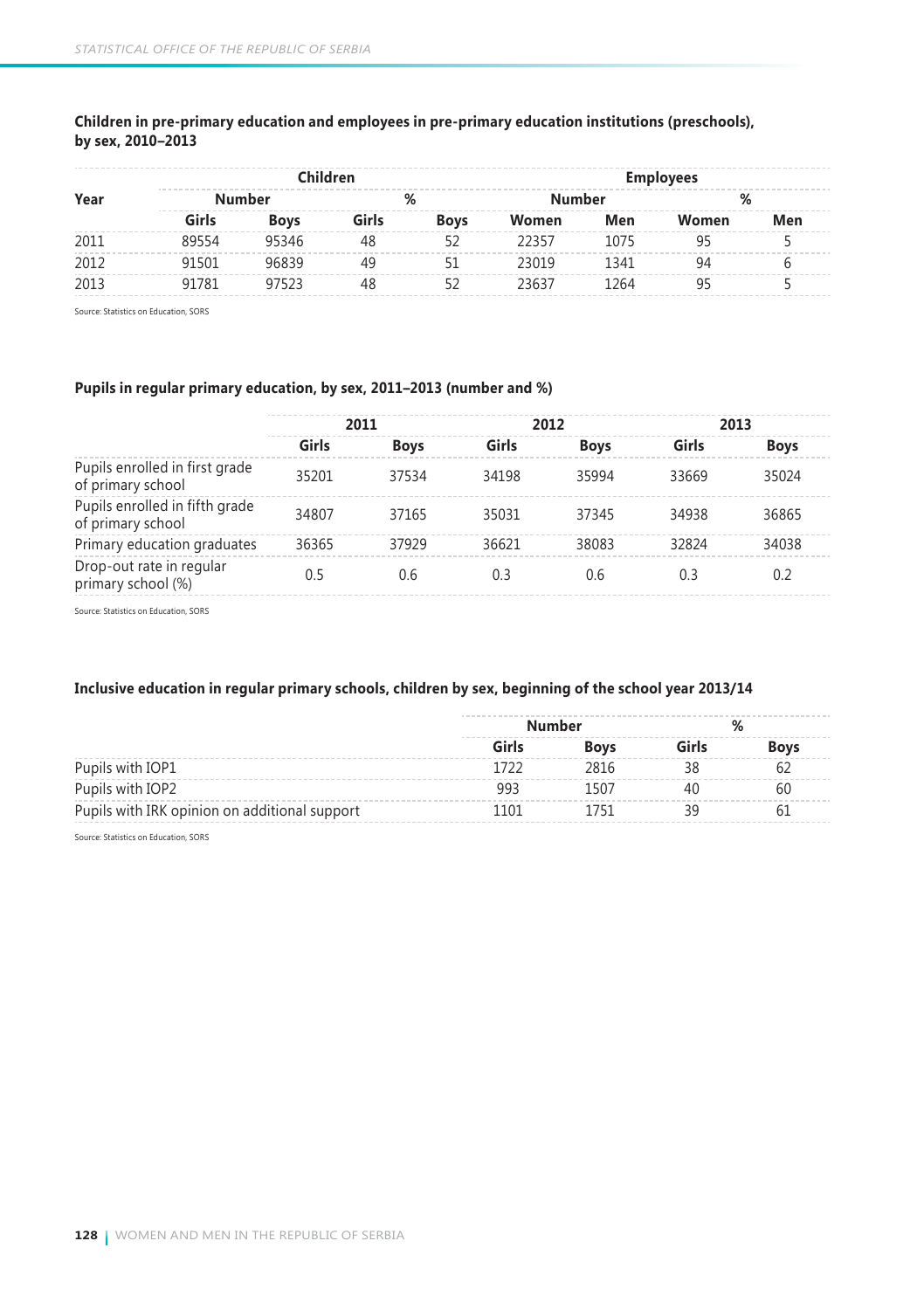|      |        | Children    |       |             |        | <b>Employees</b> |       |     |  |
|------|--------|-------------|-------|-------------|--------|------------------|-------|-----|--|
| Year | Number |             | %     |             | Number |                  | %     |     |  |
|      | Girls  | <b>Boys</b> | Girls | <b>Boys</b> | Women  | Men              | Women | Men |  |
| 2011 | 89554  | 95346       | 48    | 52          | 22357  | 1075             | 95    |     |  |
| 2012 | 91501  | 96839       | 49    |             | 23019  | 1341             | 94    |     |  |
| 2013 | 91781  | 97523       | 48    |             | 23637  | 1264             | ٩F    |     |  |

### **Children in pre-primary education and employees in pre-primary education institutions (preschools), by sex, 2010–2013**

Source: Statistics on Education, SORS

### **Pupils in regular primary education, by sex, 2011–2013 (number and %)**

|                                                     |       | 2011        |       | 2012        | 2013  |             |
|-----------------------------------------------------|-------|-------------|-------|-------------|-------|-------------|
|                                                     | Girls | <b>Boys</b> | Girls | <b>Boys</b> | Girls | <b>Boys</b> |
| Pupils enrolled in first grade<br>of primary school | 35201 | 37534       | 34198 | 35994       | 33669 | 35024       |
| Pupils enrolled in fifth grade<br>of primary school | 34807 | 37165       | 35031 | 37345       | 34938 | 36865       |
| Primary education graduates                         | 36365 | 37929       | 36621 | 38083       | 32824 | 34038       |
| Drop-out rate in regular<br>primary school (%)      | 0.5   | 0.6         | 0.3   | 0.6         | 0.3   | 0.2         |

Source: Statistics on Education, SORS

### **Inclusive education in regular primary schools, children by sex, beginning of the school year 2013/14**

|                                               | <b>Number</b> |      |  |      |
|-----------------------------------------------|---------------|------|--|------|
|                                               | Girls         | Boys |  | Bovs |
| Pupils with IOP1                              |               | 2816 |  |      |
| Pupils with IOP2                              | qq:           |      |  | bl.  |
| Pupils with IRK opinion on additional support | 101           |      |  |      |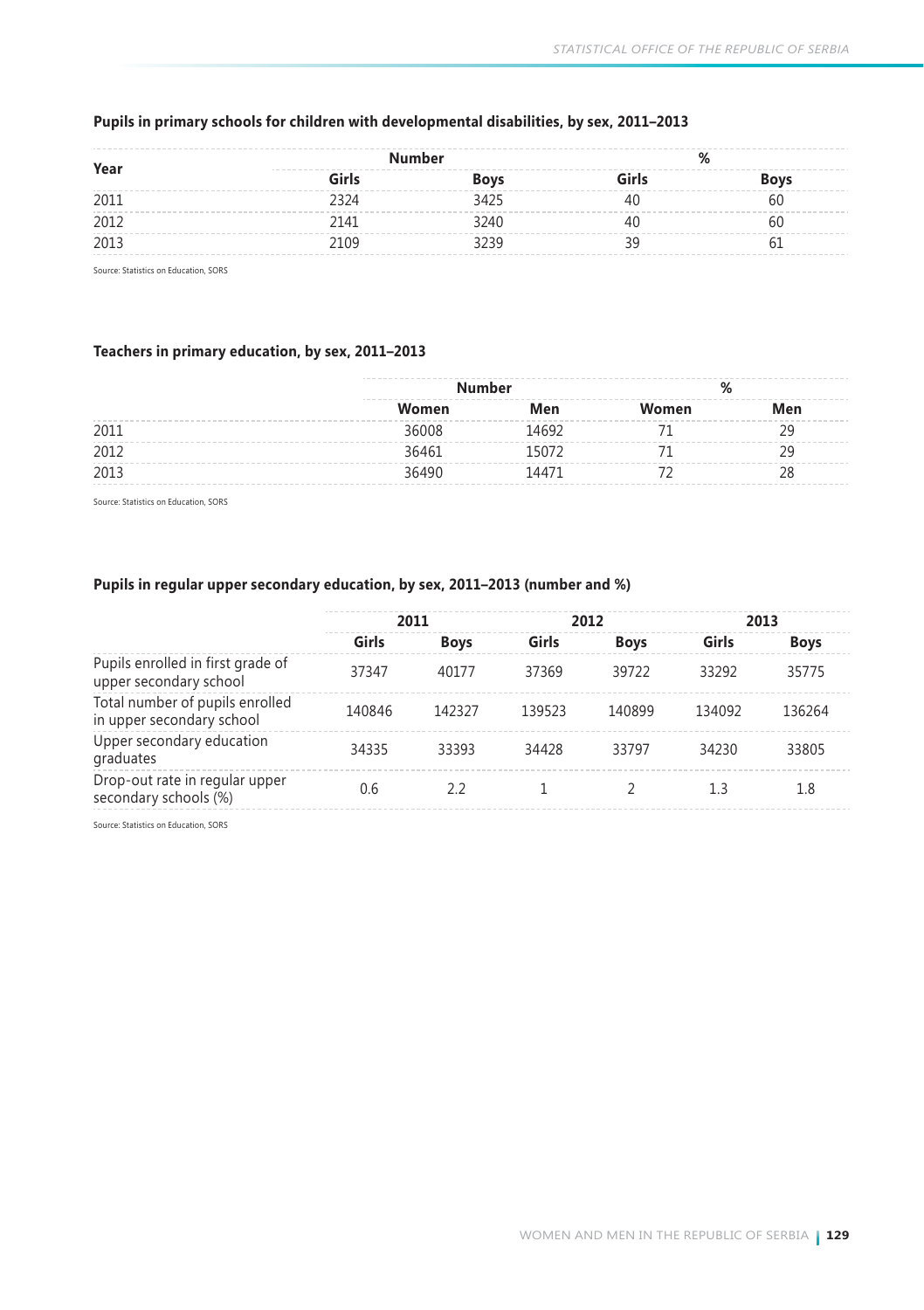| Year | <b>Number</b><br>--------------------------------- |             |       |             |
|------|----------------------------------------------------|-------------|-------|-------------|
|      | Girls                                              | <b>Boys</b> | Girls | <b>Boys</b> |
| 2011 | 2324                                               | 3425        |       | bl.         |
| 2012 | 2141                                               | 3240        |       | hl          |
| 2013 | 2109                                               |             |       |             |

### **Pupils in primary schools for children with developmental disabilities, by sex, 2011–2013**

Source: Statistics on Education, SORS

### **Teachers in primary education, by sex, 2011–2013**

|      | ----<br><b>Number</b> |       | ۵     |     |  |  |
|------|-----------------------|-------|-------|-----|--|--|
|      | Women                 | Men   | Women | Men |  |  |
| 2011 | 36008                 | 14692 |       |     |  |  |
| 2012 | 36461                 |       |       |     |  |  |
| 2013 | 36490                 | 14471 |       |     |  |  |

Source: Statistics on Education, SORS

### **Pupils in regular upper secondary education, by sex, 2011–2013 (number and %)**

|                                                              | 2011   |             | 2012   |             | 2013   |             |
|--------------------------------------------------------------|--------|-------------|--------|-------------|--------|-------------|
|                                                              | Girls  | <b>Boys</b> | Girls  | <b>Boys</b> | Girls  | <b>Boys</b> |
| Pupils enrolled in first grade of<br>upper secondary school  | 37347  | 40177       | 37369  | 39722       | 33292  | 35775       |
| Total number of pupils enrolled<br>in upper secondary school | 140846 | 142327      | 139523 | 140899      | 134092 | 136264      |
| Upper secondary education<br>graduates                       | 34335  | 33393       | 34428  | 33797       | 34230  | 33805       |
| Drop-out rate in regular upper<br>secondary schools (%)      | 0.6    | 22          |        |             | 1.3    | 1.8         |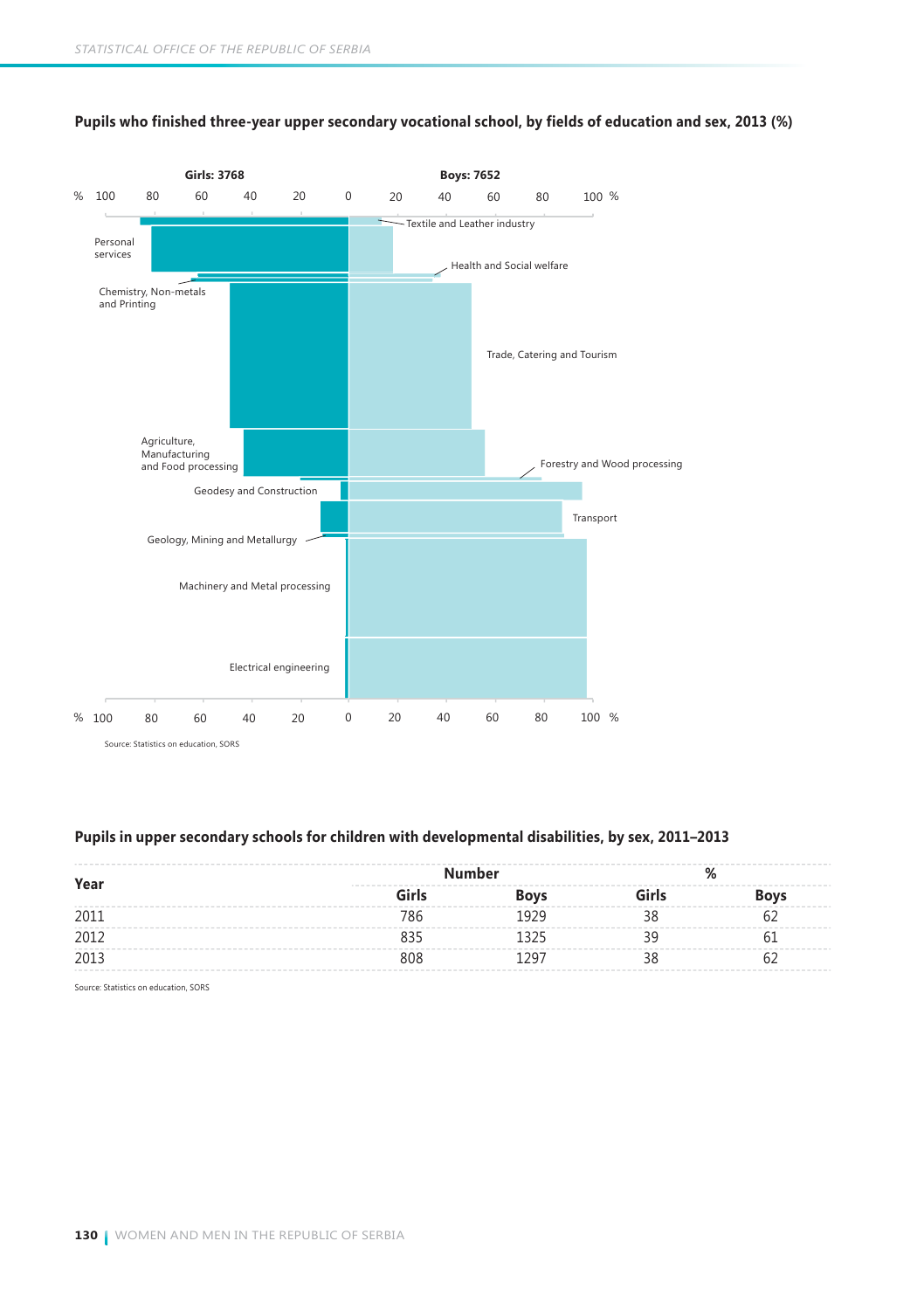

### **Pupils who finished three-year upper secondary vocational school, by fields of education and sex, 2013 (%)**

### **Pupils in upper secondary schools for children with developmental disabilities, by sex, 2011–2013**

| Year | <b>Number</b> |             |       |             |  |
|------|---------------|-------------|-------|-------------|--|
|      | Girls         | <b>Boys</b> | Girls | <b>Boys</b> |  |
| 2011 |               | 1929        |       |             |  |
| 2012 |               |             |       |             |  |
| 2013 | 808           | ۵۵.         |       |             |  |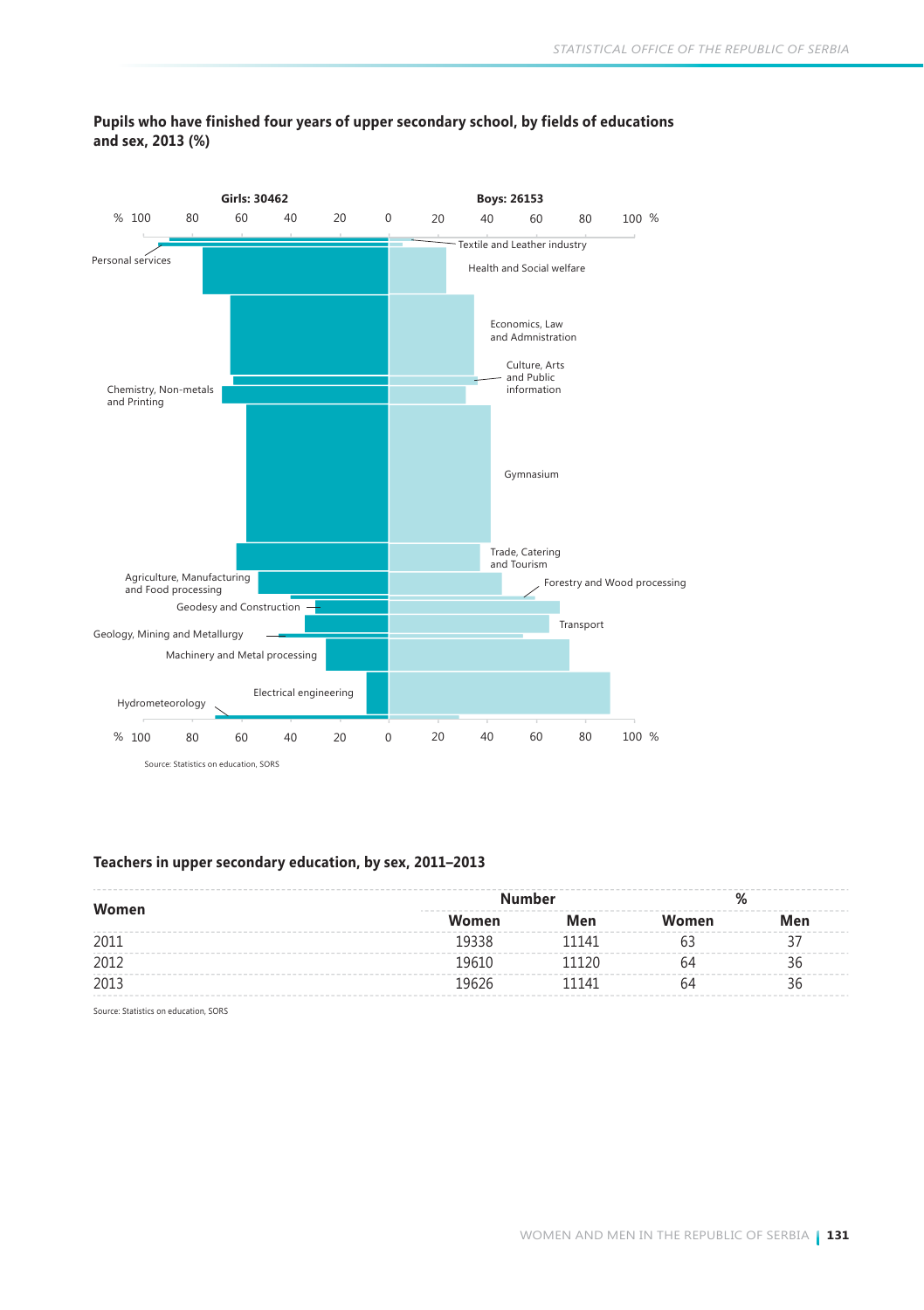

### **Pupils who have finished four years of upper secondary school, by fields of educations and sex, 2013 (%)**

### **Teachers in upper secondary education, by sex, 2011–2013**

| Women | Men   | Women         | Men |  |
|-------|-------|---------------|-----|--|
| 19338 | 11141 |               |     |  |
| 19610 | 11120 | h4            | 36  |  |
| 19626 | 11141 | 64            | 36  |  |
|       |       | <b>Number</b> |     |  |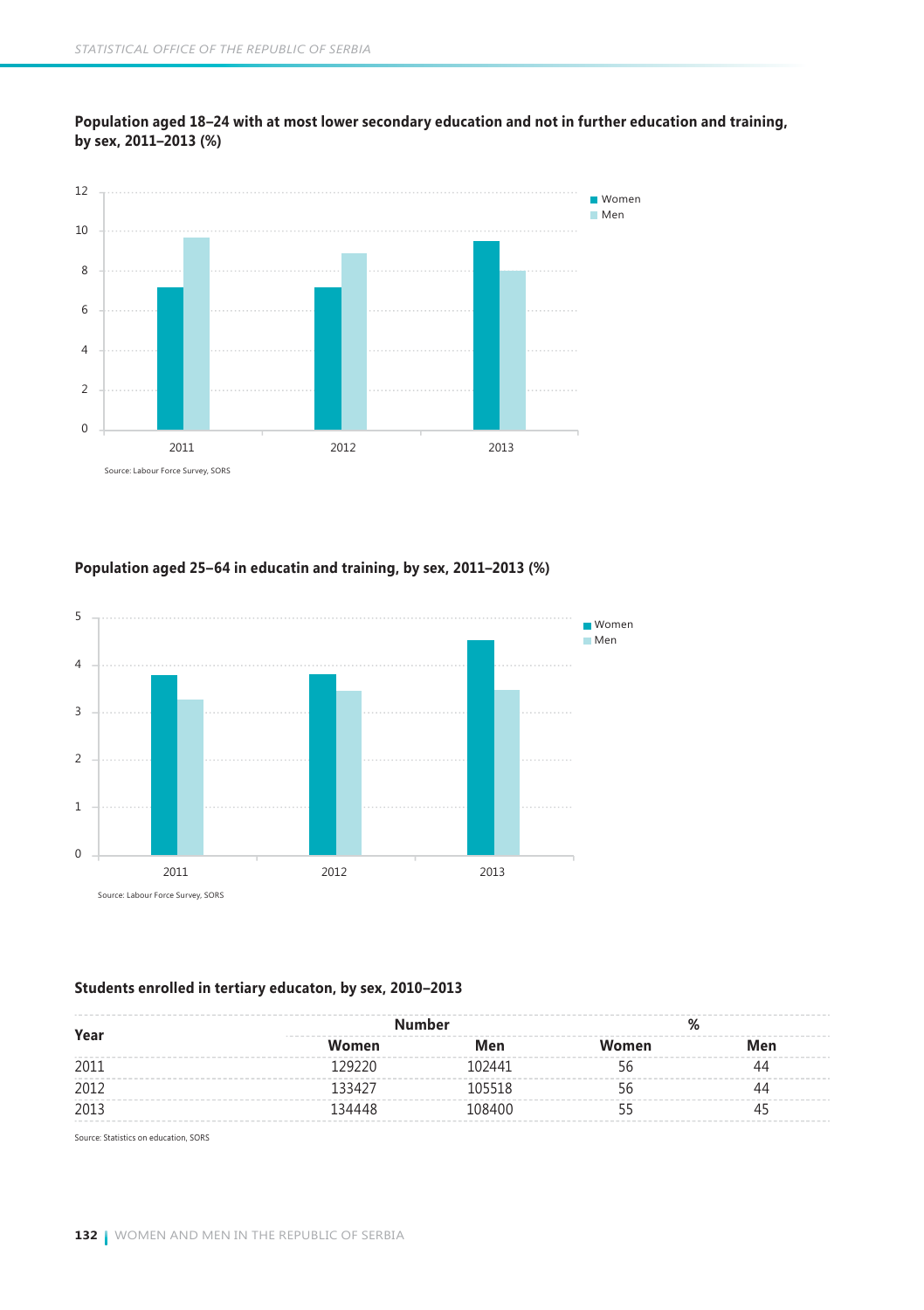

**Population aged 18–24 with at most lower secondary education and not in further education and training, by sex, 2011–2013 (%)**

### **Population aged 25–64 in educatin and training, by sex, 2011–2013 (%)**



### **Students enrolled in tertiary educaton, by sex, 2010–2013**

| Year |        | <b>Number</b> |       |     |
|------|--------|---------------|-------|-----|
|      | Women  | Men           | Women | Men |
| 2011 | 29220  | 102441        |       |     |
| 2012 | 133427 | 105518        |       |     |
| 2013 | 134448 | 108400        |       |     |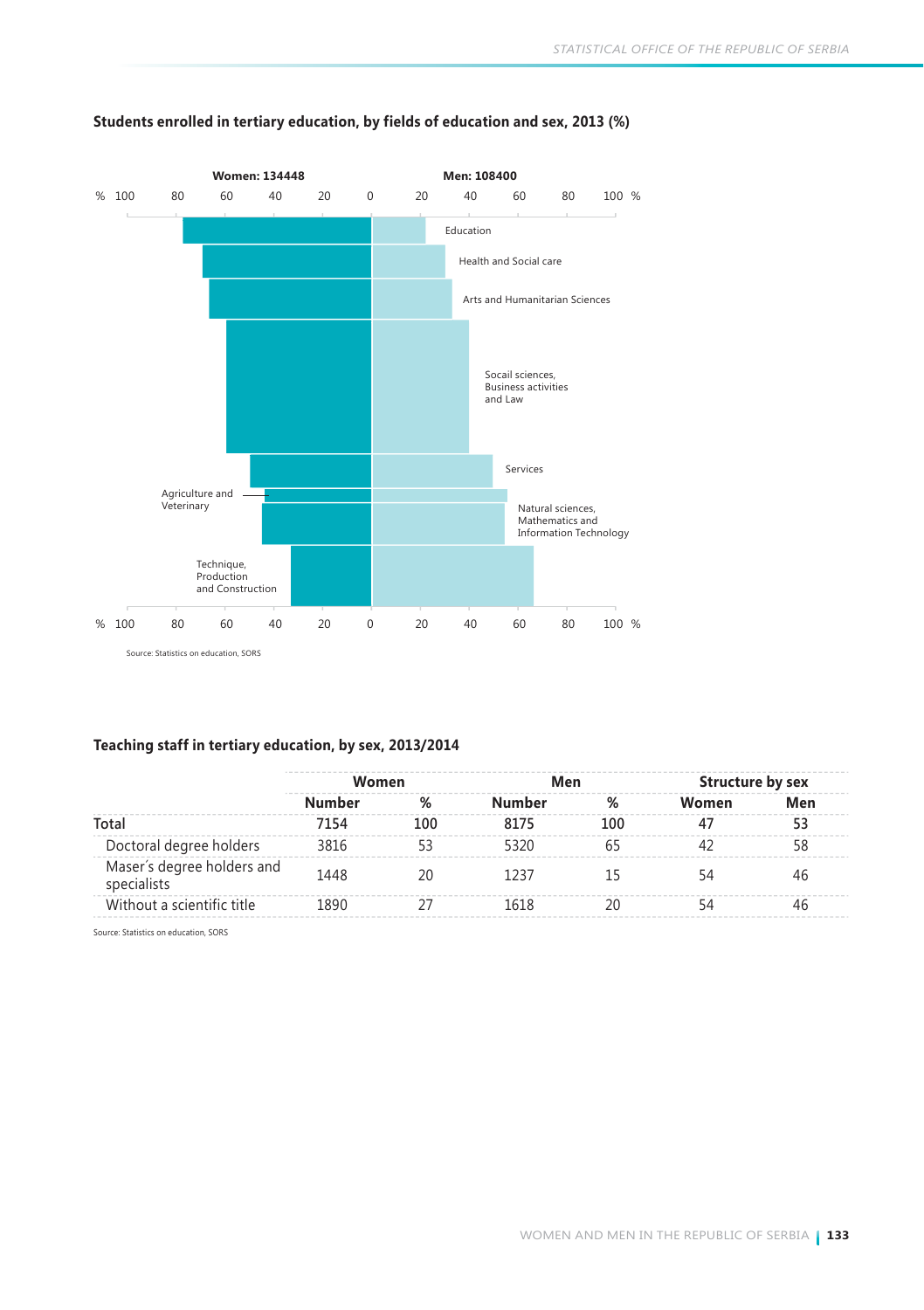

### **Students enrolled in tertiary education, by fields of education and sex, 2013 (%)**

### **Teaching staff in tertiary education, by sex, 2013/2014**

|                                           | Women  |     |        | Men |       | Structure by sex |
|-------------------------------------------|--------|-----|--------|-----|-------|------------------|
|                                           | Number | %   | Number | %   | Women | Men              |
| Total                                     | 7154   | 100 | 8175   | 100 |       | 53               |
| Doctoral degree holders                   | 3816   |     | 5320   |     |       | 58               |
| Maser's degree holders and<br>specialists | 1448   | 20  | 1237   |     |       |                  |
| Without a scientific title                | 1890   |     | 1618   |     |       | 46               |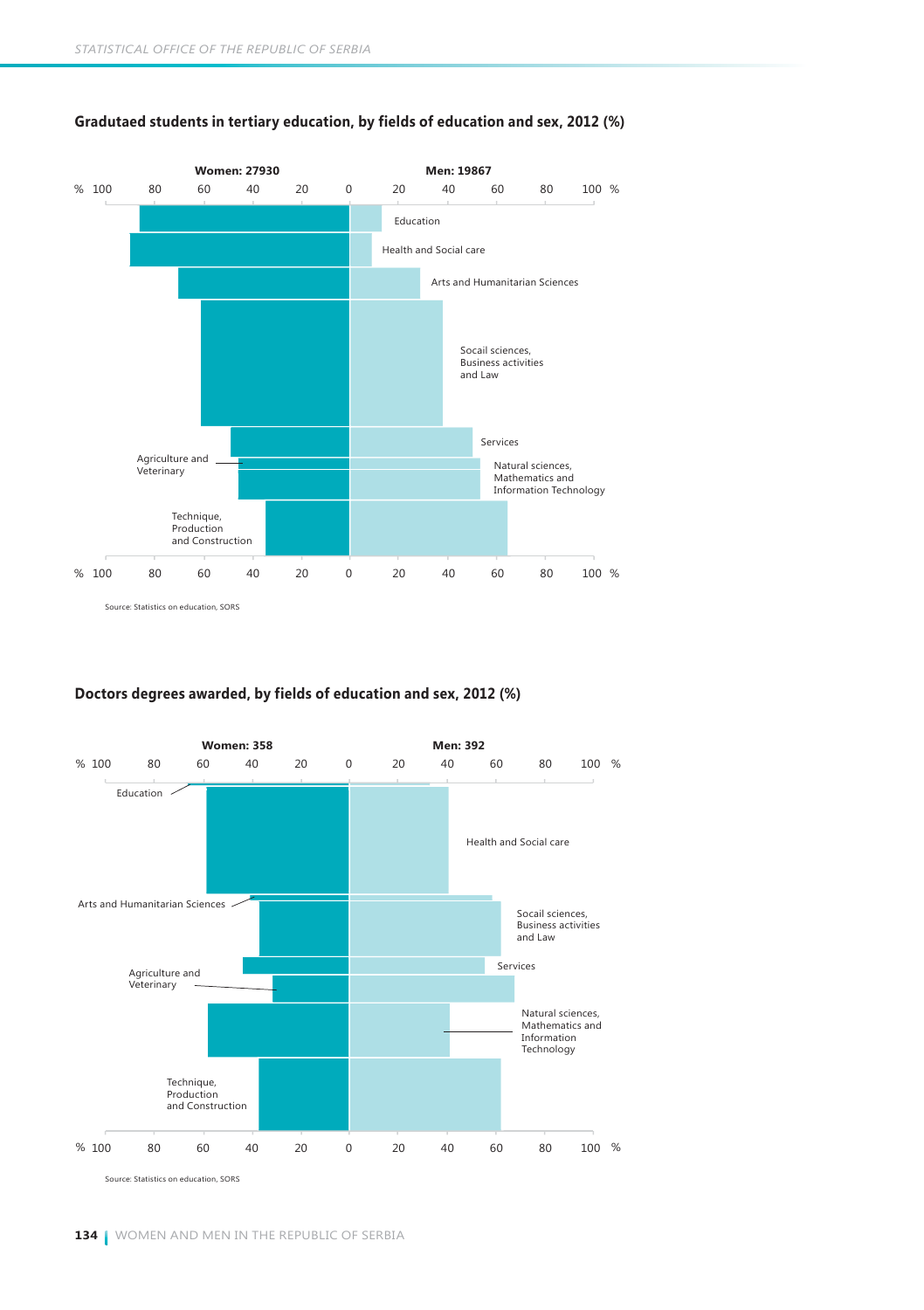

### **Gradutaed students in tertiary education, by fields of education and sex, 2012 (%)**

### **Doctors degrees awarded, by fields of education and sex, 2012 (%)**

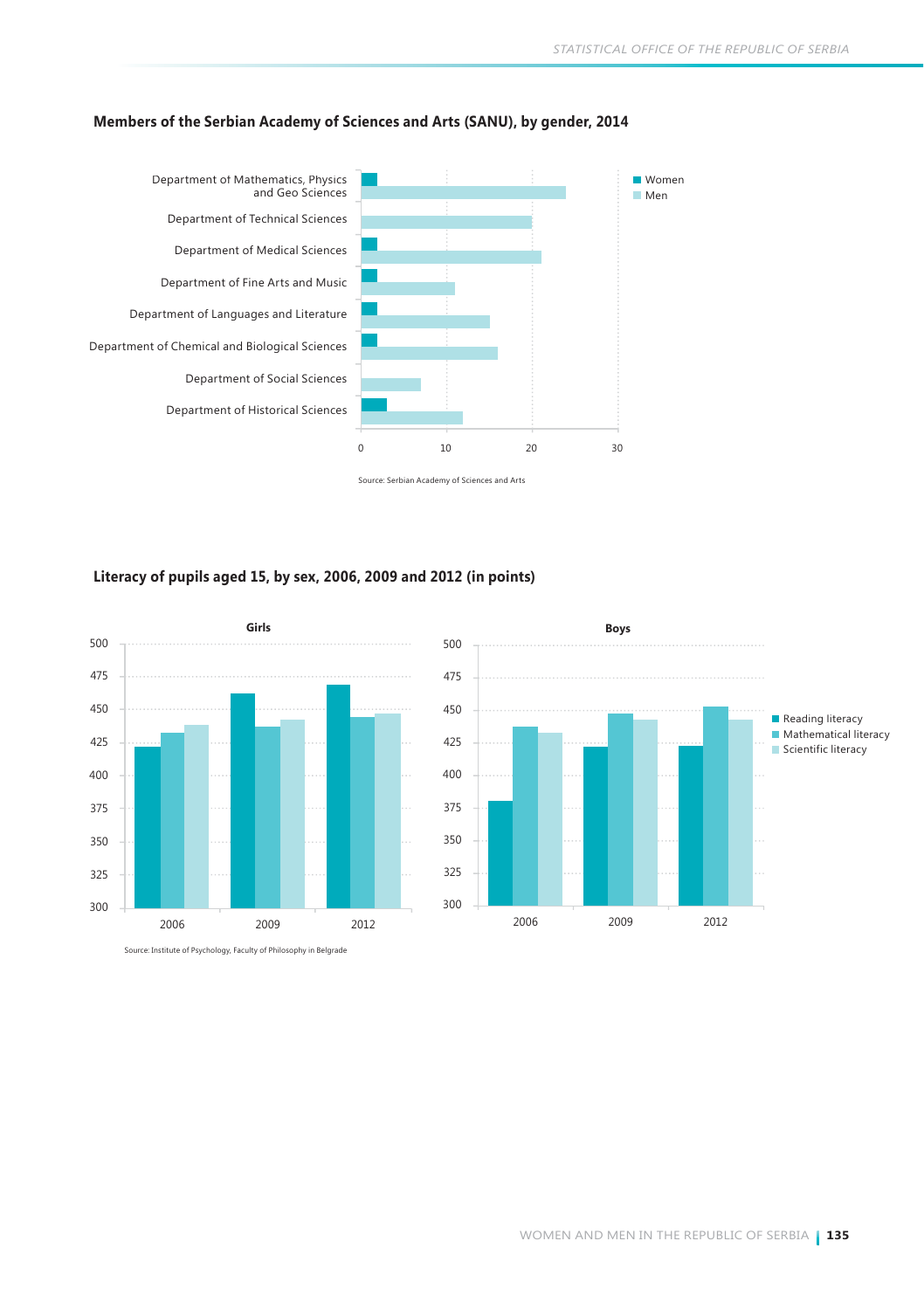

### **Members of the Serbian Academy of Sciences and Arts (SANU), by gender, 2014**

Source: Serbian Academy of Sciences and Arts

### **Literacy of pupils aged 15, by sex, 2006, 2009 and 2012 (in points)**

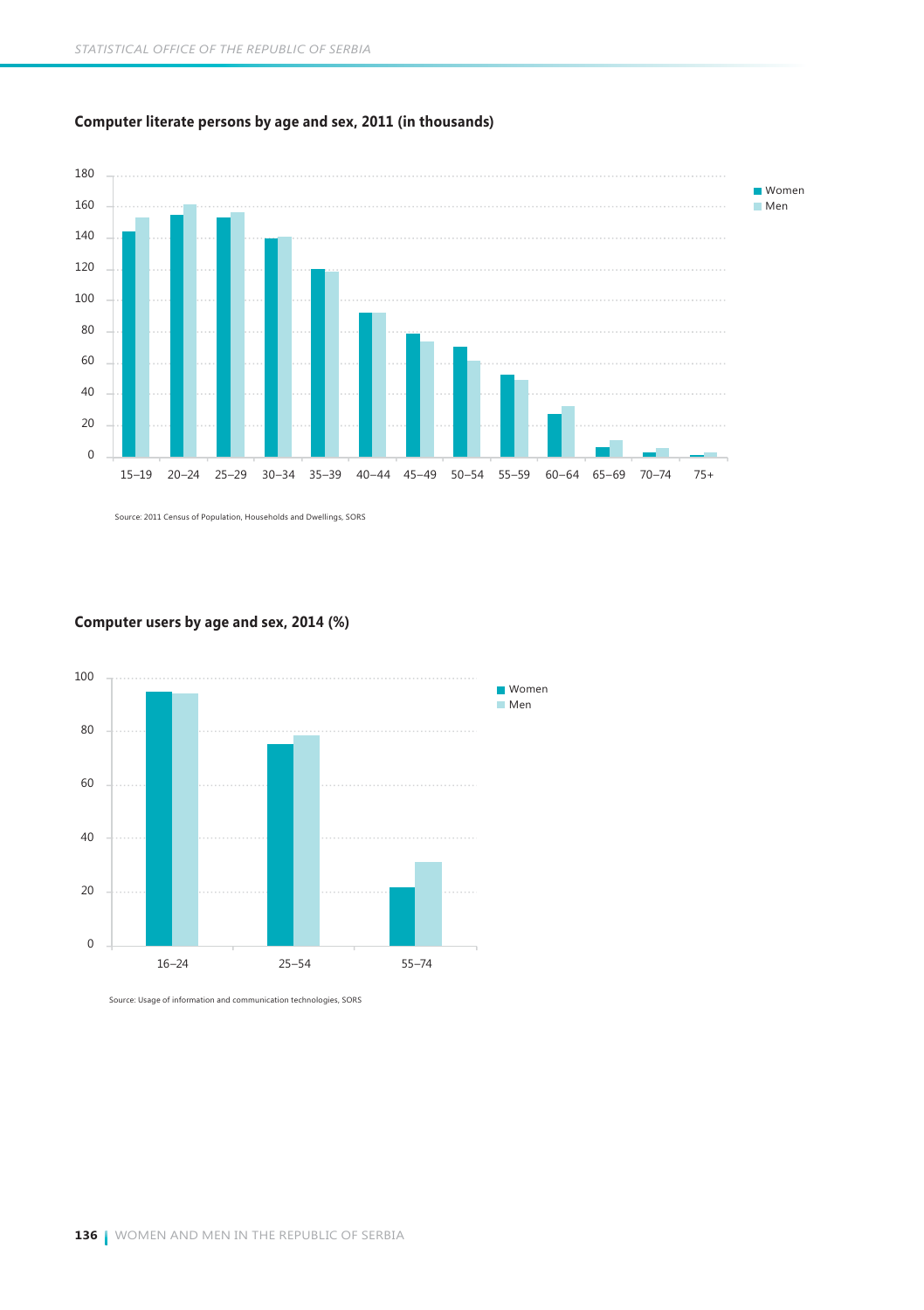

### **Computer literate persons by age and sex, 2011 (in thousands)**

Source: 2011 Census of Population, Households and Dwellings, SORS

### **Computer users by age and sex, 2014 (%)**



Source: Usage of information and communication technologies, SORS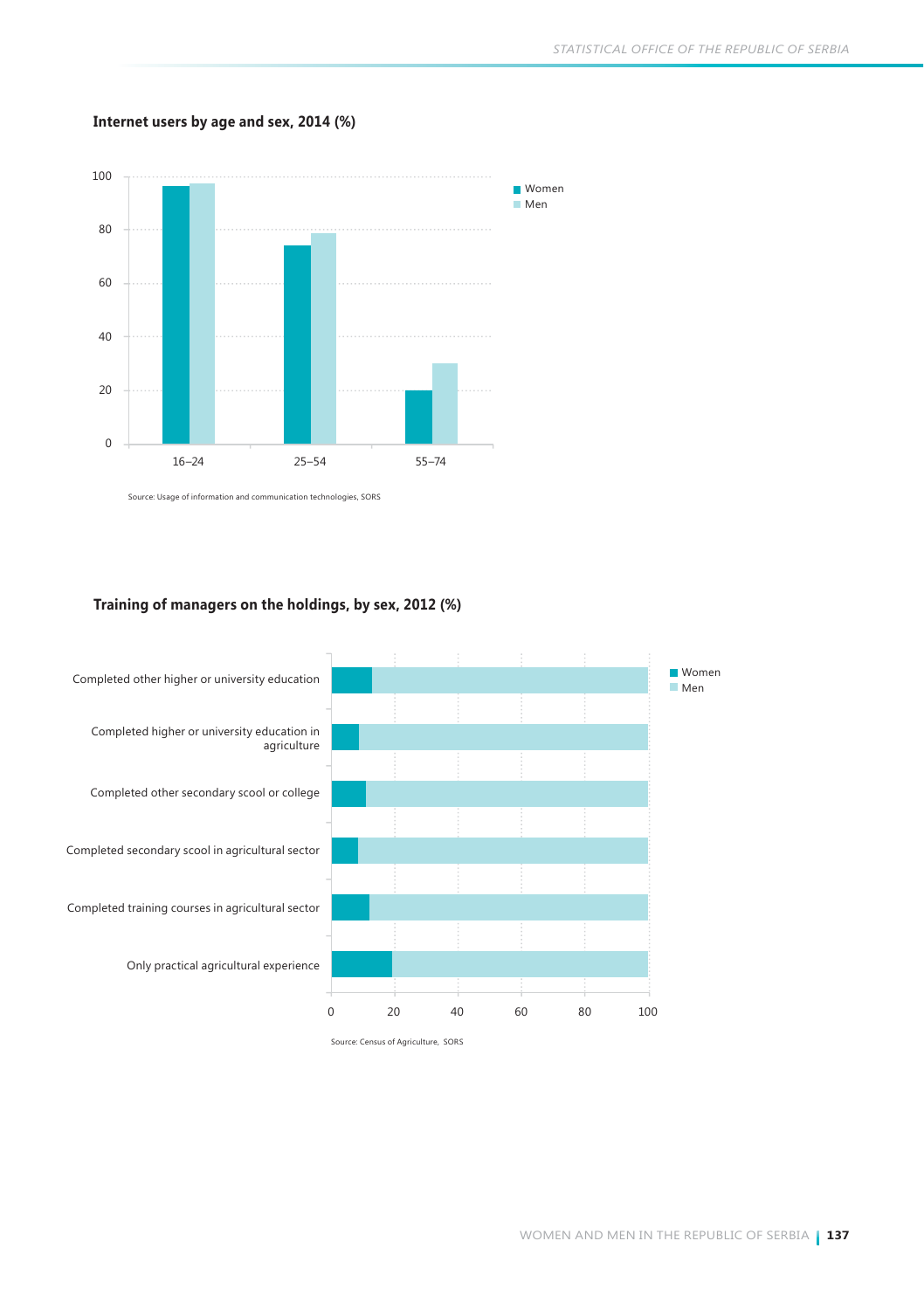### **Internet users by age and sex, 2014 (%)**



Source: Usage of information and communication technologies, SORS

### **Training of managers on the holdings, by sex, 2012 (%)**



Source: Census of Agriculture, SORS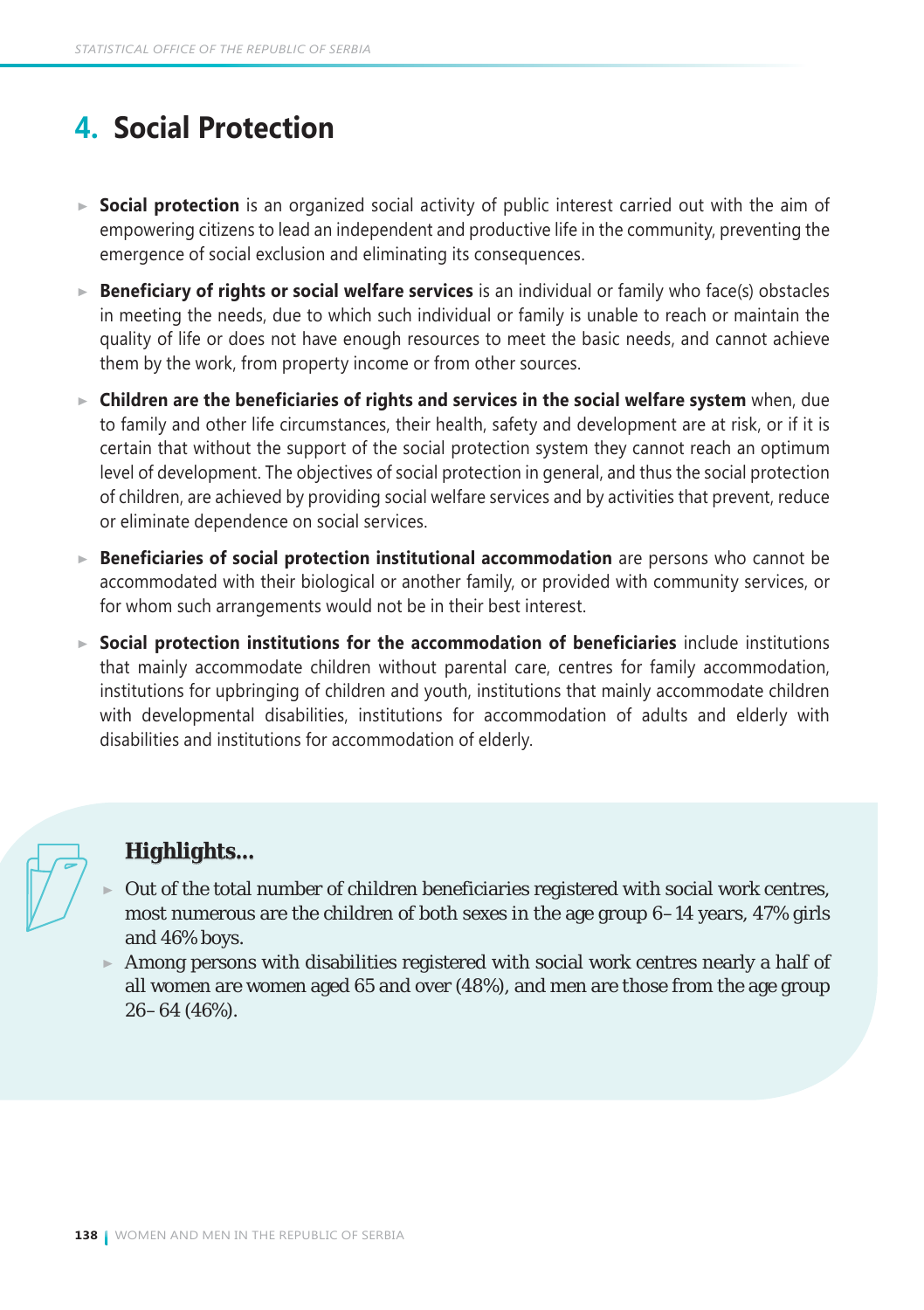# **4. Social Protection**

- **Social protection** is an organized social activity of public interest carried out with the aim of empowering citizens to lead an independent and productive life in the community, preventing the emergence of social exclusion and eliminating its consequences.
- ► **Beneficiary of rights or social welfare services** is an individual or family who face(s) obstacles in meeting the needs, due to which such individual or family is unable to reach or maintain the quality of life or does not have enough resources to meet the basic needs, and cannot achieve them by the work, from property income or from other sources.
- **Children are the beneficiaries of rights and services in the social welfare system** when, due to family and other life circumstances, their health, safety and development are at risk, or if it is certain that without the support of the social protection system they cannot reach an optimum level of development. The objectives of social protection in general, and thus the social protection of children, are achieved by providing social welfare services and by activities that prevent, reduce or eliminate dependence on social services.
- **Beneficiaries of social protection institutional accommodation** are persons who cannot be accommodated with their biological or another family, or provided with community services, or for whom such arrangements would not be in their best interest.
- **Social protection institutions for the accommodation of beneficiaries** include institutions that mainly accommodate children without parental care, centres for family accommodation, institutions for upbringing of children and youth, institutions that mainly accommodate children with developmental disabilities, institutions for accommodation of adults and elderly with disabilities and institutions for accommodation of elderly.

## *Highlights...*

- Out of the total number of children beneficiaries registered with social work centres, most numerous are the children of both sexes in the age group 6–14 years, 47% girls and 46% boys.
- $\triangleright$  Among persons with disabilities registered with social work centres nearly a half of all women are women aged 65 and over (48%), and men are those from the age group 26–64 (46%).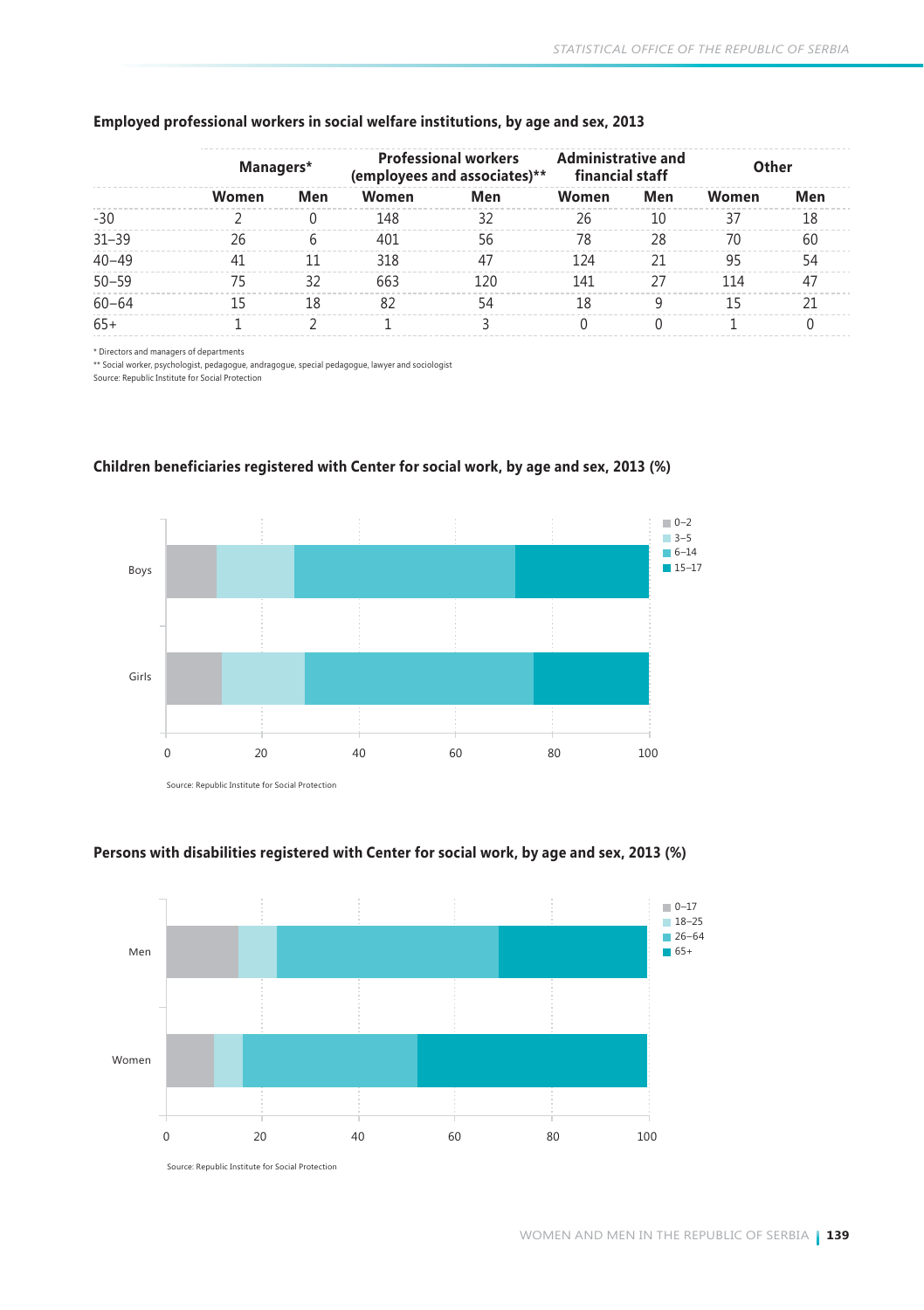|           | Managers* |     | <b>Professional workers</b><br>(employees and associates)** |     | <b>Administrative and</b><br>financial staff |     | Other |     |
|-----------|-----------|-----|-------------------------------------------------------------|-----|----------------------------------------------|-----|-------|-----|
|           | Women     | Men | Women                                                       | Men | Women                                        | Men | Women | Men |
| $-30$     |           |     | 148                                                         | 32  | 26                                           | 10  | 37    | 18  |
| $31 - 39$ | 26        | 6   | 401                                                         | 56  | 78                                           | 28  | 70    | 60  |
| $40 - 49$ | 41        | 11  | 318                                                         | 47  | 124                                          | 21  | 95    | 54  |
| $50 - 59$ | 75        | 32  | 663                                                         | 120 | 141                                          | 27  | 114   | 47  |
| $60 - 64$ | 15        | 18  | 82                                                          | 54  | 18                                           | q   | 15    | 21  |
| $65+$     |           |     |                                                             |     |                                              |     |       |     |

#### **Employed professional workers in social welfare institutions, by age and sex, 2013**

\* Directors and managers of departments

\*\* Social worker, psychologist, pedagogue, andragogue, special pedagogue, lawyer and sociologist Source: Republic Institute for Social Protection



### **Children beneficiaries registered with Center for social work, by age and sex, 2013 (%)**

Source: Republic Institute for Social Protection



### **Persons with disabilities registered with Center for social work, by age and sex, 2013 (%)**

Source: Republic Institute for Social Protection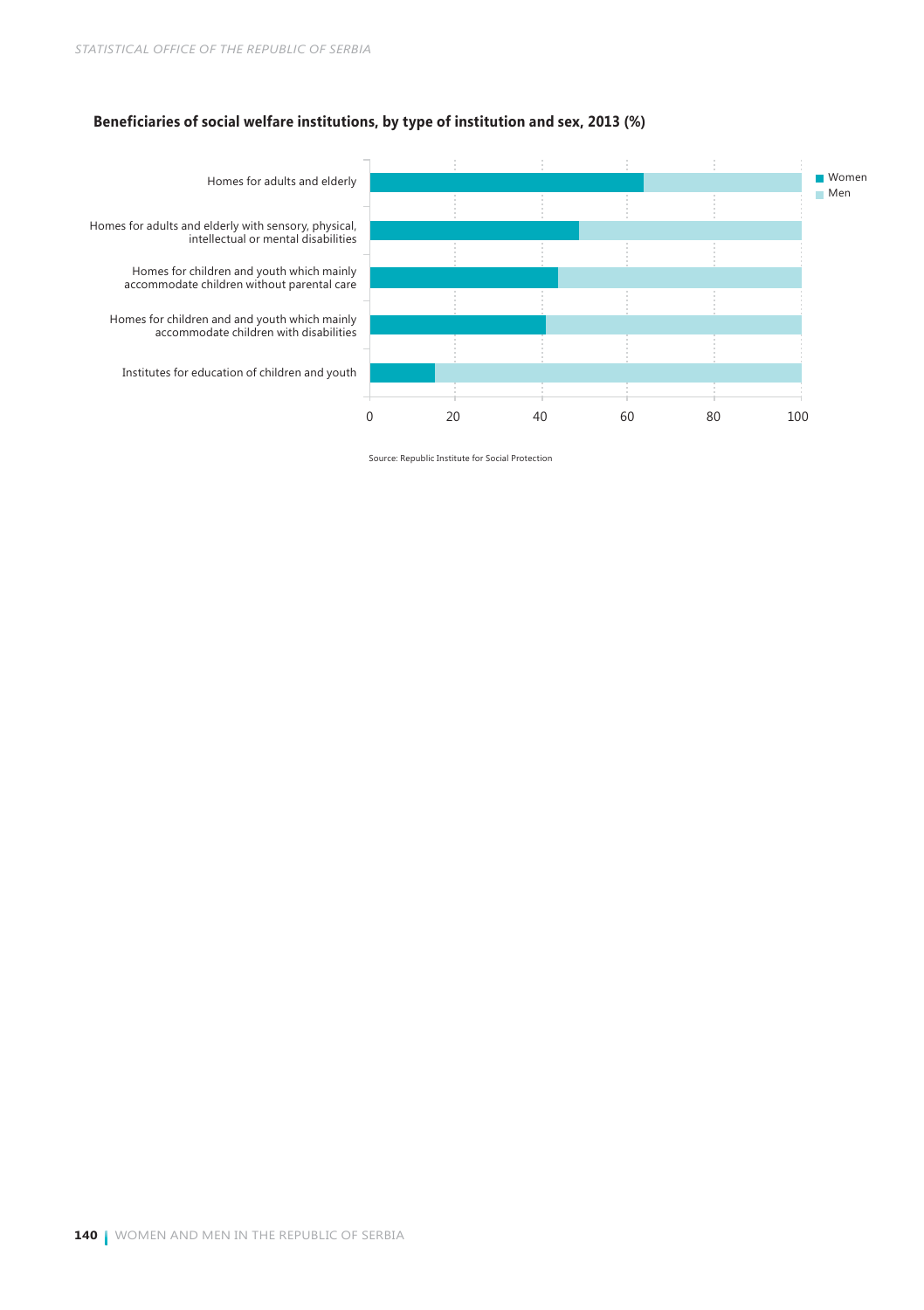### **Beneficiaries of social welfare institutions, by type of institution and sex, 2013 (%)**



Source: Republic Institute for Social Protection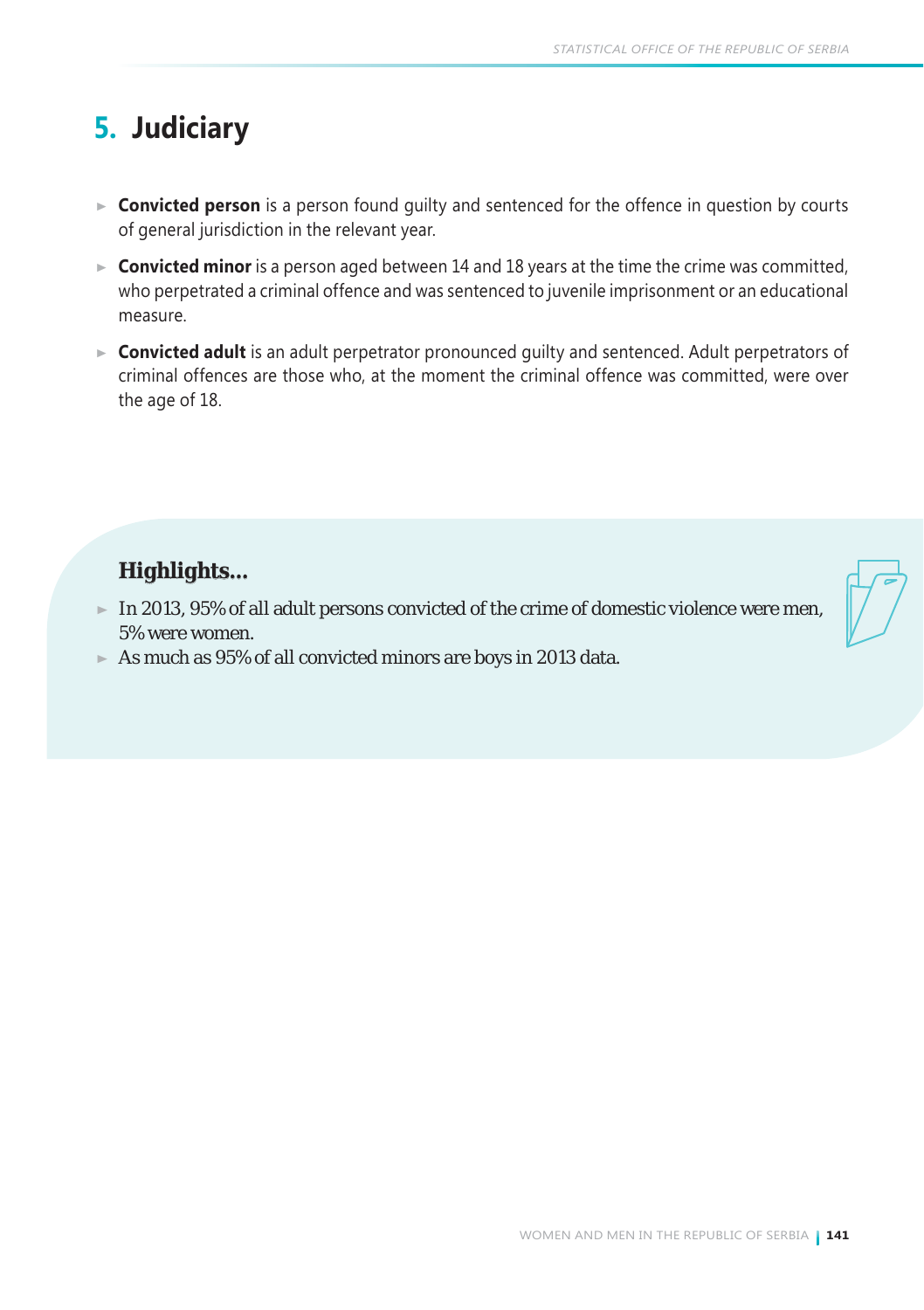# **5. Judiciary**

- **Convicted person** is a person found guilty and sentenced for the offence in question by courts of general jurisdiction in the relevant year.
- ► **Convicted minor** is a person aged between 14 and 18 years at the time the crime was committed, who perpetrated a criminal offence and was sentenced to juvenile imprisonment or an educational measure.
- **Convicted adult** is an adult perpetrator pronounced guilty and sentenced. Adult perpetrators of criminal offences are those who, at the moment the criminal offence was committed, were over the age of 18.

## *Highlights...*

- $\blacktriangleright$  In 2013, 95% of all adult persons convicted of the crime of domestic violence were men, 5% were women.
- $\blacktriangleright$  As much as 95% of all convicted minors are boys in 2013 data.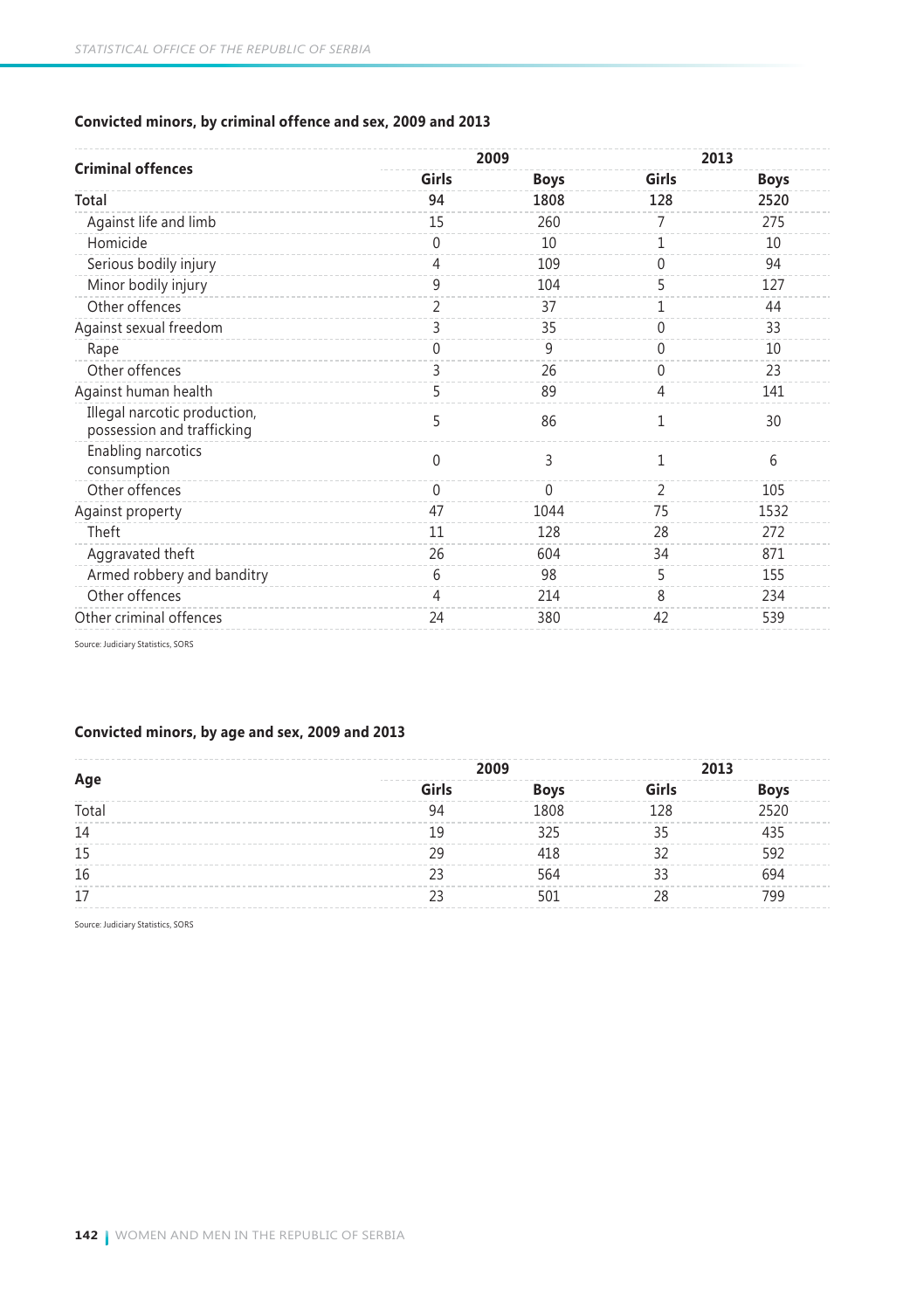### **Convicted minors, by criminal offence and sex, 2009 and 2013**

|                                                            |                | 2009        |                | 2013 |
|------------------------------------------------------------|----------------|-------------|----------------|------|
| <b>Criminal offences</b>                                   | Girls          | <b>Boys</b> | Girls          | Boys |
| Total                                                      | 94             | 1808        | 128            | 2520 |
| Against life and limb                                      | 15             | 260         | 7              | 275  |
| Homicide                                                   | $\Omega$       | 10          | 1              | 10   |
| Serious bodily injury                                      | $\overline{4}$ | 109         | $\Omega$       | 94   |
| Minor bodily injury                                        | 9              | 104         | 5              | 127  |
| Other offences                                             | $\overline{2}$ | 37          | 1              | 44   |
| Against sexual freedom                                     | 3              | 35          | 0              | 33   |
| Rape                                                       | $\Omega$       | 9           | 0              | 10   |
| Other offences                                             | 3              | 26          | 0              | 23   |
| Against human health                                       | 5              | 89          | 4              | 141  |
| Illegal narcotic production,<br>possession and trafficking | 5              | 86          | 1              | 30   |
| Enabling narcotics<br>consumption                          | $\theta$       | 3           | 1              | 6    |
| Other offences                                             | $\Omega$       | $\Omega$    | $\overline{2}$ | 105  |
| Against property                                           | 47             | 1044        | 75             | 1532 |
| Theft                                                      | 11             | 128         | 28             | 272  |
| Aggravated theft                                           | 26             | 604         | 34             | 871  |
| Armed robbery and banditry                                 | 6              | 98          | 5              | 155  |
| Other offences                                             | 4              | 214         | 8              | 234  |
| Other criminal offences                                    | 24             | 380         | 42             | 539  |
|                                                            |                |             |                |      |

Source: Judiciary Statistics, SORS

### **Convicted minors, by age and sex, 2009 and 2013**

|       | 2009                    |                | 2013  |             |
|-------|-------------------------|----------------|-------|-------------|
| Age   | -------<br><b>Girls</b> | <b>Boys</b>    | Girls | <b>Boys</b> |
| Total |                         | R <sub>0</sub> | 178   |             |
| 14    |                         |                |       |             |
| 15    |                         |                |       |             |
| 16    |                         |                |       |             |
|       |                         |                |       | 'ac         |

Source: Judiciary Statistics, SORS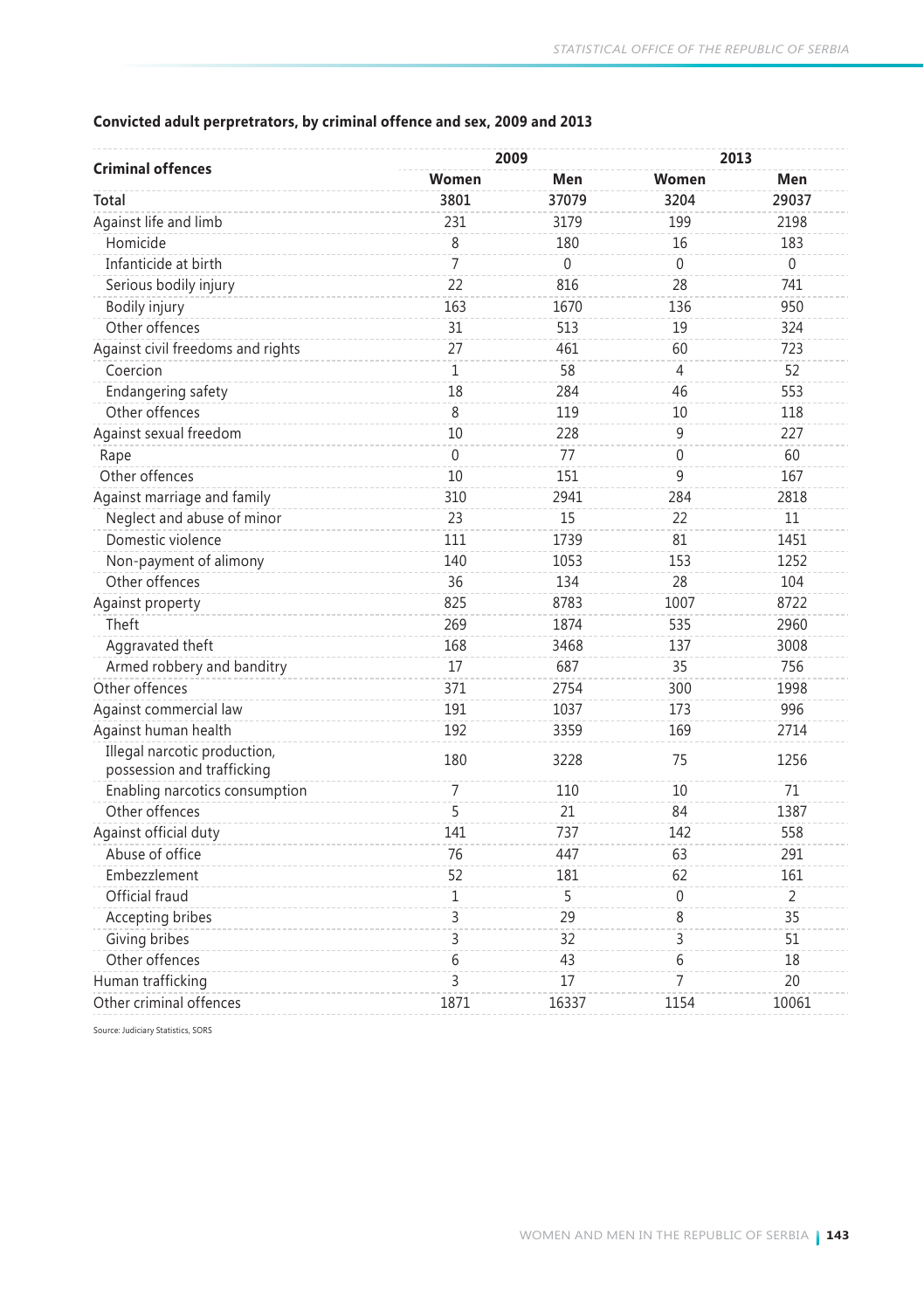### **Convicted adult perpretrators, by criminal offence and sex, 2009 and 2013**

| <b>Criminal offences</b>                                   | 2009         |       |          | 2013           |
|------------------------------------------------------------|--------------|-------|----------|----------------|
|                                                            | Women        | Men   | Women    | Men            |
| Total                                                      | 3801         | 37079 | 3204     | 29037          |
| Against life and limb                                      | 231          | 3179  | 199      | 2198           |
| Homicide                                                   | 8            | 180   | 16       | 183            |
| Infanticide at birth                                       | 7            | 0     | $\Omega$ | $\Omega$       |
| Serious bodily injury                                      | 22           | 816   | 28       | 741            |
| Bodily injury                                              | 163          | 1670  | 136      | 950            |
| Other offences                                             | 31           | 513   | 19       | 324            |
| Against civil freedoms and rights                          | 27           | 461   | 60       | 723            |
| Coercion                                                   | $\mathbf{1}$ | 58    | 4        | 52             |
| Endangering safety                                         | 18           | 284   | 46       | 553            |
| Other offences                                             | 8            | 119   | 10       | 118            |
| Against sexual freedom                                     | 10           | 228   | 9        | 227            |
| Rape                                                       | $\Omega$     | 77    | $\Omega$ | 60             |
| Other offences                                             | 10           | 151   | 9        | 167            |
| Against marriage and family                                | 310          | 2941  | 284      | 2818           |
| Neglect and abuse of minor                                 | 23           | 15    | 22       | 11             |
| Domestic violence                                          | 111          | 1739  | 81       | 1451           |
| Non-payment of alimony                                     | 140          | 1053  | 153      | 1252           |
| Other offences                                             | 36           | 134   | 28       | 104            |
| Against property                                           | 825          | 8783  | 1007     | 8722           |
| Theft                                                      | 269          | 1874  | 535      | 2960           |
| Aggravated theft                                           | 168          | 3468  | 137      | 3008           |
| Armed robbery and banditry                                 | 17           | 687   | 35       | 756            |
| Other offences                                             | 371          | 2754  | 300      | 1998           |
| Against commercial law                                     | 191          | 1037  | 173      | 996            |
| Against human health                                       | 192          | 3359  | 169      | 2714           |
| Illegal narcotic production,<br>possession and trafficking | 180          | 3228  | 75       | 1256           |
| Enabling narcotics consumption                             | 7            | 110   | 10       | 71             |
| Other offences                                             | 5            | 21    | 84       | 1387           |
| Against official duty                                      | 141          | 737   | 142      | 558            |
| Abuse of office                                            | 76           | 447   | 63       | 291            |
| Embezzlement                                               | 52           | 181   | 62       | 161            |
| Official fraud                                             | 1            | 5     | 0        | $\overline{2}$ |
| Accepting bribes                                           | 3            | 29    | 8        | 35             |
| Giving bribes                                              | 3            | 32    | 3        | 51             |
| Other offences                                             | 6            | 43    | 6        | 18             |
| Human trafficking                                          | 3            | 17    | 7        | 20             |
| Other criminal offences                                    | 1871         | 16337 | 1154     | 10061          |

Source: Judiciary Statistics, SORS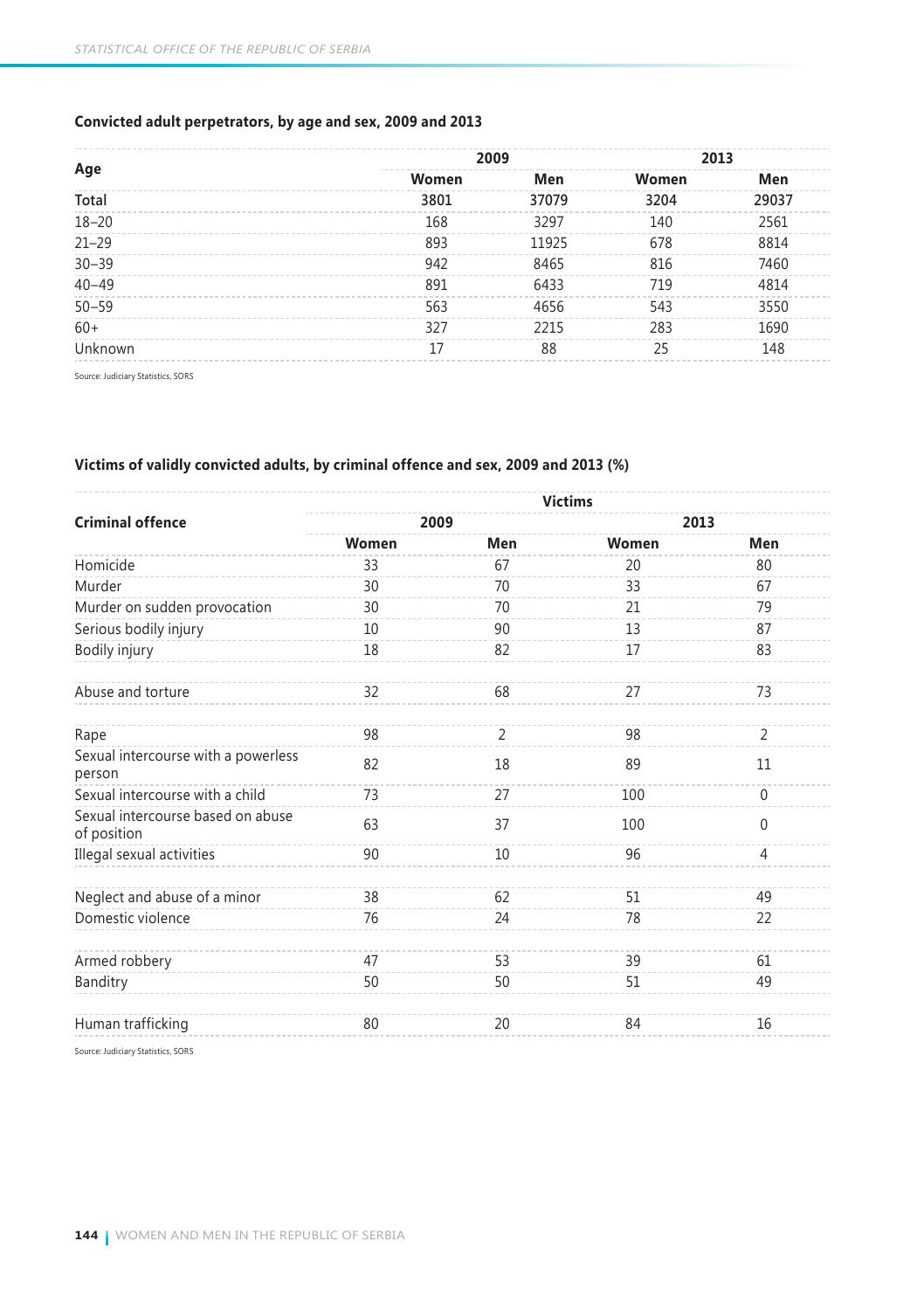### **Convicted adult perpetrators, by age and sex, 2009 and 2013**

|           | 2009  |       | 2013  |       |
|-----------|-------|-------|-------|-------|
| Age       | Women | Men   | Women | Men   |
| Total     | 3801  | 37079 | 3204  | 29037 |
| $18 - 20$ | 168   | 3297  | 140   | 2561  |
| $21 - 29$ | 893   | 11925 | 678   | 8814  |
| $30 - 39$ | 942   | 8465  | 816   | 7460  |
| $40 - 49$ | 891   | 6433  | 719   | 4814  |
| $50 - 59$ | 563   | 4656  | 543   | 3550  |
| $60+$     | 327   | 2215  | 283   | 1690  |
| Unknown   | 17    | 88    | 25    | 148   |

Source: Judiciary Statistics, SORS

### **Victims of validly convicted adults, by criminal offence and sex, 2009 and 2013 (%)**

|                                                  | <b>Victims</b> |                |       |                |  |
|--------------------------------------------------|----------------|----------------|-------|----------------|--|
| <b>Criminal offence</b>                          | 2009           |                | 2013  |                |  |
|                                                  | Women          | Men            | Women | Men            |  |
| Homicide                                         | 33             | 67             | 20    | 80             |  |
| Murder                                           | 30             | 70             | 33    | 67             |  |
| Murder on sudden provocation                     | 30             | 70             | 21    | 79             |  |
| Serious bodily injury                            | 10             | 90             | 13    | 87             |  |
| Bodily injury                                    | 18             | 82             | 17    | 83             |  |
| Abuse and torture                                | 32             | 68             | 27    | 73             |  |
| Rape                                             | 98             | $\overline{2}$ | 98    | $\overline{2}$ |  |
| Sexual intercourse with a powerless<br>person    | 82             | 18             | 89    | 11             |  |
| Sexual intercourse with a child                  | 73             | 27             | 100   | $\mathbf 0$    |  |
| Sexual intercourse based on abuse<br>of position | 63             | 37             | 100   | $\theta$       |  |
| Illegal sexual activities                        | 90             | 10             | 96    | $\overline{4}$ |  |
| Neglect and abuse of a minor                     | 38             | 62             | 51    | 49             |  |
| Domestic violence                                | 76             | 24             | 78    | 22             |  |
| Armed robbery                                    | 47             | 53             | 39    | 61             |  |
| Banditry                                         | 50             | 50             | 51    | 49             |  |
| Human trafficking                                | 80             | 20             | 84    | 16             |  |
| Source: Judiciary Statistics, SORS               |                |                |       |                |  |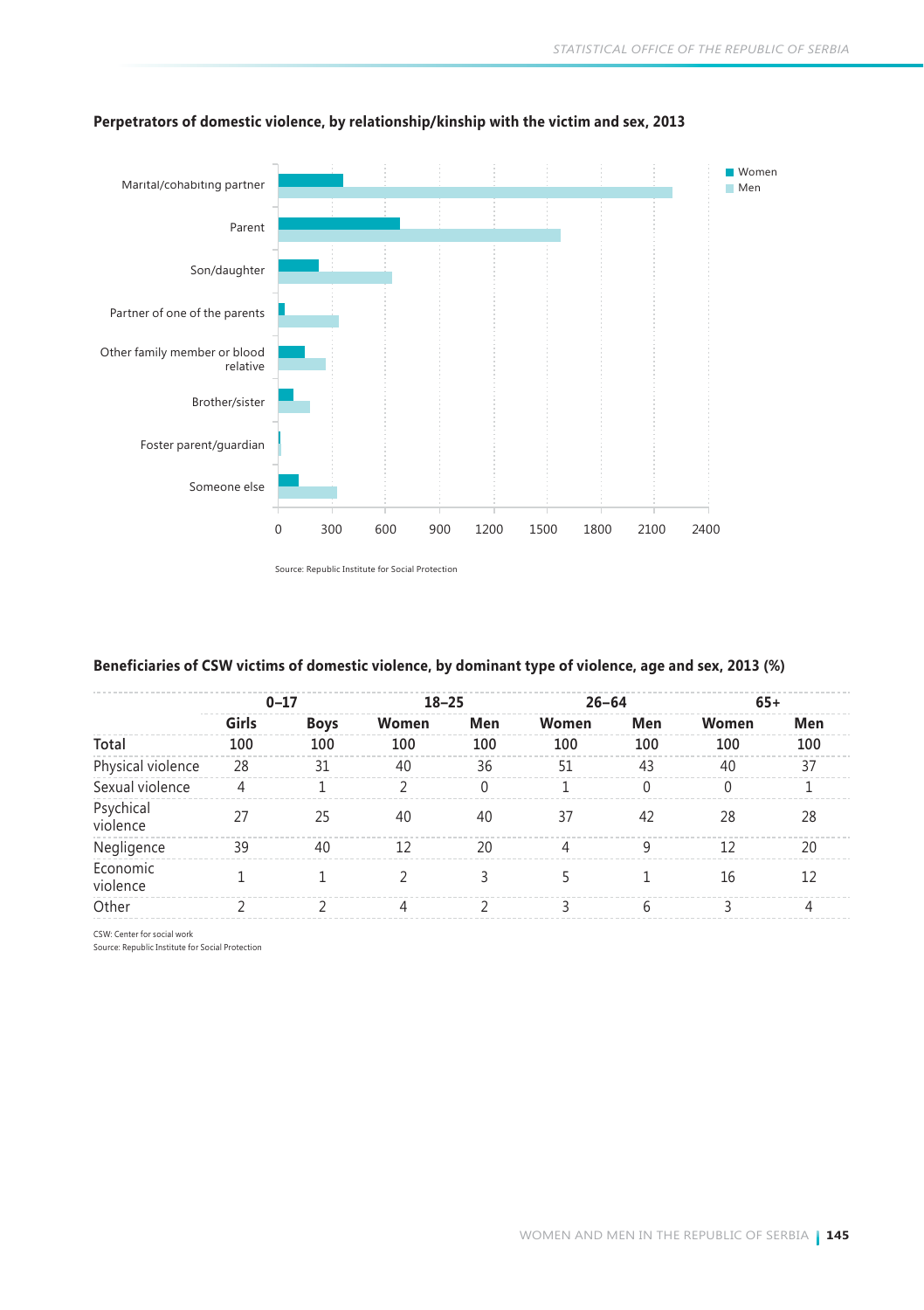

### **Perpetrators of domestic violence, by relationship/kinship with the victim and sex, 2013**

Source: Republic Institute for Social Protection

### **Beneficiaries of CSW victims of domestic violence, by dominant type of violence, age and sex, 2013 (%)**

|                       |       | $0 - 17$    | $18 - 25$     |          | $26 - 64$ |          | $65+$ |     |
|-----------------------|-------|-------------|---------------|----------|-----------|----------|-------|-----|
|                       | Girls | <b>Boys</b> | Women         | Men      | Women     | Men      | Women | Men |
| Total                 | 100   | 100         | 100           | 100      | 100       | 100      | 100   | 100 |
| Physical violence     | 28    | 31          | 40            | 36       | 51        | 43       | 40    | 37  |
| Sexual violence       | 4     |             | $\mathcal{P}$ | $\Omega$ |           | $\Omega$ | 0     |     |
| Psychical<br>violence | 27    | 25          | 40            | 40       | 37        | 42       | 28    | 28  |
| Negligence            | 39    | 40          | 12            | 20       | 4         | 9        | 12    | 20  |
| Economic<br>violence  |       |             |               |          |           |          | 16    | 12  |
| Other                 |       |             | 4             |          |           | h        |       |     |

CSW: Center for social work

Source: Republic Institute for Social Protection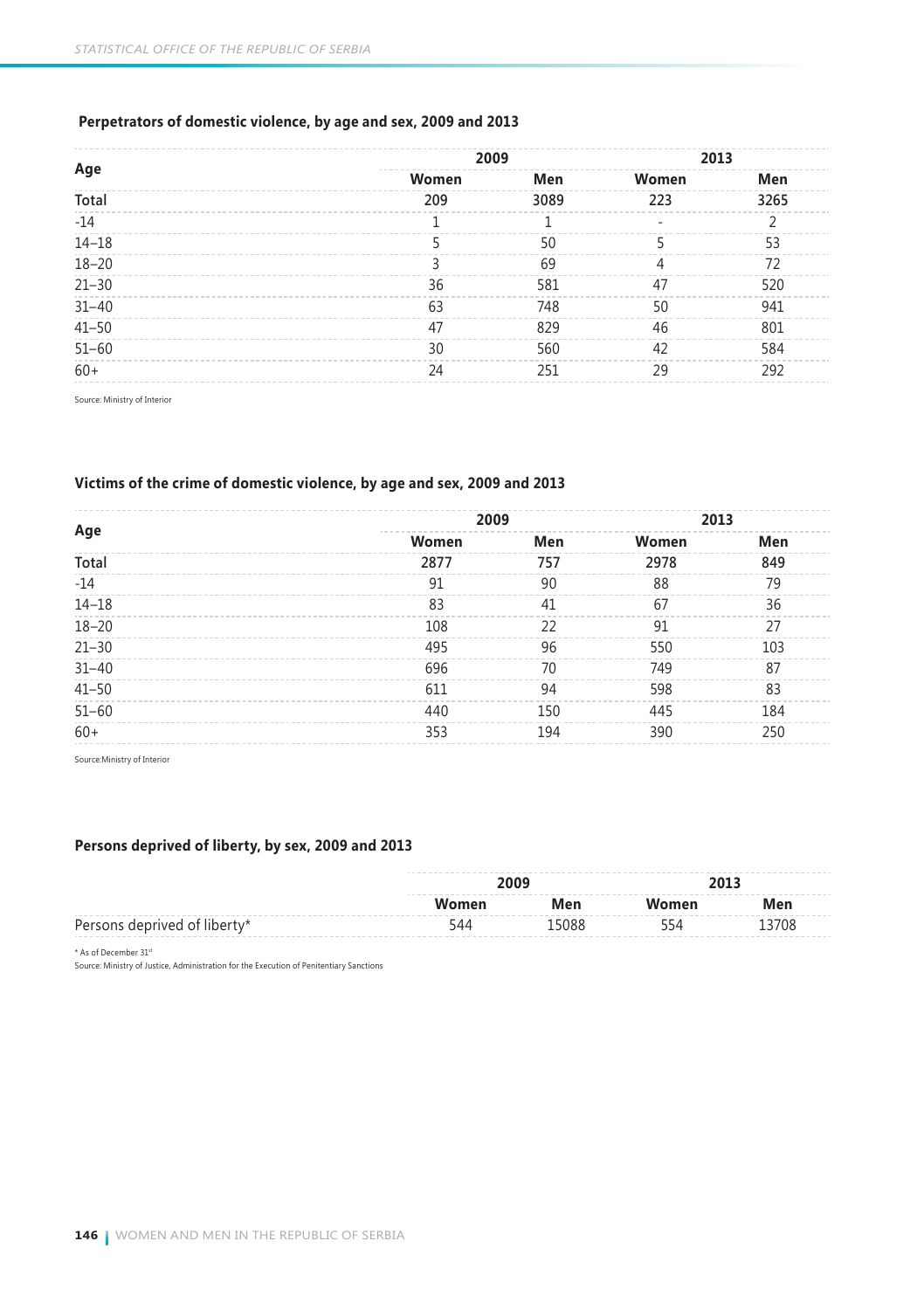### **Perpetrators of domestic violence, by age and sex, 2009 and 2013**

|           | 2009  |      | 2013  |      |
|-----------|-------|------|-------|------|
| Age       | Women | Men  | Women | Men  |
| Total     | 209   | 3089 | 223   | 3265 |
| $-14$     |       |      | ۰     |      |
| $14 - 18$ |       | 50   |       | 53   |
| $18 - 20$ |       | 69   |       | 72   |
| $21 - 30$ | 36    | 581  | 47    | 520  |
| $31 - 40$ | 63    | 748  | 50    | 941  |
| $41 - 50$ | 47    | 829  | 46    | 801  |
| $51 - 60$ | 30    | 560  | 42    | 584  |
| $60+$     | 24    | 251  | 29    | 292  |

Source: Ministry of Interior

### **Victims of the crime of domestic violence, by age and sex, 2009 and 2013**

|           | 2009  |     | 2013  |     |
|-----------|-------|-----|-------|-----|
| Age       | Women | Men | Women | Men |
| Total     | 2877  | 757 | 2978  | 849 |
| $-14$     | 91    | 90  | 88    | 79  |
| $14 - 18$ | 83    | 41  | 67    | 36  |
| $18 - 20$ | 108   | 22  | 91    | 27  |
| $21 - 30$ | 495   | 96  | 550   | 103 |
| $31 - 40$ | 696   | 70  | 749   | 87  |
| $41 - 50$ | 611   | 94  | 598   | 83  |
| $51 - 60$ | 440   | 150 | 445   | 184 |
| $60+$     | 353   | 194 | 390   | 250 |
|           |       |     |       |     |

Source:Ministry of Interior

### **Persons deprived of liberty, by sex, 2009 and 2013**

|                              | 2009  |       | 2013  |       |
|------------------------------|-------|-------|-------|-------|
|                              | Women |       | Women | Men   |
| Persons deprived of liberty* | 544   | 15088 | 554   | 13708 |

\* As of December 31st

Source: Ministry of Justice, Administration for the Execution of Penitentiary Sanctions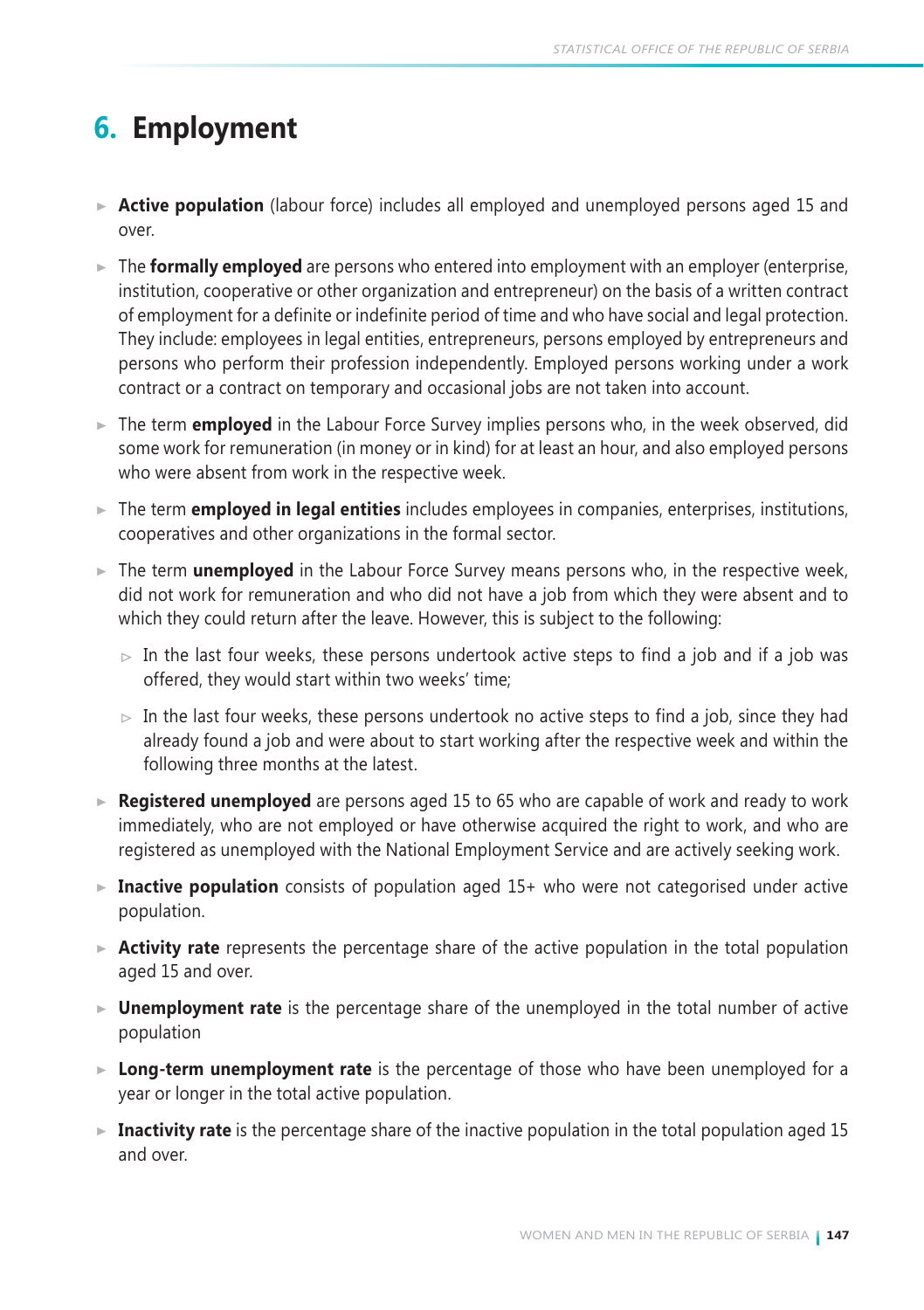# **6. Employment**

- **Active population** (labour force) includes all employed and unemployed persons aged 15 and over.
- ► The **formally employed** are persons who entered into employment with an employer (enterprise, institution, cooperative or other organization and entrepreneur) on the basis of a written contract of employment for a definite or indefinite period of time and who have social and legal protection. They include: employees in legal entities, entrepreneurs, persons employed by entrepreneurs and persons who perform their profession independently. Employed persons working under a work contract or a contract on temporary and occasional jobs are not taken into account.
- ► The term **employed** in the Labour Force Survey implies persons who, in the week observed, did some work for remuneration (in money or in kind) for at least an hour, and also employed persons who were absent from work in the respective week.
- The term **employed in legal entities** includes employees in companies, enterprises, institutions, cooperatives and other organizations in the formal sector.
- ► The term **unemployed** in the Labour Force Survey means persons who, in the respective week, did not work for remuneration and who did not have a job from which they were absent and to which they could return after the leave. However, this is subject to the following:
	- $\triangleright$  In the last four weeks, these persons undertook active steps to find a job and if a job was offered, they would start within two weeks' time;
	- $\triangleright$  In the last four weeks, these persons undertook no active steps to find a job, since they had already found a job and were about to start working after the respective week and within the following three months at the latest.
- **Registered unemployed** are persons aged 15 to 65 who are capable of work and ready to work immediately, who are not employed or have otherwise acquired the right to work, and who are registered as unemployed with the National Employment Service and are actively seeking work.
- ► Inactive population consists of population aged 15+ who were not categorised under active population.
- **Activity rate** represents the percentage share of the active population in the total population aged 15 and over.
- **Unemployment rate** is the percentage share of the unemployed in the total number of active population
- **Long-term unemployment rate** is the percentage of those who have been unemployed for a year or longer in the total active population.
- ► Inactivity rate is the percentage share of the inactive population in the total population aged 15 and over.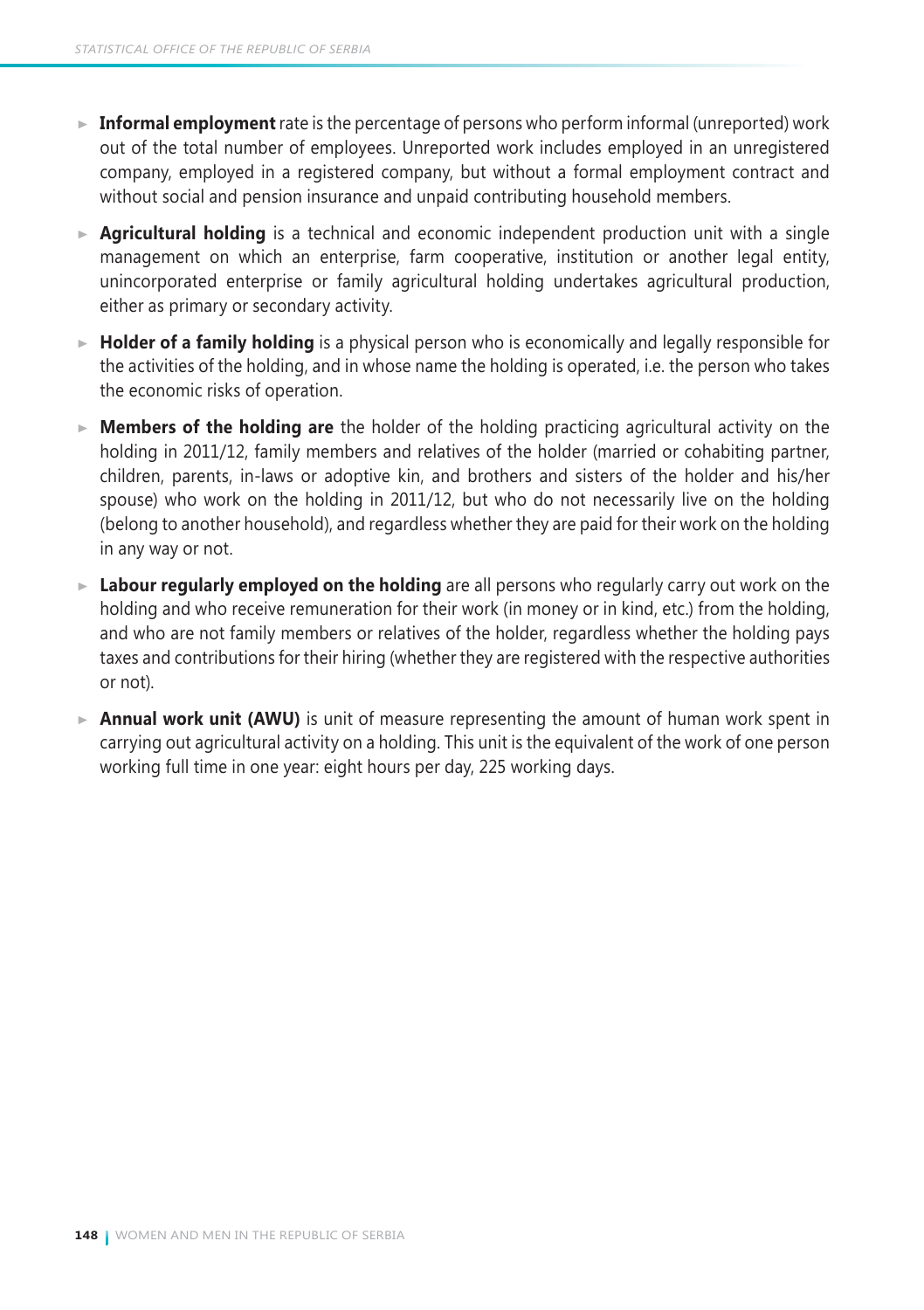- **Informal employment** rate is the percentage of persons who perform informal (unreported) work out of the total number of employees. Unreported work includes employed in an unregistered company, employed in a registered company, but without a formal employment contract and without social and pension insurance and unpaid contributing household members.
- **Agricultural holding** is a technical and economic independent production unit with a single management on which an enterprise, farm cooperative, institution or another legal entity, unincorporated enterprise or family agricultural holding undertakes agricultural production, either as primary or secondary activity.
- **Holder of a family holding** is a physical person who is economically and legally responsible for the activities of the holding, and in whose name the holding is operated, i.e. the person who takes the economic risks of operation.
- **Members of the holding are** the holder of the holding practicing agricultural activity on the holding in 2011/12, family members and relatives of the holder (married or cohabiting partner, children, parents, in-laws or adoptive kin, and brothers and sisters of the holder and his/her spouse) who work on the holding in 2011/12, but who do not necessarily live on the holding (belong to another household), and regardless whether they are paid for their work on the holding in any way or not.
- **Labour regularly employed on the holding** are all persons who regularly carry out work on the holding and who receive remuneration for their work (in money or in kind, etc.) from the holding, and who are not family members or relatives of the holder, regardless whether the holding pays taxes and contributions for their hiring (whether they are registered with the respective authorities or not).
- $\triangleright$  **Annual work unit (AWU)** is unit of measure representing the amount of human work spent in carrying out agricultural activity on a holding. This unit is the equivalent of the work of one person working full time in one year: eight hours per day, 225 working days.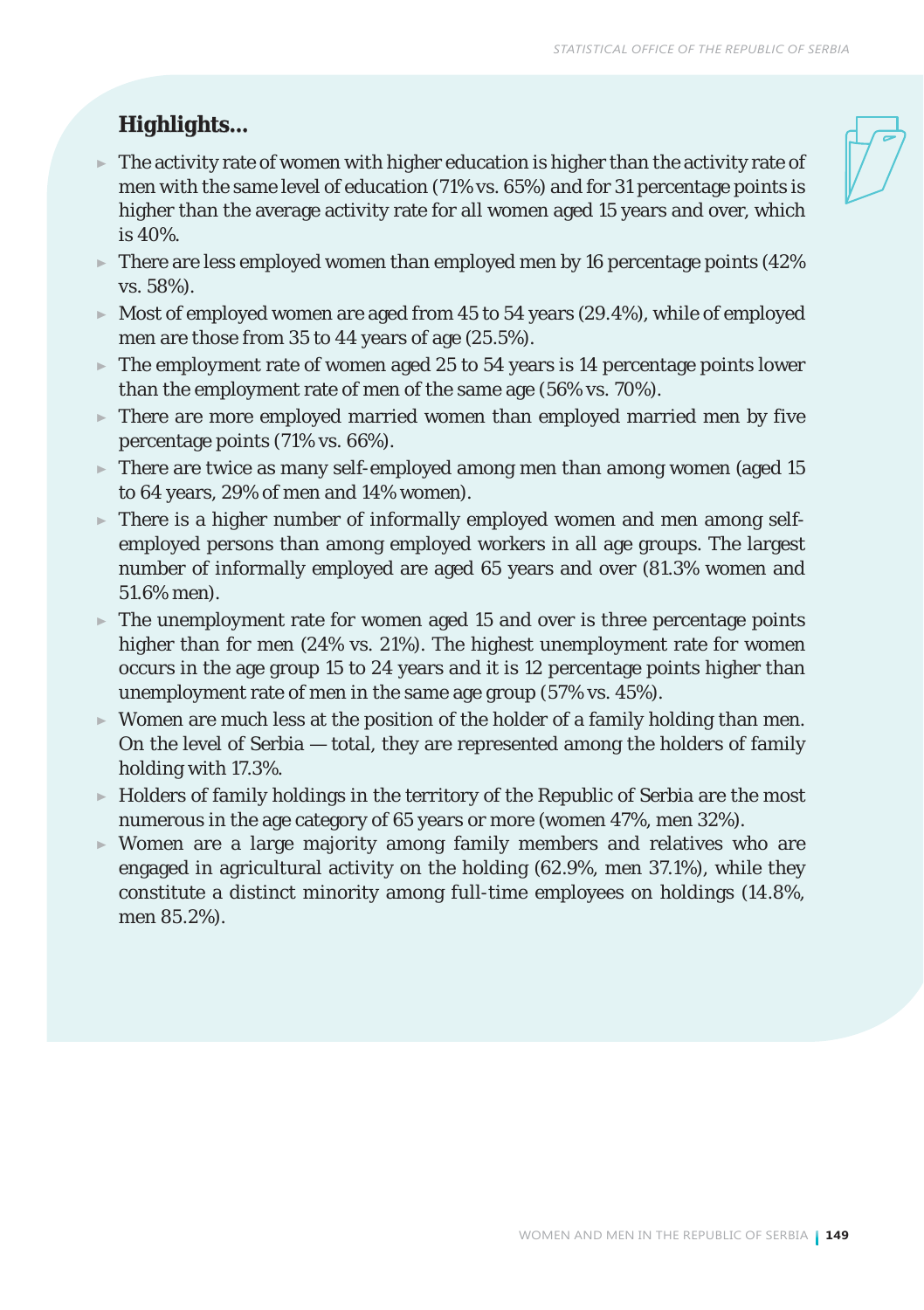## *Highlights...*

- $\blacktriangleright$  The activity rate of women with higher education is higher than the activity rate of men with the same level of education (71% vs. 65%) and for 31 percentage points is higher than the average activity rate for all women aged 15 years and over, which is 40%.
- $\blacktriangleright$  There are less employed women than employed men by 16 percentage points (42%) vs. 58%).
- $\triangleright$  Most of employed women are aged from 45 to 54 years (29.4%), while of employed men are those from 35 to 44 years of age (25.5%).
- $\blacktriangleright$  The employment rate of women aged 25 to 54 years is 14 percentage points lower than the employment rate of men of the same age (56% vs. 70%).
- There are more employed married women than employed married men by five percentage points (71% vs. 66%).
- $\blacktriangleright$  There are twice as many self-employed among men than among women (aged 15) to 64 years, 29% of men and 14% women).
- $\triangleright$  There is a higher number of informally employed women and men among selfemployed persons than among employed workers in all age groups. The largest number of informally employed are aged 65 years and over (81.3% women and 51.6% men).
- $\blacktriangleright$  The unemployment rate for women aged 15 and over is three percentage points higher than for men (24% vs. 21%). The highest unemployment rate for women occurs in the age group 15 to 24 years and it is 12 percentage points higher than unemployment rate of men in the same age group (57% vs. 45%).
- $\triangleright$  Women are much less at the position of the holder of a family holding than men. On the level of Serbia — total, they are represented among the holders of family holding with 17.3%.
- $\blacktriangleright$  Holders of family holdings in the territory of the Republic of Serbia are the most numerous in the age category of 65 years or more (women 47%, men 32%).
- Women are a large majority among family members and relatives who are engaged in agricultural activity on the holding (62.9%, men 37.1%), while they constitute a distinct minority among full-time employees on holdings (14.8%, men 85.2%).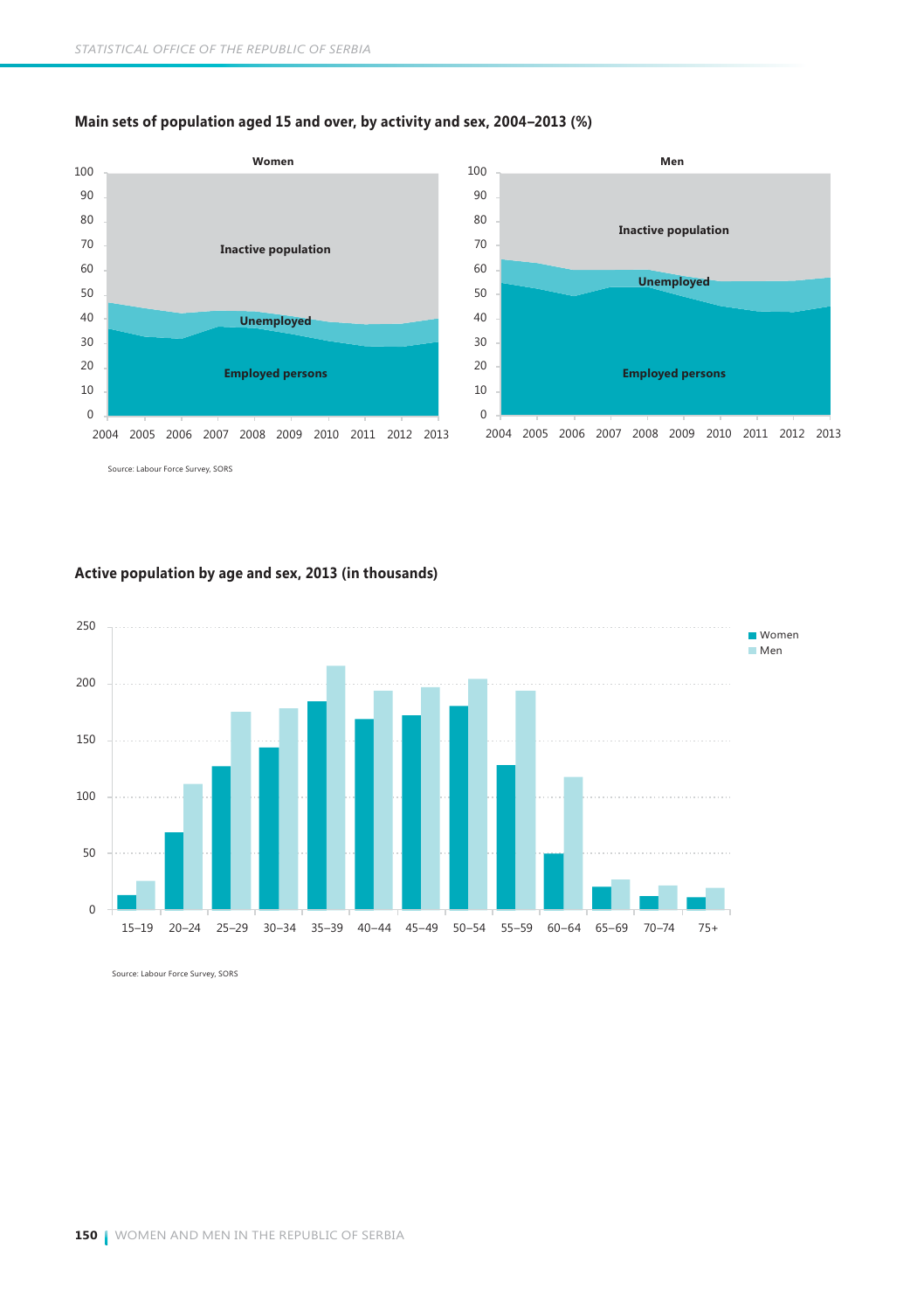

### **Main sets of population aged 15 and over, by activity and sex, 2004–2013 (%)**

Source: Labour Force Survey, SORS

### **Active population by age and sex, 2013 (in thousands)**

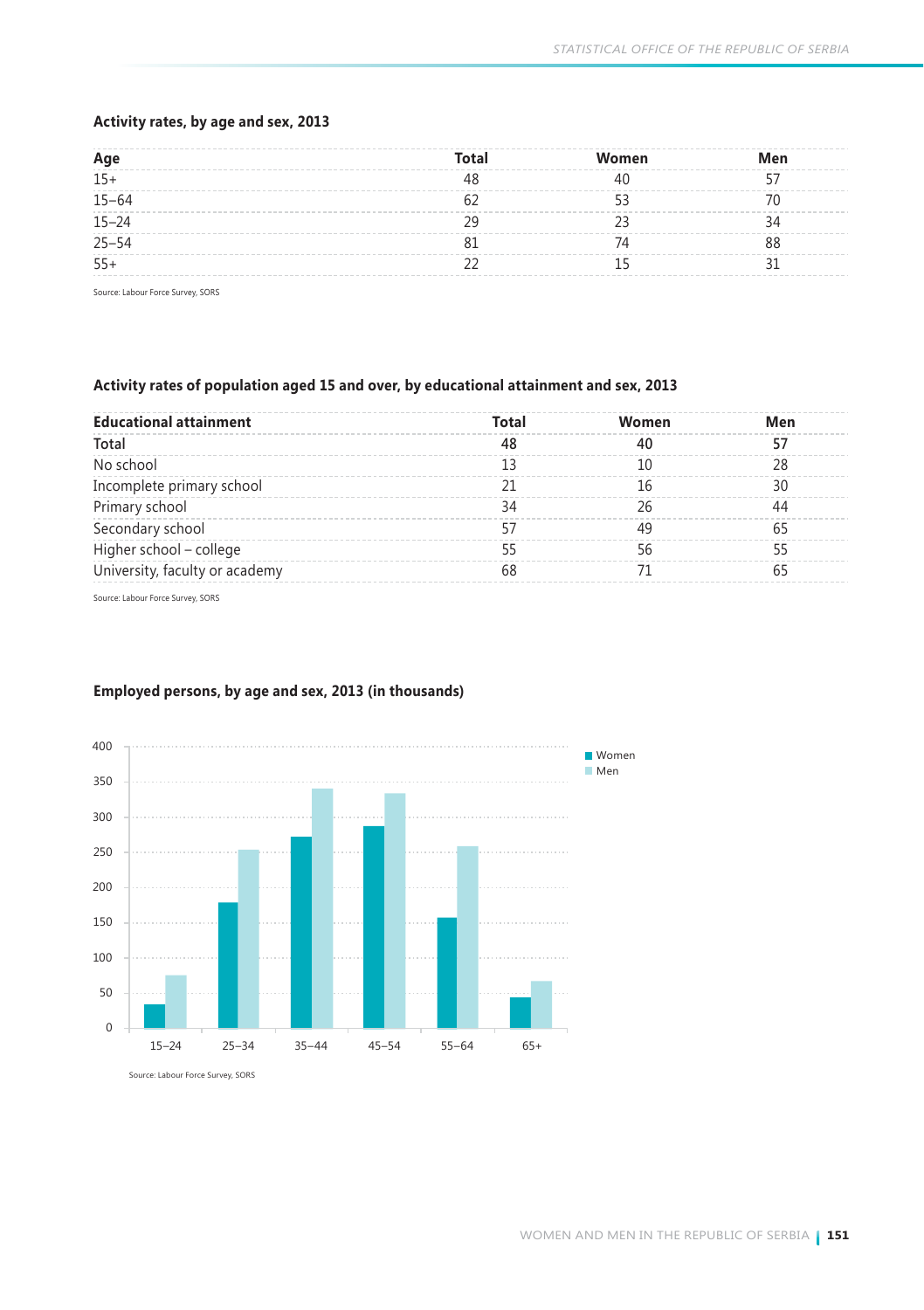### **Activity rates, by age and sex, 2013**

| Age       | <b>Total</b> | Women | Men |
|-----------|--------------|-------|-----|
| $15+$     |              |       |     |
| $15 - 64$ |              |       |     |
| $15 - 24$ |              |       |     |
| $25 - 54$ |              |       |     |
| $55+$     |              |       |     |

Source: Labour Force Survey, SORS

### **Activity rates of population aged 15 and over, by educational attainment and sex, 2013**

| <b>Educational attainment</b>  | Total | Women | Men |
|--------------------------------|-------|-------|-----|
| Total                          | 48    |       |     |
| No school                      |       |       |     |
| Incomplete primary school      |       |       | 30  |
| Primary school                 | 34    |       | 44  |
| Secondary school               |       |       |     |
| Higher school - college        |       |       |     |
| University, faculty or academy | 68    |       |     |

Source: Labour Force Survey, SORS



### **Employed persons, by age and sex, 2013 (in thousands)**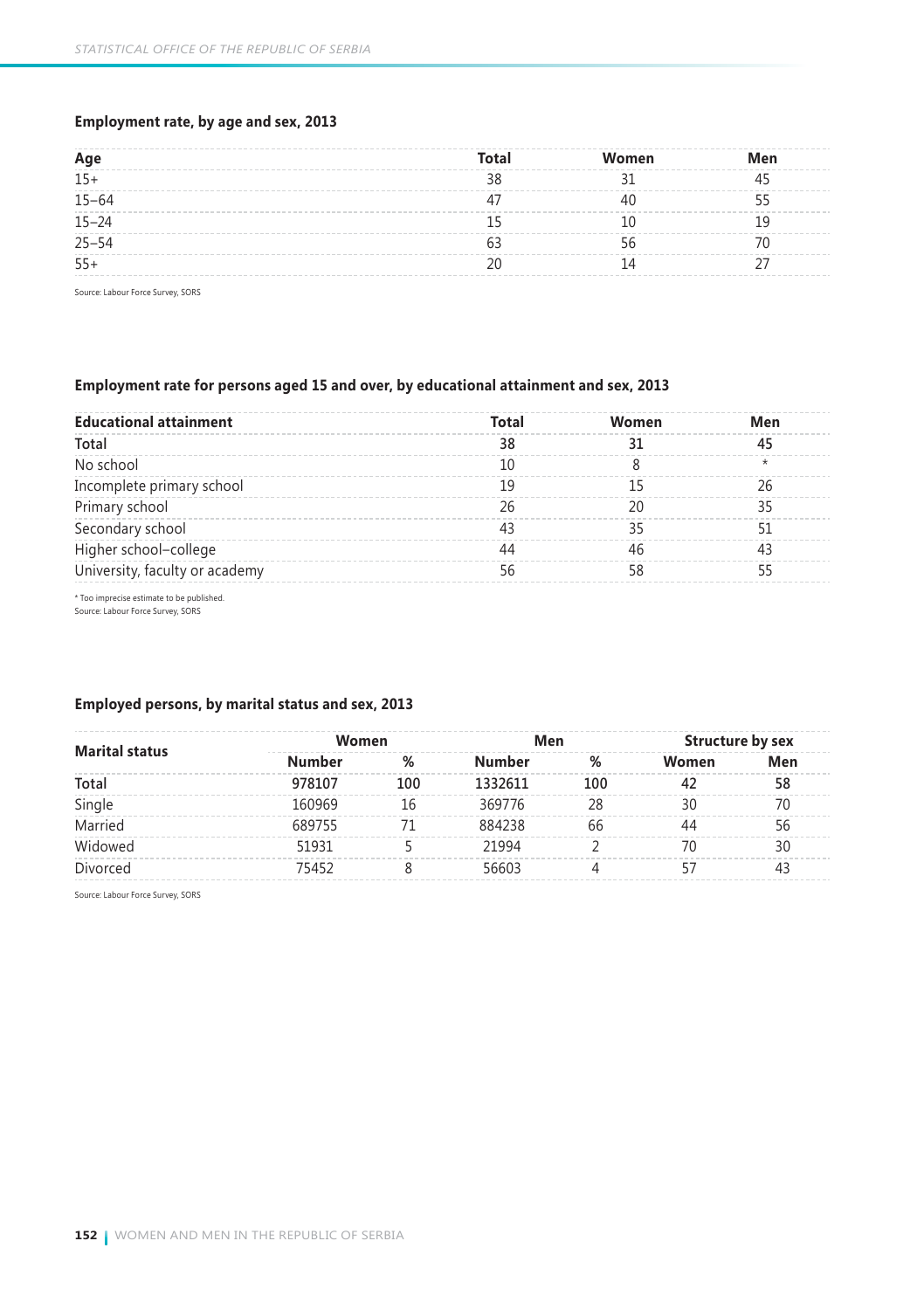### **Employment rate, by age and sex, 2013**

| Age       | Total | Women | Men |
|-----------|-------|-------|-----|
| $15+$     | ገረ    |       |     |
| $15 - 64$ |       |       |     |
| $15 - 24$ |       |       |     |
| $25 - 54$ |       |       |     |
| $55+$     |       |       |     |

Source: Labour Force Survey, SORS

### **Employment rate for persons aged 15 and over, by educational attainment and sex, 2013**

| <b>Educational attainment</b>  | Total | Women | Men |
|--------------------------------|-------|-------|-----|
| Total                          | 38    |       | 45  |
| No school                      |       |       |     |
| Incomplete primary school      | 19    |       | 26  |
| Primary school                 | 26    |       | 35  |
| Secondary school               | 43    |       |     |
| Higher school-college          | 44    |       | 43  |
| University, faculty or academy |       |       |     |

\* Too imprecise estimate to be published. Source: Labour Force Survey, SORS

### **Employed persons, by marital status and sex, 2013**

| <b>Marital status</b><br>Total<br>Single<br>Married<br>Widowed | Women  |     | Men     |     | Structure by sex |     |  |
|----------------------------------------------------------------|--------|-----|---------|-----|------------------|-----|--|
|                                                                | Number | %   | Number  | %   | Women            | Men |  |
|                                                                | 978107 | 100 | 1332611 | 100 | 42               | 58  |  |
|                                                                | 160969 | 16  | 369776  | 28  | 30               | 70  |  |
|                                                                | 689755 |     | 884238  | 66  | 44               | 56  |  |
|                                                                | 51931  |     | 21994   |     | 70               | 30  |  |
| Divorced                                                       | 75452  |     | 56603   |     |                  | 43  |  |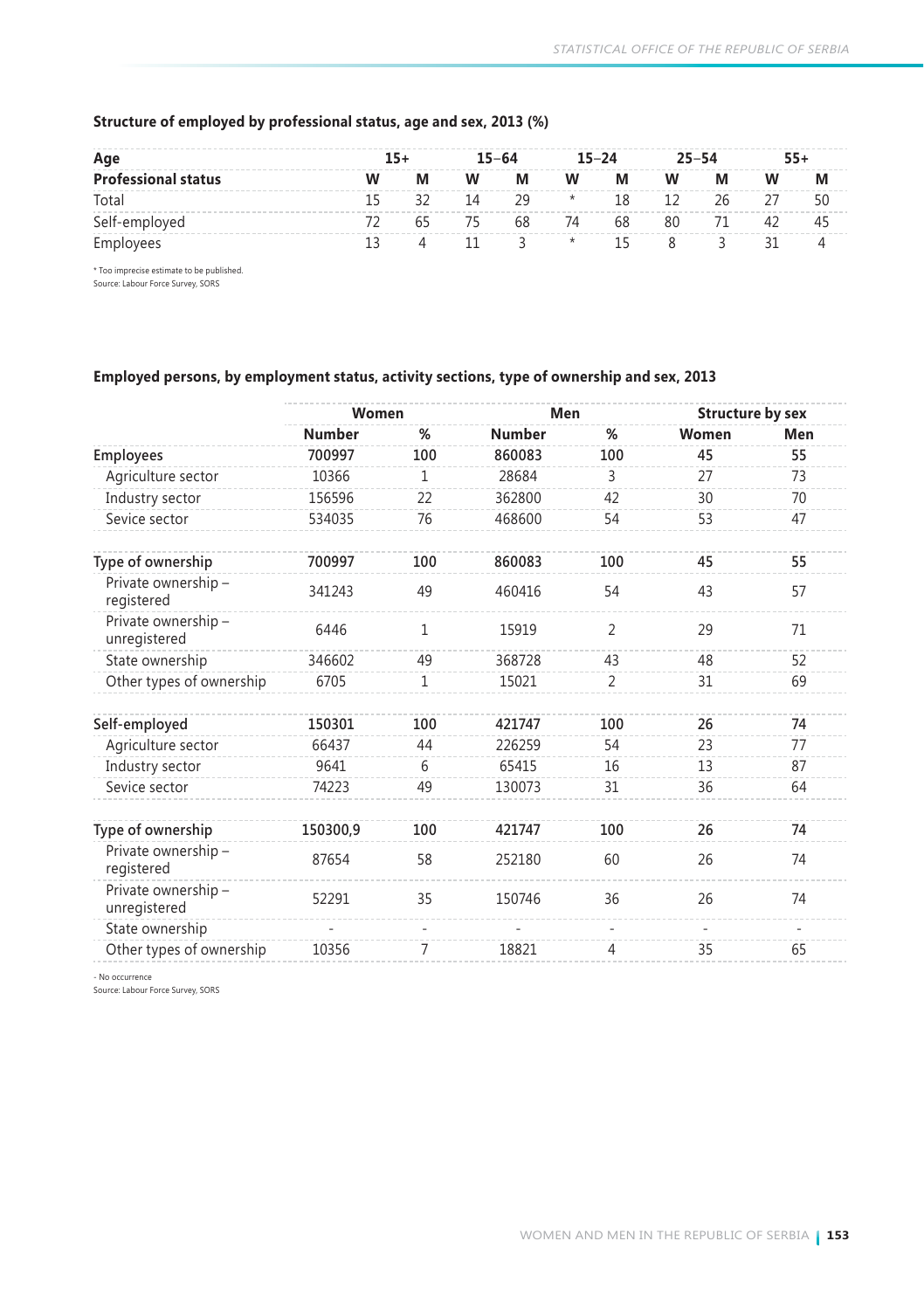| Age                        | $15+$ |   |     | $15 - 64$ |         | $15 - 24$ |    | $25 - 54$ |    | $55+$ |
|----------------------------|-------|---|-----|-----------|---------|-----------|----|-----------|----|-------|
| <b>Professional status</b> |       | М | W   | М         | W       | M         | W  | М         | w  |       |
| Total                      |       |   | -14 | -29       | $\star$ | 18        | 12 | 26        | 27 |       |
| Self-employed              |       |   | 75  | 68        | 74      | 68        | 80 | 71        | 42 |       |
| Employees                  |       |   |     |           | $\star$ | 15        |    |           |    |       |

### **Structure of employed by professional status, age and sex, 2013 (%)**

\* Too imprecise estimate to be published. Source: Labour Force Survey, SORS

### **Employed persons, by employment status, activity sections, type of ownership and sex, 2013**

|                                     | Women    |              | Men           |                | <b>Structure by sex</b> |                          |
|-------------------------------------|----------|--------------|---------------|----------------|-------------------------|--------------------------|
|                                     | Number   | %            | <b>Number</b> | %              | Women                   | Men                      |
| Employees                           | 700997   | 100          | 860083        | 100            | 45                      | 55                       |
| Agriculture sector                  | 10366    | 1            | 28684         | 3              | 27                      | 73                       |
| Industry sector                     | 156596   | 22           | 362800        | 42             | 30                      | 70                       |
| Sevice sector                       | 534035   | 76           | 468600        | 54             | 53                      | 47                       |
| Type of ownership                   | 700997   | 100          | 860083        | 100            | 45                      | 55                       |
| Private ownership -<br>registered   | 341243   | 49           | 460416        | 54             | 43                      | 57                       |
| Private ownership -<br>unregistered | 6446     | $\mathbf{1}$ | 15919         | $\overline{2}$ | 29                      | 71                       |
| State ownership                     | 346602   | 49           | 368728        | 43             | 48                      | 52                       |
| Other types of ownership            | 6705     | 1            | 15021         | 2              | 31                      | 69                       |
| Self-employed                       | 150301   | 100          | 421747        | 100            | 26                      | 74                       |
| Agriculture sector                  | 66437    | 44           | 226259        | 54             | 23                      | 77                       |
| Industry sector                     | 9641     | 6            | 65415         | 16             | 13                      | 87                       |
| Sevice sector                       | 74223    | 49           | 130073        | 31             | 36                      | 64                       |
| Type of ownership                   | 150300,9 | 100          | 421747        | 100            | 26                      | 74                       |
| Private ownership -<br>registered   | 87654    | 58           | 252180        | 60             | 26                      | 74                       |
| Private ownership -<br>unregistered | 52291    | 35           | 150746        | 36             | 26                      | 74                       |
| State ownership                     |          | $\bar{a}$    |               | ٠              |                         | $\overline{\phantom{0}}$ |
| Other types of ownership            | 10356    | 7            | 18821         | 4              | 35                      | 65                       |
|                                     |          |              |               |                |                         |                          |

- No occurrence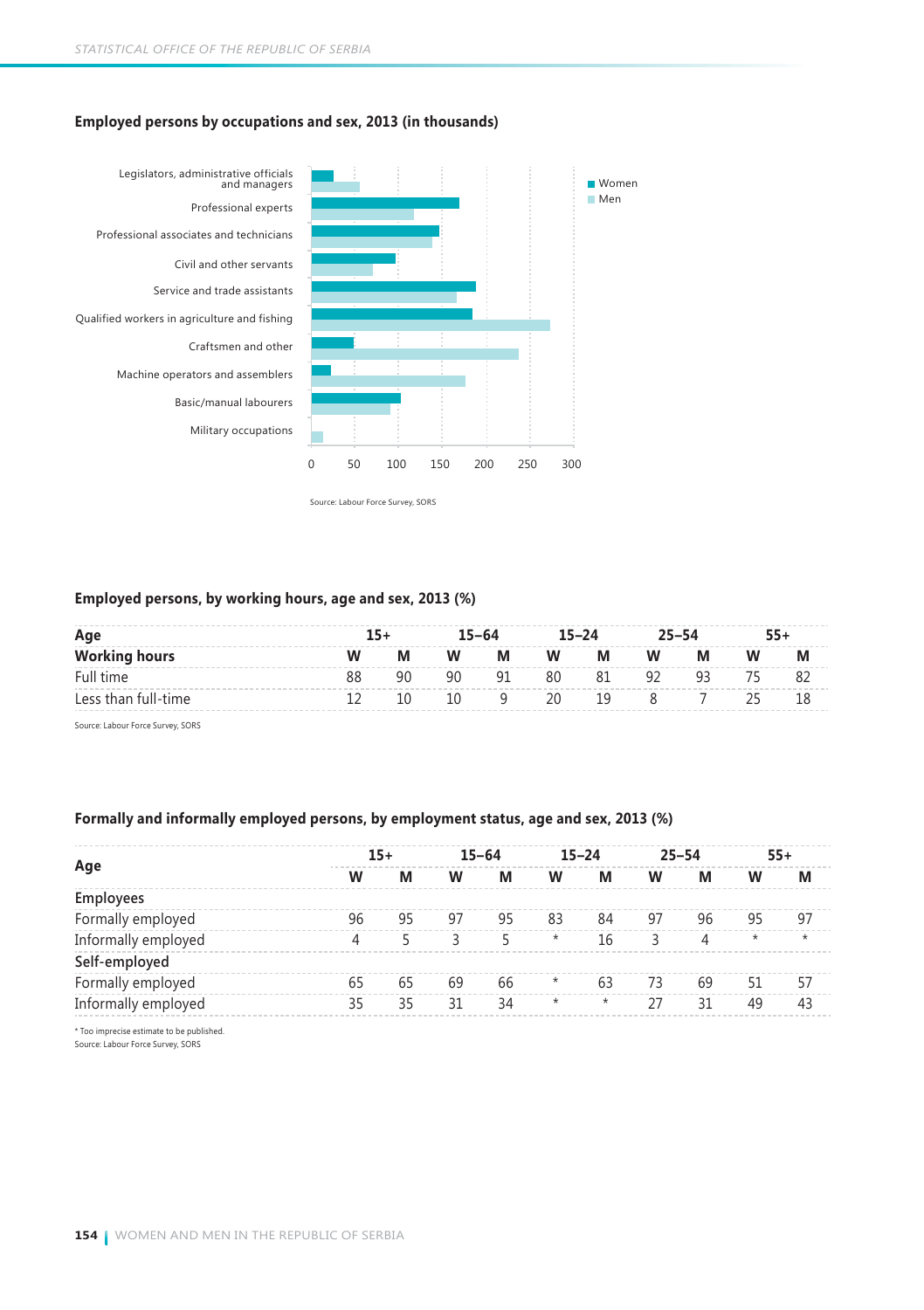### **Employed persons by occupations and sex, 2013 (in thousands)**



### **Employed persons, by working hours, age and sex, 2013 (%)**

| Age                  | $15+$ |    |    | $15 - 64$ |    | $15 - 24$ |    | $25 - 54$ |    | $55+$ |
|----------------------|-------|----|----|-----------|----|-----------|----|-----------|----|-------|
| <b>Working hours</b> | W     | M  | W  | M         | W  | M         | W  | M         | W  |       |
| Full time            | 88    | 90 | 90 | 91        | 80 | 81        | 92 | ٩R        | 75 |       |
| Less than full-time  |       |    | 10 |           | 20 | 19        |    |           | つら |       |

Source: Labour Force Survey, SORS

### **Formally and informally employed persons, by employment status, age and sex, 2013 (%)**

|                                          |    | $15+$ |    | $15 - 64$ |          | $15 - 24$ |    | $25 - 54$ |         | $55+$   |
|------------------------------------------|----|-------|----|-----------|----------|-----------|----|-----------|---------|---------|
| Age                                      | w  | М     | w  | M         | w        | M         | w  | М         | w       | М       |
| Employees                                |    |       |    |           |          |           |    |           |         |         |
| Formally employed                        | 96 | 95    | 97 | 95        | 83       | 84        | 97 | 96        | 95      | 97      |
| Informally employed                      | 4  |       |    |           | $^\star$ | 16        |    | 4         | $\star$ | $\star$ |
| Self-employed                            |    |       |    |           |          |           |    |           |         |         |
| Formally employed                        | 65 | 65    | 69 | 66        | $^\star$ | 63        | 73 | 69        | 51      | 57      |
| Informally employed                      | 35 | 35    | 31 | 34        | $^\star$ | $^\star$  | 27 | 31        | 49      | 43      |
| * Too imprecise estimate to be published |    |       |    |           |          |           |    |           |         |         |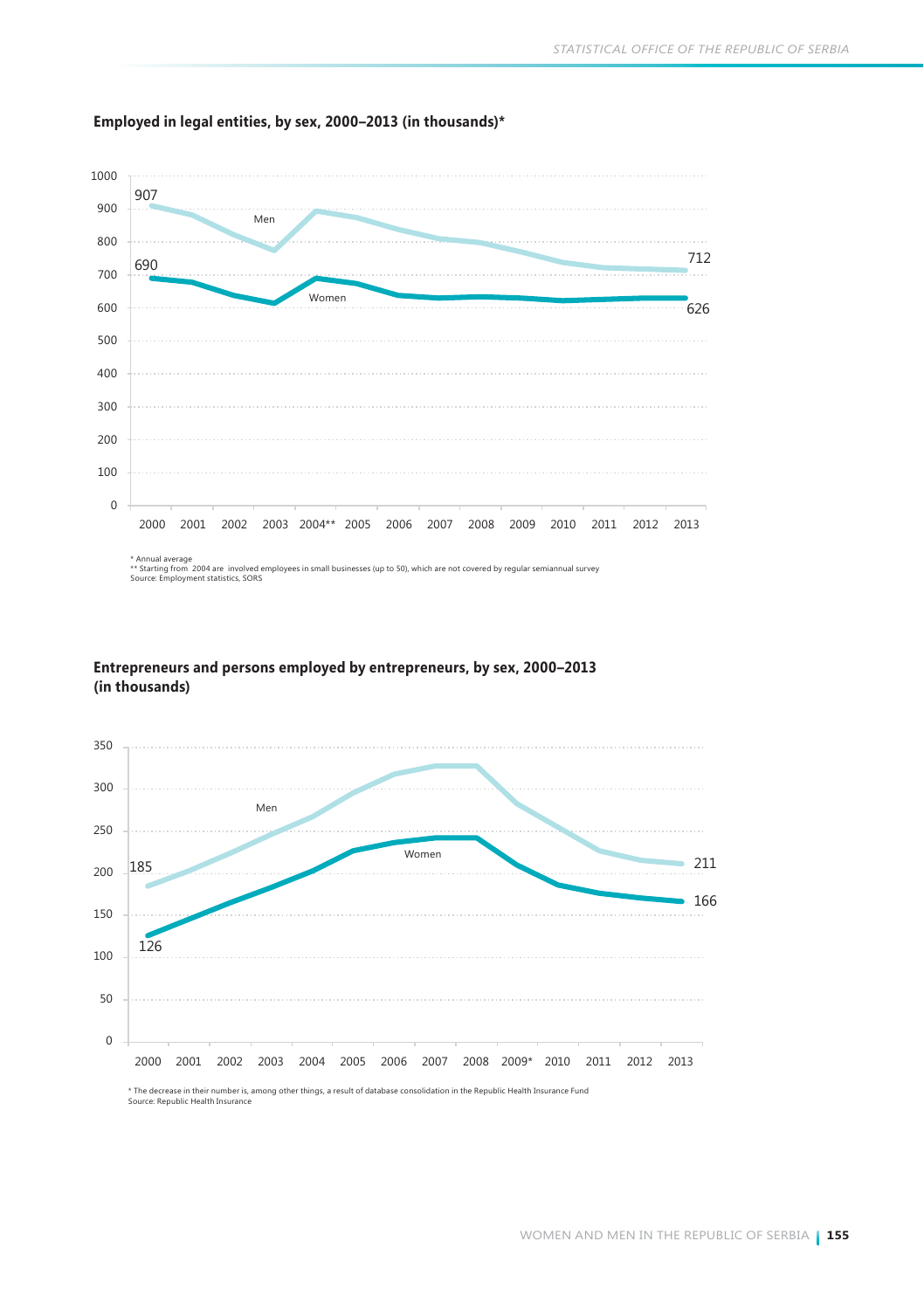

### **Employed in legal entities, by sex, 2000–2013 (in thousands)\***





Source: Republic Health Insurance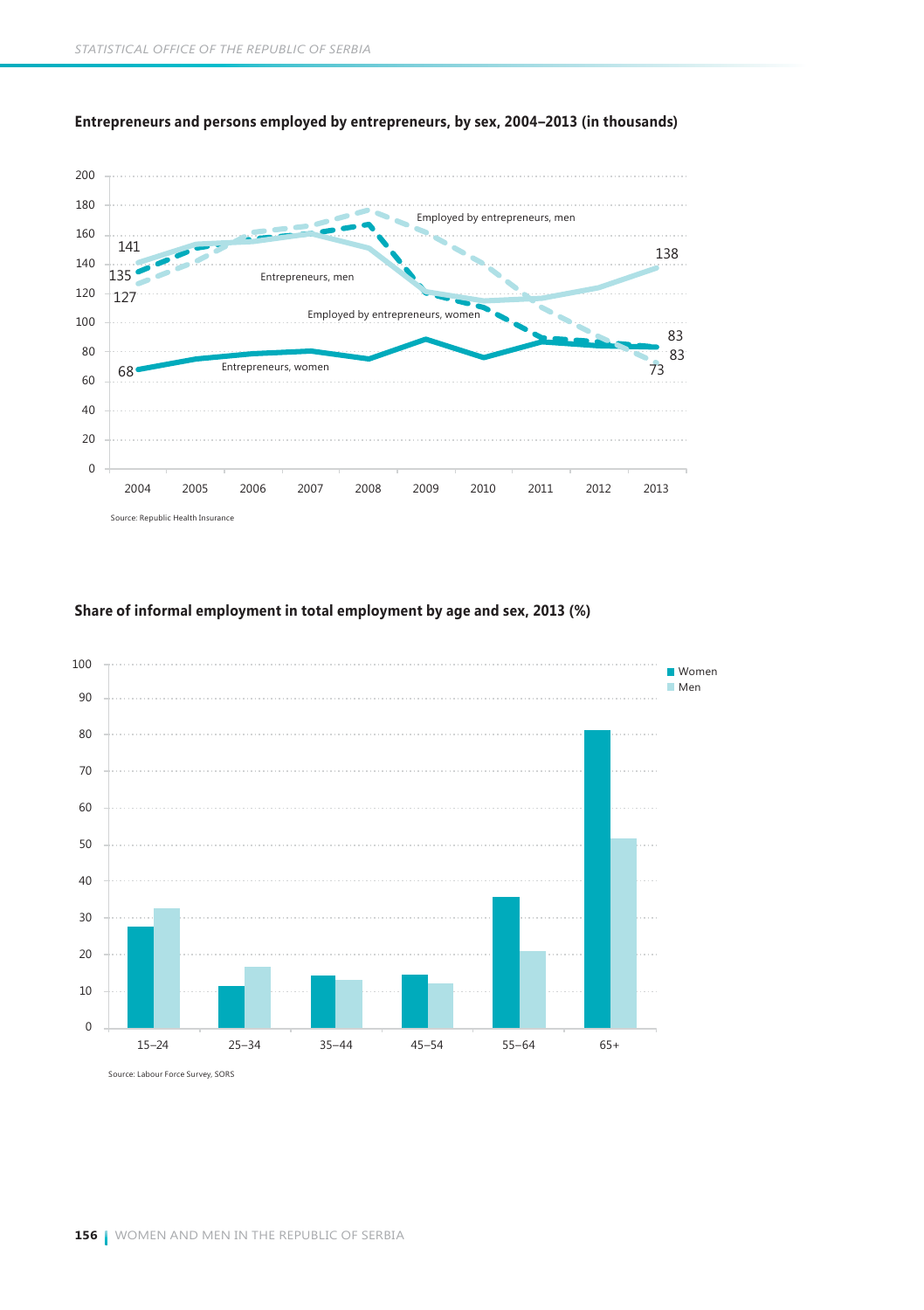

**Entrepreneurs and persons employed by entrepreneurs, by sex, 2004–2013 (in thousands)** 

**Share of informal employment in total employment by age and sex, 2013 (%)**

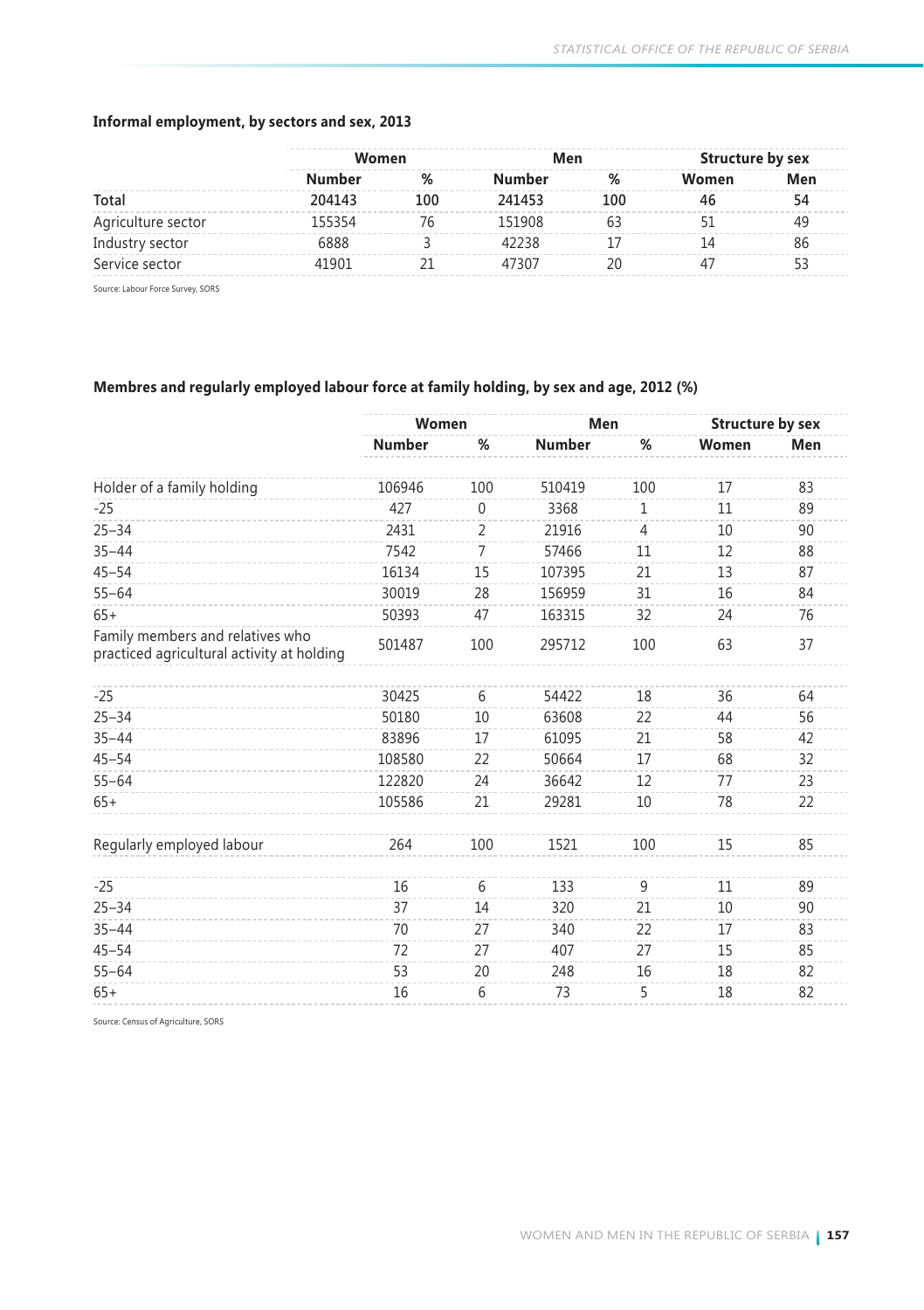### **Informal employment, by sectors and sex, 2013**

|        |               |        |     | Structure by sex |     |
|--------|---------------|--------|-----|------------------|-----|
| Number | $\frac{9}{6}$ | Number |     | Women            | Men |
| 204143 | 100           | 241453 | 100 |                  |     |
| 155354 |               | 151908 |     |                  |     |
| 888,   |               | 12238  |     |                  | 86  |
| 41901  |               | 47307  |     |                  |     |
|        |               | Women  |     | Men              |     |

Source: Labour Force Survey, SORS

### **Membres and regularly employed labour force at family holding, by sex and age, 2012 (%)**

|                                                                                | Women         |             | Men           |                | <b>Structure by sex</b> |     |
|--------------------------------------------------------------------------------|---------------|-------------|---------------|----------------|-------------------------|-----|
|                                                                                | <b>Number</b> | %           | <b>Number</b> | %              | Women                   | Men |
| Holder of a family holding                                                     | 106946        | 100         | 510419        | 100            | 17                      | 83  |
| $-25$                                                                          | 427           | $\mathbf 0$ | 3368          | 1              | 11                      | 89  |
| $25 - 34$                                                                      | 2431          | 2           | 21916         | $\overline{4}$ | 10                      | 90  |
| $35 - 44$                                                                      | 7542          | 7           | 57466         | 11             | 12                      | 88  |
| $45 - 54$                                                                      | 16134         | 15          | 107395        | 21             | 13                      | 87  |
| $55 - 64$                                                                      | 30019         | 28          | 156959        | 31             | 16                      | 84  |
| $65+$                                                                          | 50393         | 47          | 163315        | 32             | 24                      | 76  |
| Family members and relatives who<br>practiced agricultural activity at holding | 501487        | 100         | 295712        | 100            | 63                      | 37  |
|                                                                                |               |             |               |                |                         |     |
| $-25$                                                                          | 30425         | 6           | 54422         | 18             | 36                      | 64  |
| $25 - 34$                                                                      | 50180         | 10          | 63608         | 22             | 44                      | 56  |
| $35 - 44$                                                                      | 83896         | 17          | 61095         | 21             | 58                      | 42  |
| $45 - 54$                                                                      | 108580        | 22          | 50664         | 17             | 68                      | 32  |
| $55 - 64$                                                                      | 122820        | 24          | 36642         | 12             | 77                      | 23  |
| $65+$                                                                          | 105586        | 21          | 29281         | 10             | 78                      | 22  |
| Regularly employed labour                                                      | 264           | 100         | 1521          | 100            | 15                      | 85  |
| $-25$                                                                          | 16            | 6           | 133           | 9              | 11                      | 89  |
| $25 - 34$                                                                      | 37            | 14          | 320           | 21             | 10                      | 90  |
| $35 - 44$                                                                      | 70            | 27          | 340           | 22             | 17                      | 83  |
| $45 - 54$                                                                      | 72            | 27          | 407           | 27             | 15                      | 85  |
| $55 - 64$                                                                      | 53            | 20          | 248           | 16             | 18                      | 82  |
| $65+$                                                                          | 16            | 6           | 73            | 5              | 18                      | 82  |

Source: Census of Agriculture, SORS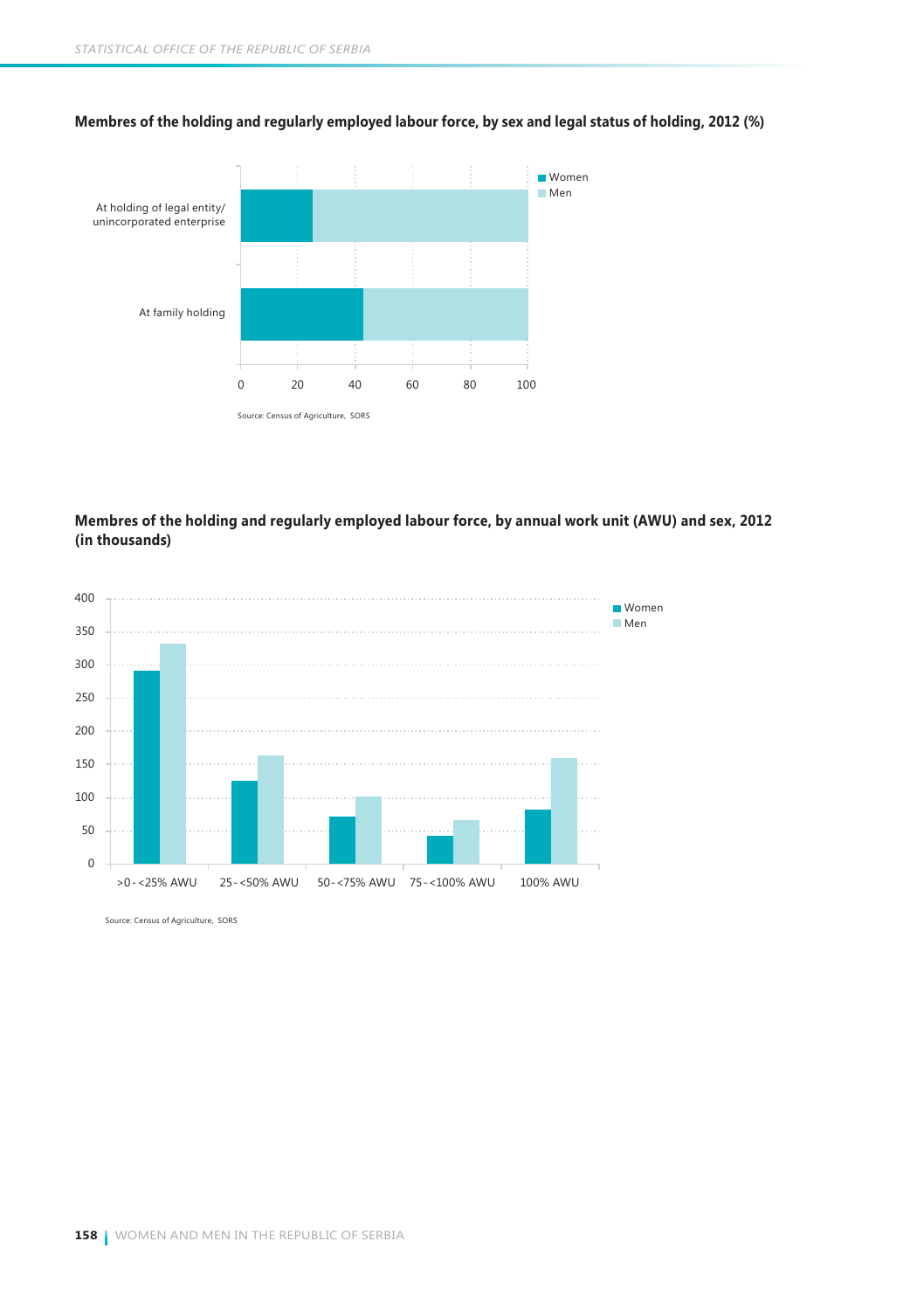

**Membres of the holding and regularly employed labour force, by sex and legal status of holding, 2012 (%)**

### **Membres of the holding and regularly employed labour force, by annual work unit (AWU) and sex, 2012 (in thousands)**



Source: Census of Agriculture, SORS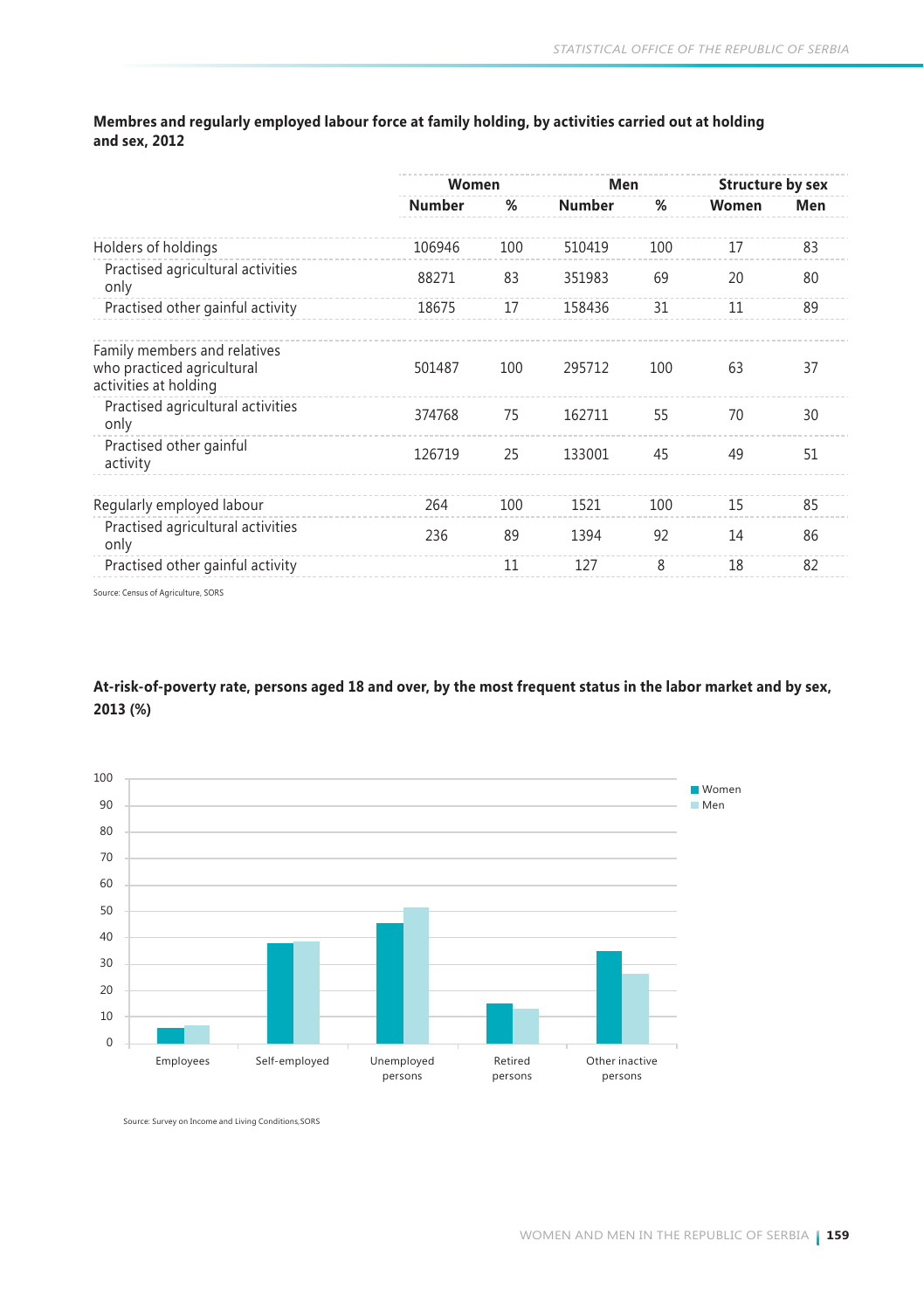**Membres and regularly employed labour force at family holding, by activities carried out at holding and sex, 2012**

|                                                                                     | Women         |     | Men           |     | <b>Structure by sex</b> |     |  |
|-------------------------------------------------------------------------------------|---------------|-----|---------------|-----|-------------------------|-----|--|
|                                                                                     | <b>Number</b> | %   | <b>Number</b> | %   | Women                   | Men |  |
| Holders of holdings                                                                 | 106946        | 100 | 510419        | 100 | 17                      | 83  |  |
| Practised agricultural activities<br>only                                           | 88271         | 83  | 351983        | 69  | 20                      | 80  |  |
| Practised other gainful activity                                                    | 18675         | 17  | 158436        | 31  | 11                      | 89  |  |
| Family members and relatives<br>who practiced agricultural<br>activities at holding | 501487        | 100 | 295712        | 100 | 63                      | 37  |  |
| Practised agricultural activities<br>only                                           | 374768        | 75  | 162711        | 55  | 70                      | 30  |  |
| Practised other gainful<br>activity                                                 | 126719        | 25  | 133001        | 45  | 49                      | 51  |  |
| Regularly employed labour                                                           | 264           | 100 | 1521          | 100 | 15                      | 85  |  |
| Practised agricultural activities<br>only                                           | 236           | 89  | 1394          | 92  | 14                      | 86  |  |
| Practised other gainful activity                                                    |               | 11  | 127           | 8   | 18                      | 82  |  |
| .                                                                                   |               |     |               |     |                         |     |  |

Source: Census of Agriculture, SORS

**At-risk-of-poverty rate, persons aged 18 and over, by the most frequent status in the labor market and by sex, 2013 (%)** 



Source: Survey on Income and Living Conditions,SORS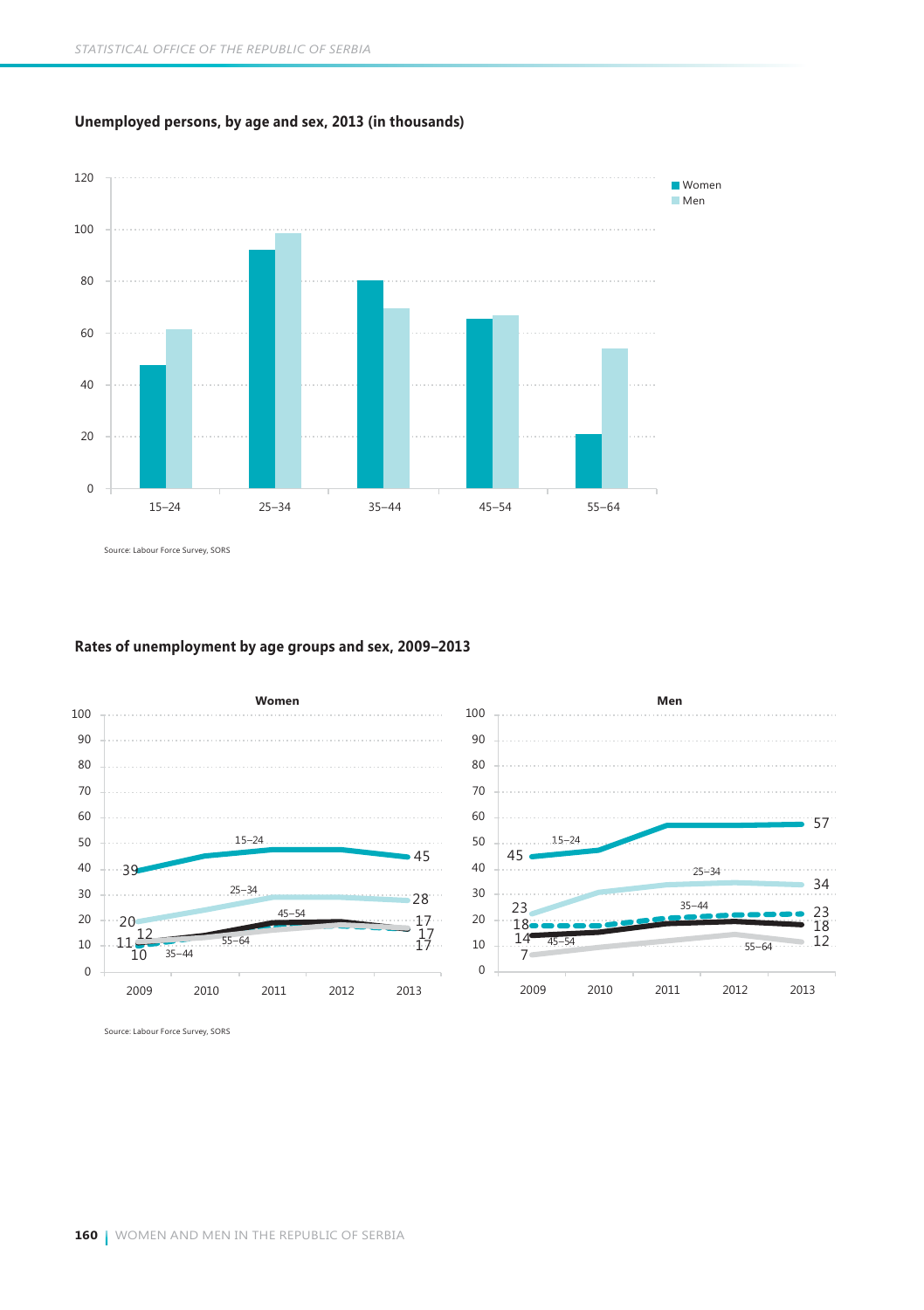

**Unemployed persons, by age and sex, 2013 (in thousands)**

Source: Labour Force Survey, SORS

#### **Rates of unemployment by age groups and sex, 2009–2013**



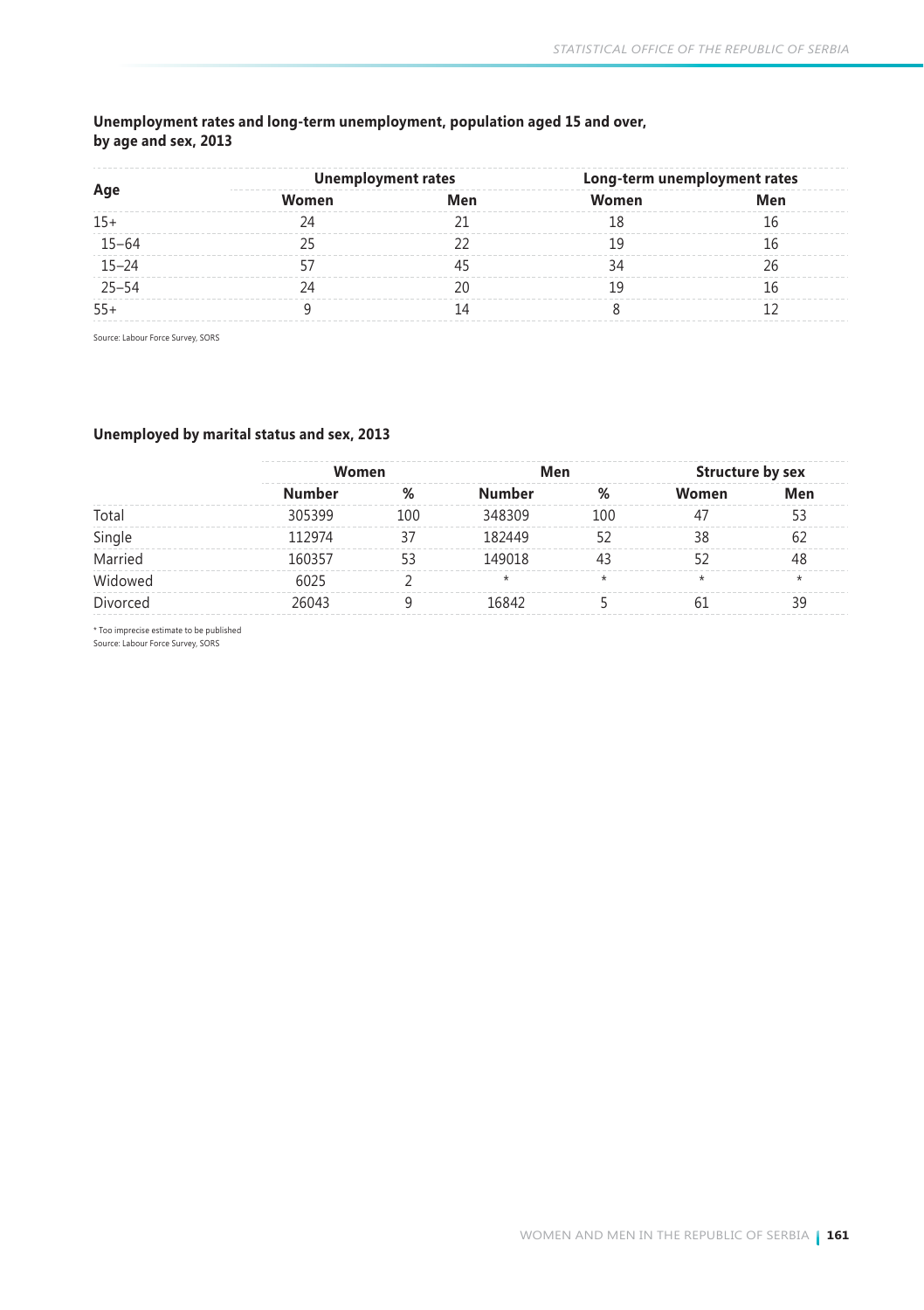### **Unemployment rates and long-term unemployment, population aged 15 and over, by age and sex, 2013**

| Age<br>$15 - 64$<br>$15 - 24$<br>$25 - 54$ | <b>Unemployment rates</b> |     | Long-term unemployment rates |     |
|--------------------------------------------|---------------------------|-----|------------------------------|-----|
|                                            | Women                     | Men | Women                        | Men |
| $15+$                                      |                           |     |                              |     |
|                                            |                           |     |                              |     |
|                                            |                           |     |                              |     |
|                                            |                           |     |                              |     |
| $55+$                                      |                           |     |                              |     |

Source: Labour Force Survey, SORS

### **Unemployed by marital status and sex, 2013**

|               |     |         |     | Structure by sex |         |
|---------------|-----|---------|-----|------------------|---------|
| <b>Number</b> | %   | Number  | %   | Women            | Men     |
| 305399        | 100 | 348309  | 100 | 47               | 53      |
| 112974        | 37  | 182449  |     | 38               | 62      |
| 160357        | 53  | 149018  | 43  |                  | 48      |
| 6025          |     | $\star$ | ÷   | $\star$          | $\star$ |
| 26043         |     | 16842   |     | 61               | 39      |
|               |     | Women   |     | Men              |         |

\* Too imprecise estimate to be published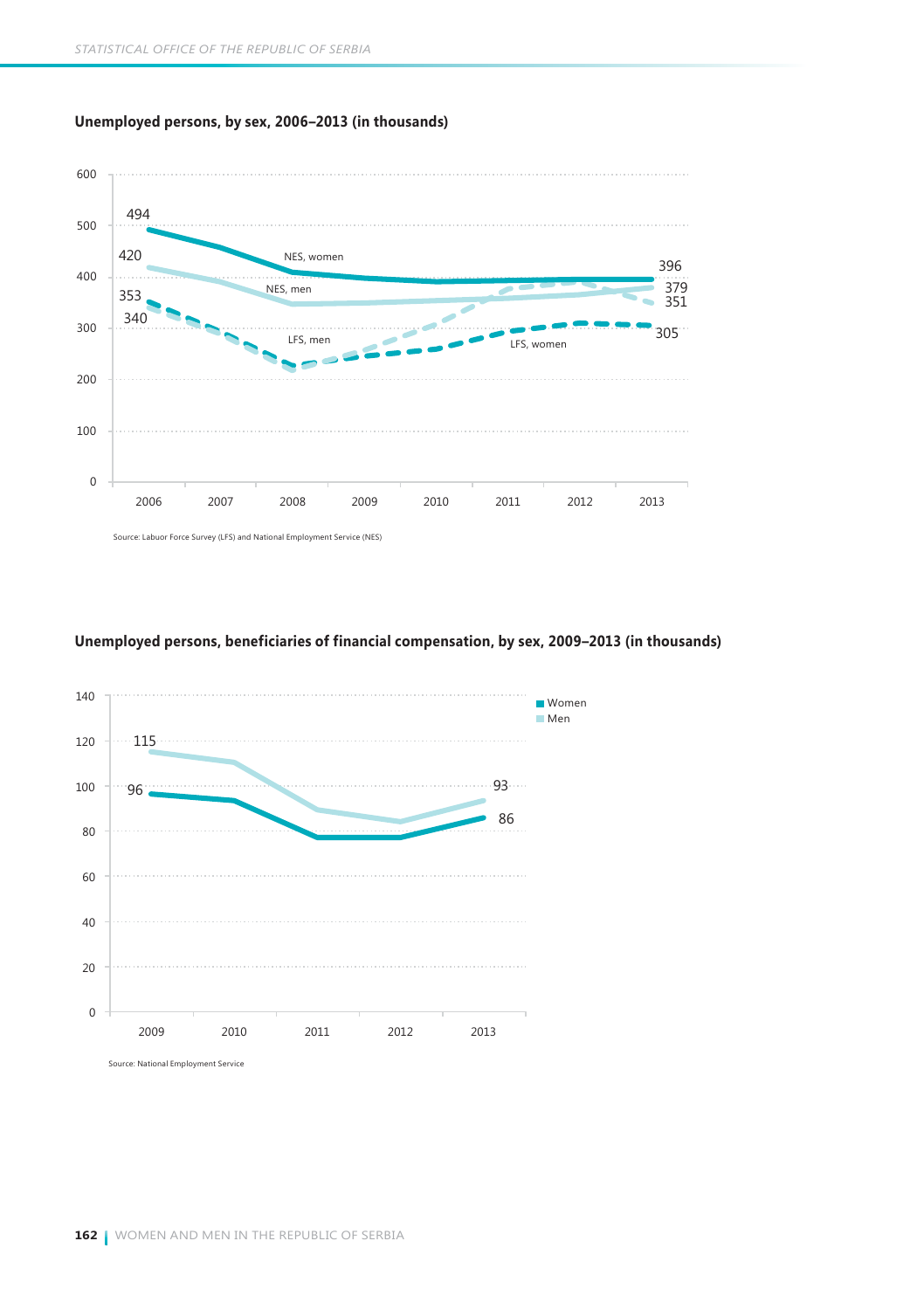



#### **Unemployed persons, beneficiaries of financial compensation, by sex, 2009–2013 (in thousands)**

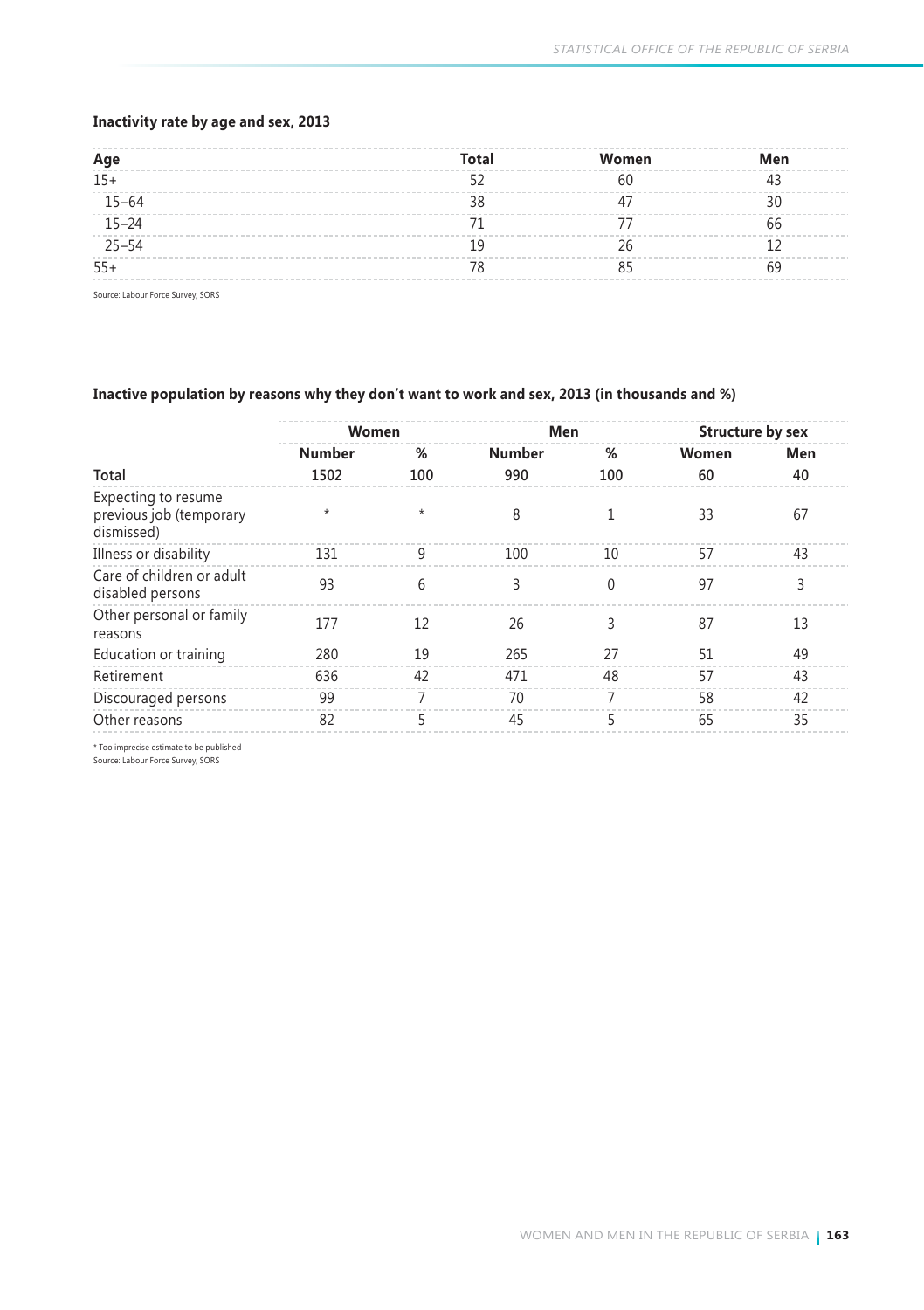#### **Inactivity rate by age and sex, 2013**

| Age       | Total | Women | Men |
|-----------|-------|-------|-----|
| $15+$     |       | 60    |     |
| $15 - 64$ |       |       |     |
| $15 - 24$ |       |       | hh  |
| $25 - 54$ |       |       |     |
| $55+$     |       |       |     |
|           |       |       |     |

Source: Labour Force Survey, SORS

#### **Inactive population by reasons why they don't want to work and sex, 2013 (in thousands and %)**

|                                                              | Women   |                | Men    |          | <b>Structure by sex</b> |     |
|--------------------------------------------------------------|---------|----------------|--------|----------|-------------------------|-----|
|                                                              | Number  | %              | Number | %        | Women                   | Men |
| Total                                                        | 1502    | 100            | 990    | 100      | 60                      | 40  |
| Expecting to resume<br>previous job (temporary<br>dismissed) | $\star$ | $\star$        | 8      |          | 33                      | 67  |
| Illness or disability                                        | 131     | 9              | 100    | 10       | 57                      | 43  |
| Care of children or adult<br>disabled persons                | 93      | 6              | 3      | $\theta$ | 97                      | 3   |
| Other personal or family<br>reasons                          | 177     | 12             | 26     | ξ        | 87                      | 13  |
| Education or training                                        | 280     | 19             | 265    | 27       | 51                      | 49  |
| Retirement                                                   | 636     | 42             | 471    | 48       | 57                      | 43  |
| Discouraged persons                                          | 99      | $\overline{7}$ | 70     | 7        | 58                      | 42  |
| Other reasons                                                | 82      | 5              | 45     | 5        | 65                      | 35  |

\* Too imprecise estimate to be published

Source: Labour Force Survey, SORS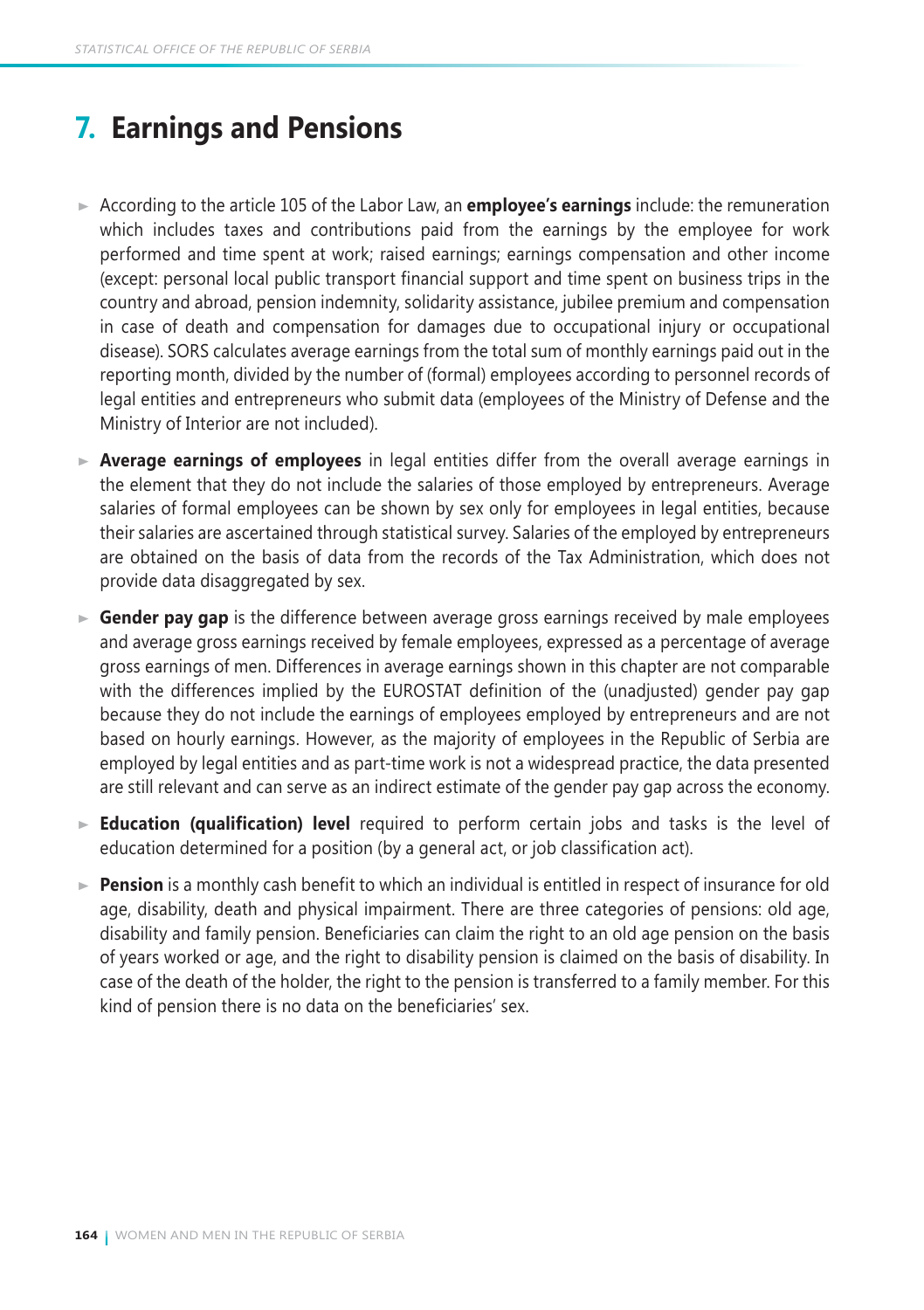# **7. Earnings and Pensions**

- According to the article 105 of the Labor Law, an **employee's earnings** include: the remuneration which includes taxes and contributions paid from the earnings by the employee for work performed and time spent at work; raised earnings; earnings compensation and other income (except: personal local public transport financial support and time spent on business trips in the country and abroad, pension indemnity, solidarity assistance, jubilee premium and compensation in case of death and compensation for damages due to occupational injury or occupational disease). SORS calculates average earnings from the total sum of monthly earnings paid out in the reporting month, divided by the number of (formal) employees according to personnel records of legal entities and entrepreneurs who submit data (employees of the Ministry of Defense and the Ministry of Interior are not included).
- **Average earnings of employees** in legal entities differ from the overall average earnings in the element that they do not include the salaries of those employed by entrepreneurs. Average salaries of formal employees can be shown by sex only for employees in legal entities, because their salaries are ascertained through statistical survey. Salaries of the employed by entrepreneurs are obtained on the basis of data from the records of the Tax Administration, which does not provide data disaggregated by sex.
- **Gender pay gap** is the difference between average gross earnings received by male employees and average gross earnings received by female employees, expressed as a percentage of average gross earnings of men. Differences in average earnings shown in this chapter are not comparable with the differences implied by the EUROSTAT definition of the (unadjusted) gender pay gap because they do not include the earnings of employees employed by entrepreneurs and are not based on hourly earnings. However, as the majority of employees in the Republic of Serbia are employed by legal entities and as part-time work is not a widespread practice, the data presented are still relevant and can serve as an indirect estimate of the gender pay gap across the economy.
- **Education (qualification) level** required to perform certain jobs and tasks is the level of education determined for a position (by a general act, or job classification act).
- ► **Pension** is a monthly cash benefit to which an individual is entitled in respect of insurance for old age, disability, death and physical impairment. There are three categories of pensions: old age, disability and family pension. Beneficiaries can claim the right to an old age pension on the basis of years worked or age, and the right to disability pension is claimed on the basis of disability. In case of the death of the holder, the right to the pension is transferred to a family member. For this kind of pension there is no data on the beneficiaries' sex.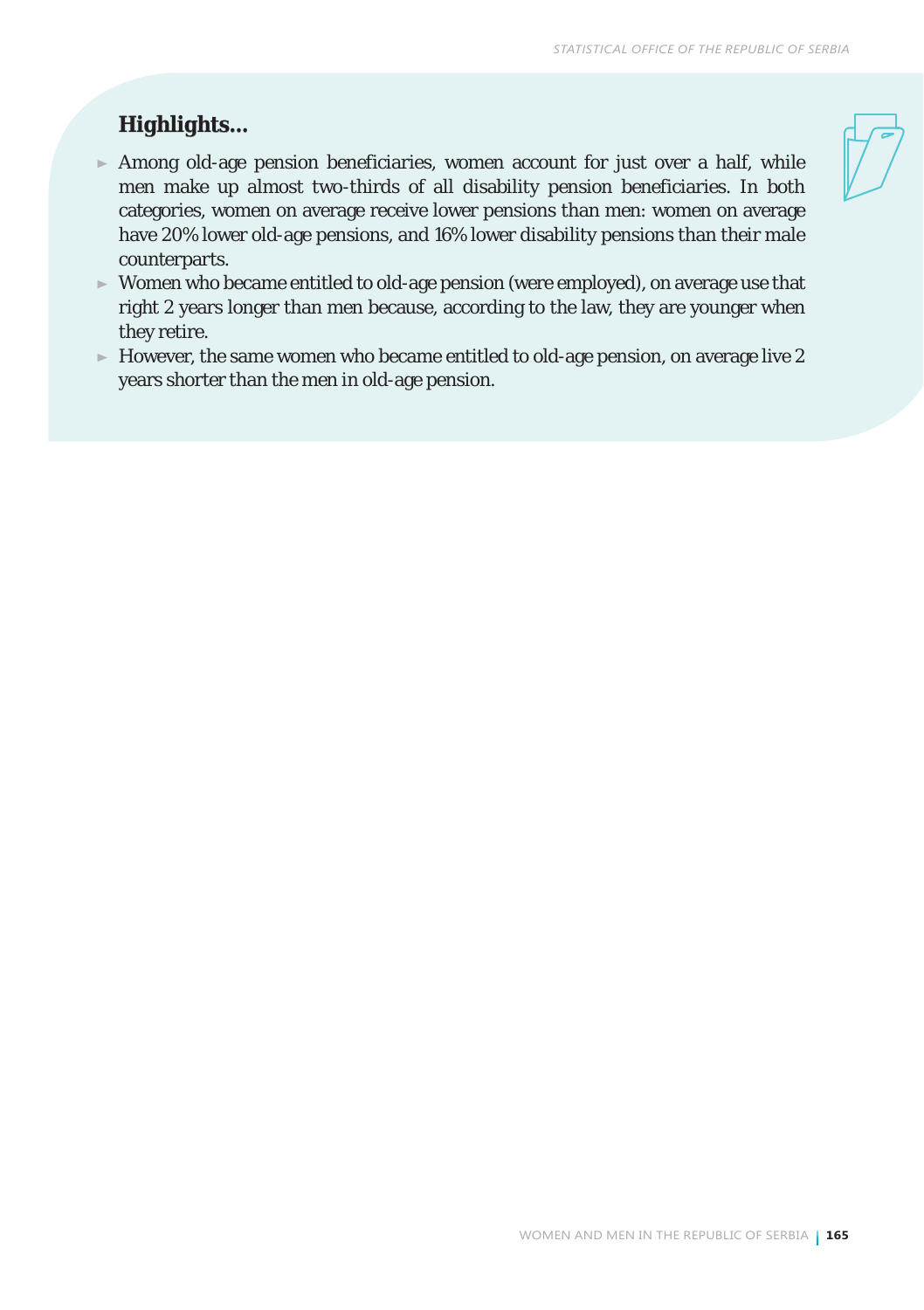## *Highlights...*

- $\blacktriangleright$  Among old-age pension beneficiaries, women account for just over a half, while men make up almost two-thirds of all disability pension beneficiaries. In both categories, women on average receive lower pensions than men: women on average have 20% lower old-age pensions, and 16% lower disability pensions than their male counterparts.
- Women who became entitled to old-age pension (were employed), on average use that right 2 years longer than men because, according to the law, they are younger when they retire.
- $\blacktriangleright$  However, the same women who became entitled to old-age pension, on average live 2 years shorter than the men in old-age pension.

WOMEN AND MEN IN THE REPUBLIC OF SERBIA **165**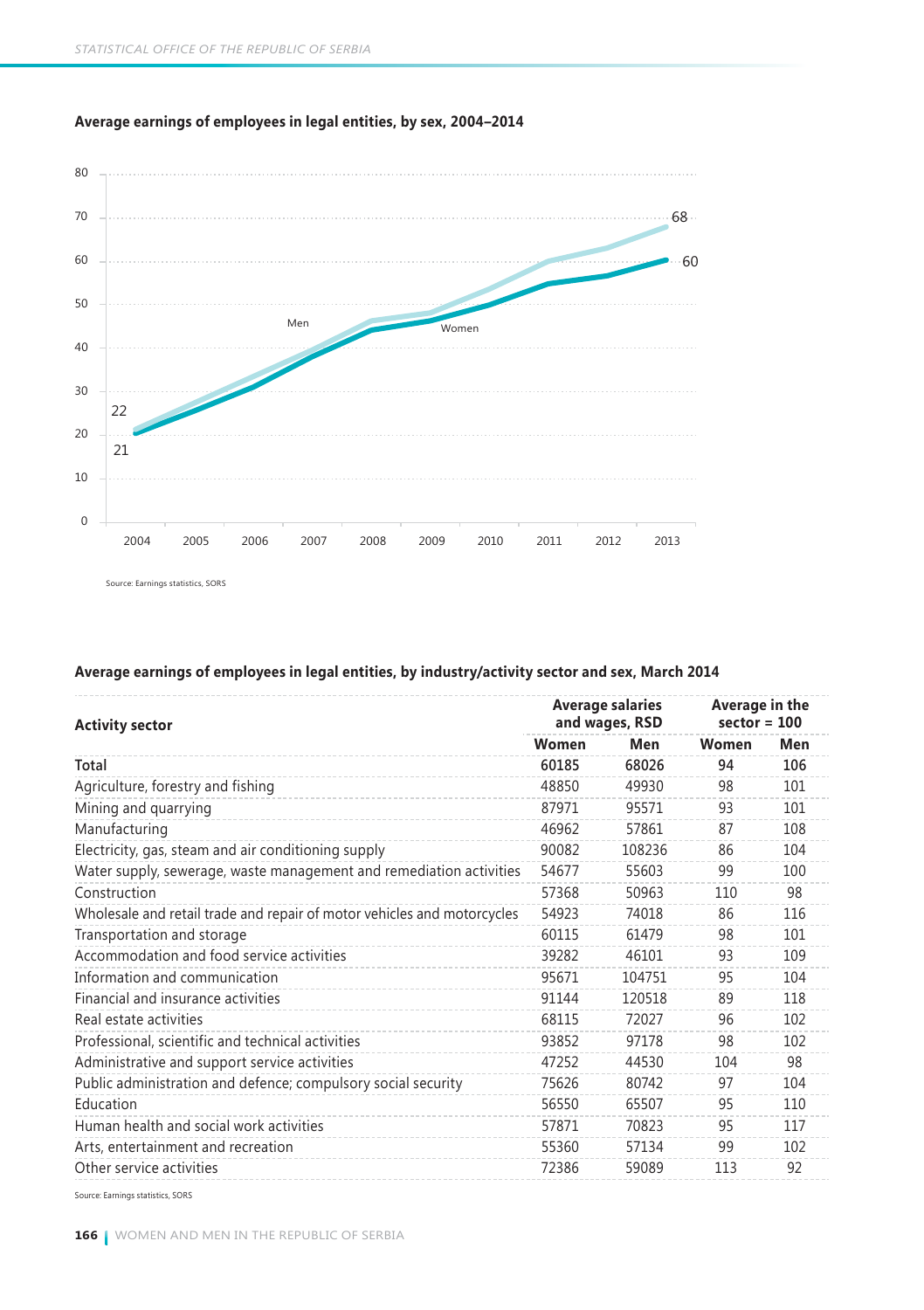

**Average earnings of employees in legal entities, by sex, 2004–2014**

Source: Earnings statistics, SORS

#### **Average earnings of employees in legal entities, by industry/activity sector and sex, March 2014**

| <b>Activity sector</b>                                                  |       | <b>Average salaries</b><br>and wages, RSD | Average in the<br>$sector = 100$ |     |
|-------------------------------------------------------------------------|-------|-------------------------------------------|----------------------------------|-----|
|                                                                         | Women | Men                                       | Women                            | Men |
| Total                                                                   | 60185 | 68026                                     | 94                               | 106 |
| Agriculture, forestry and fishing                                       | 48850 | 49930                                     | 98                               | 101 |
| Mining and quarrying                                                    | 87971 | 95571                                     | 93                               | 101 |
| Manufacturing                                                           | 46962 | 57861                                     | 87                               | 108 |
| Electricity, gas, steam and air conditioning supply                     | 90082 | 108236                                    | 86                               | 104 |
| Water supply, sewerage, waste management and remediation activities     | 54677 | 55603                                     | 99                               | 100 |
| Construction                                                            | 57368 | 50963                                     | 110                              | 98  |
| Wholesale and retail trade and repair of motor vehicles and motorcycles | 54923 | 74018                                     | 86                               | 116 |
| Transportation and storage                                              | 60115 | 61479                                     | 98                               | 101 |
| Accommodation and food service activities                               | 39282 | 46101                                     | 93                               | 109 |
| Information and communication                                           | 95671 | 104751                                    | 95                               | 104 |
| Financial and insurance activities                                      | 91144 | 120518                                    | 89                               | 118 |
| Real estate activities                                                  | 68115 | 72027                                     | 96                               | 102 |
| Professional, scientific and technical activities                       | 93852 | 97178                                     | 98                               | 102 |
| Administrative and support service activities                           | 47252 | 44530                                     | 104                              | 98  |
| Public administration and defence; compulsory social security           | 75626 | 80742                                     | 97                               | 104 |
| Education                                                               | 56550 | 65507                                     | 95                               | 110 |
| Human health and social work activities                                 | 57871 | 70823                                     | 95                               | 117 |
| Arts, entertainment and recreation                                      | 55360 | 57134                                     | 99                               | 102 |
| Other service activities                                                | 72386 | 59089                                     | 113                              | 92  |

Source: Earnings statistics, SORS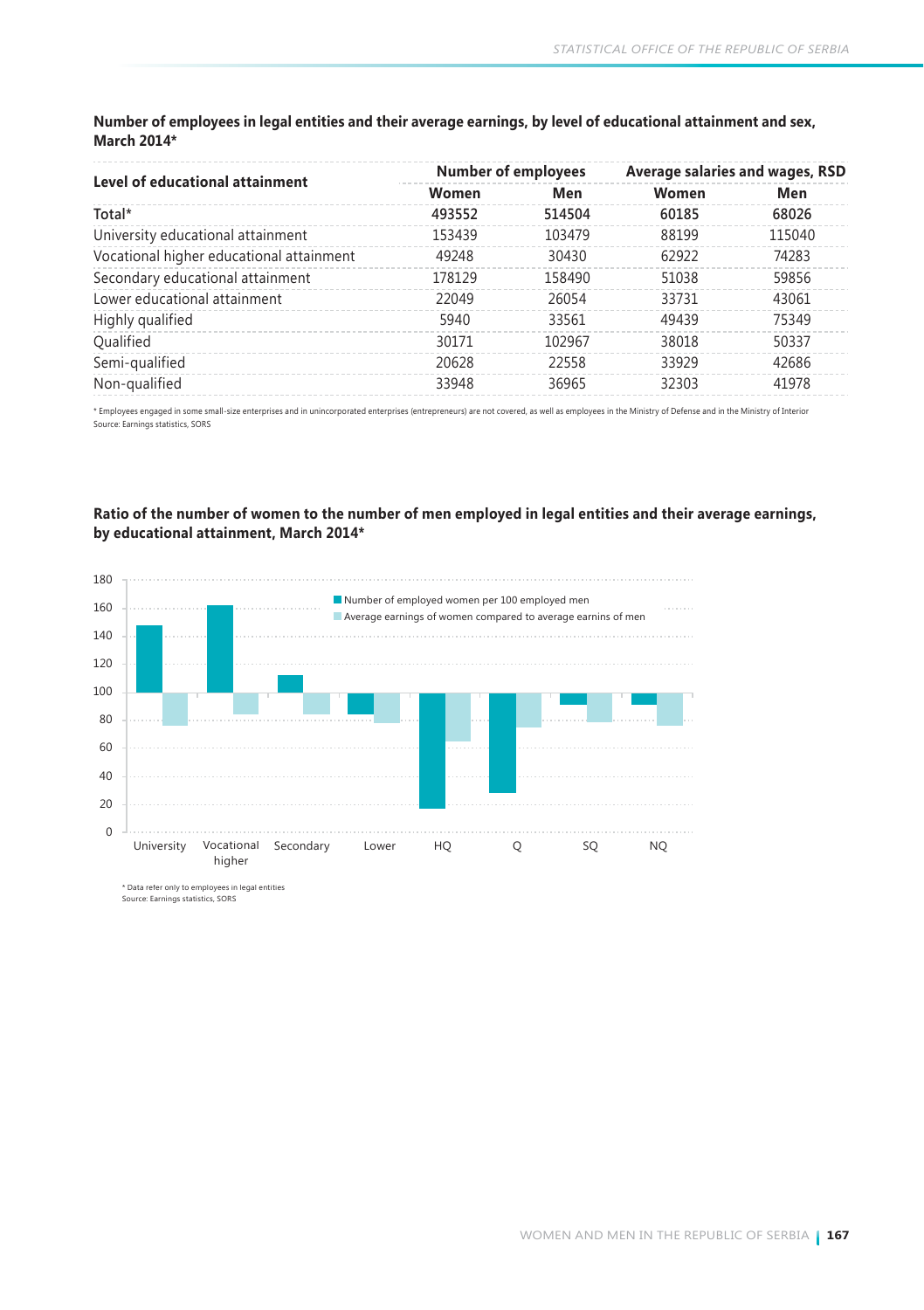#### **Number of employees in legal entities and their average earnings, by level of educational attainment and sex, March 2014\***

|                                          |        | <b>Number of employees</b> | Average salaries and wages, RSD |        |
|------------------------------------------|--------|----------------------------|---------------------------------|--------|
| Level of educational attainment          | Women  | Men                        | Women                           | Men    |
| Total*                                   | 493552 | 514504                     | 60185                           | 68026  |
| University educational attainment        | 153439 | 103479                     | 88199                           | 115040 |
| Vocational higher educational attainment | 49248  | 30430                      | 62922                           | 74283  |
| Secondary educational attainment         | 178129 | 158490                     | 51038                           | 59856  |
| Lower educational attainment             | 22049  | 26054                      | 33731                           | 43061  |
| Highly qualified                         | 5940   | 33561                      | 49439                           | 75349  |
| Qualified                                | 30171  | 102967                     | 38018                           | 50337  |
| Semi-qualified                           | 20628  | 22558                      | 33929                           | 42686  |
| Non-qualified                            | 33948  | 36965                      | 32303                           | 41978  |

\* Employees engaged in some small-size enterprises and in unincorporated enterprises (entrepreneurs) are not covered, as well as employees in the Ministry of Defense and in the Ministry of Interior Source: Earnings statistics, SORS

#### **Ratio оf the number of women to the number of men employed in legal entities and their average earnings, by educational attainment, March 2014\***



\* Data refer only to employees in legal entities<br>Source: Earnings statistics, SORS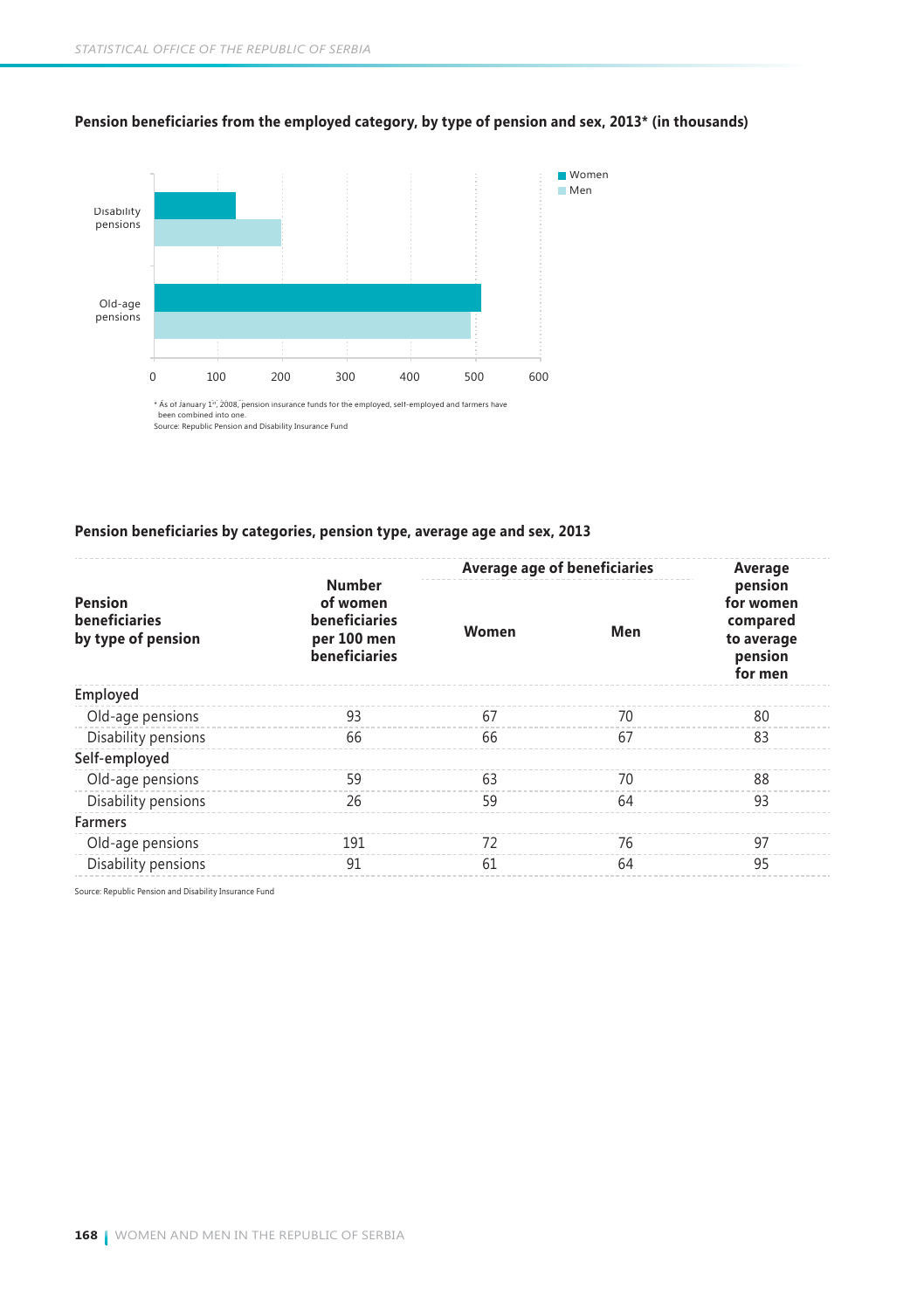

#### **Pension beneficiaries from the employed category, by type of pension and sex, 2013\* (in thousands)**

\* As of January 1º, 2008, pension insurance funds for the employed, self-employed and farmers have<br>been combined into one.<br>Source: Republic Pension and Disability Insurance Fund

#### **Pension beneficiaries by categories, pension type, average age and sex, 2013**

|                                                |                                                                            | Average age of beneficiaries |     | Average                                                              |
|------------------------------------------------|----------------------------------------------------------------------------|------------------------------|-----|----------------------------------------------------------------------|
| Pension<br>beneficiaries<br>by type of pension | <b>Number</b><br>of women<br>beneficiaries<br>per 100 men<br>beneficiaries | Women                        | Men | pension<br>for women<br>compared<br>to average<br>pension<br>for men |
| Employed                                       |                                                                            |                              |     |                                                                      |
| Old-age pensions                               | 93                                                                         | 67                           | 70  | 80                                                                   |
| Disability pensions                            | 66                                                                         | 66                           | 67  | 83                                                                   |
| Self-employed                                  |                                                                            |                              |     |                                                                      |
| Old-age pensions                               | 59                                                                         | 63                           | 70  | 88                                                                   |
| Disability pensions                            | 26                                                                         | 59                           | 64  | 93                                                                   |
| <b>Farmers</b>                                 |                                                                            |                              |     |                                                                      |
| Old-age pensions                               | 191                                                                        | 72                           | 76  | 97                                                                   |
| Disability pensions                            | 91                                                                         | 61                           | 64  | 95                                                                   |

Source: Republic Pension and Disability Insurance Fund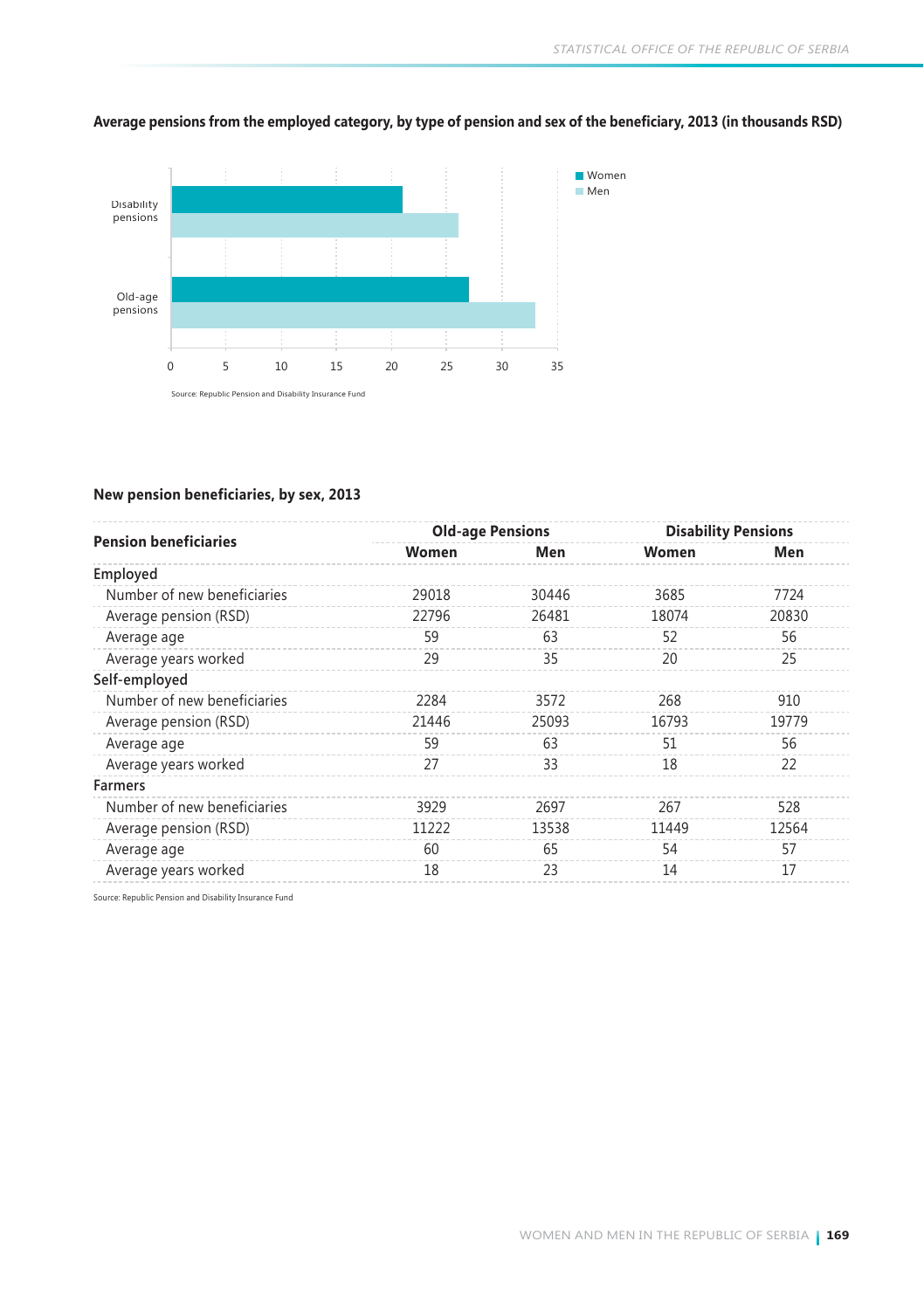

#### **Average pensions from the employed category, by type of pension and sex of the beneficiary, 2013 (in thousands RSD)**

#### **New pension beneficiaries, by sex, 2013**

|                              |       | <b>Old-age Pensions</b> |       | <b>Disability Pensions</b> |
|------------------------------|-------|-------------------------|-------|----------------------------|
| <b>Pension beneficiaries</b> | Women | Men                     | Women | Men                        |
| Employed                     |       |                         |       |                            |
| Number of new beneficiaries  | 29018 | 30446                   | 3685  | 7724                       |
| Average pension (RSD)        | 22796 | 26481                   | 18074 | 20830                      |
| Average age                  | 59    | 63                      | 52    | 56                         |
| Average years worked         | 29    | 35                      | 20    | 25                         |
| Self-employed                |       |                         |       |                            |
| Number of new beneficiaries  | 2284  | 3572                    | 268   | 910                        |
| Average pension (RSD)        | 21446 | 25093                   | 16793 | 19779                      |
| Average age                  | 59    | 63                      | 51    | 56                         |
| Average years worked         | 27    | 33                      | 18    | 22                         |
| <b>Farmers</b>               |       |                         |       |                            |
| Number of new beneficiaries  | 3929  | 2697                    | 267   | 528                        |
| Average pension (RSD)        | 11222 | 13538                   | 11449 | 12564                      |
| Average age                  | 60    | 65                      | 54    | 57                         |
| Average years worked         | 18    | 23                      | 14    | 17                         |
|                              |       |                         |       |                            |

Source: Republic Pension and Disability Insurance Fund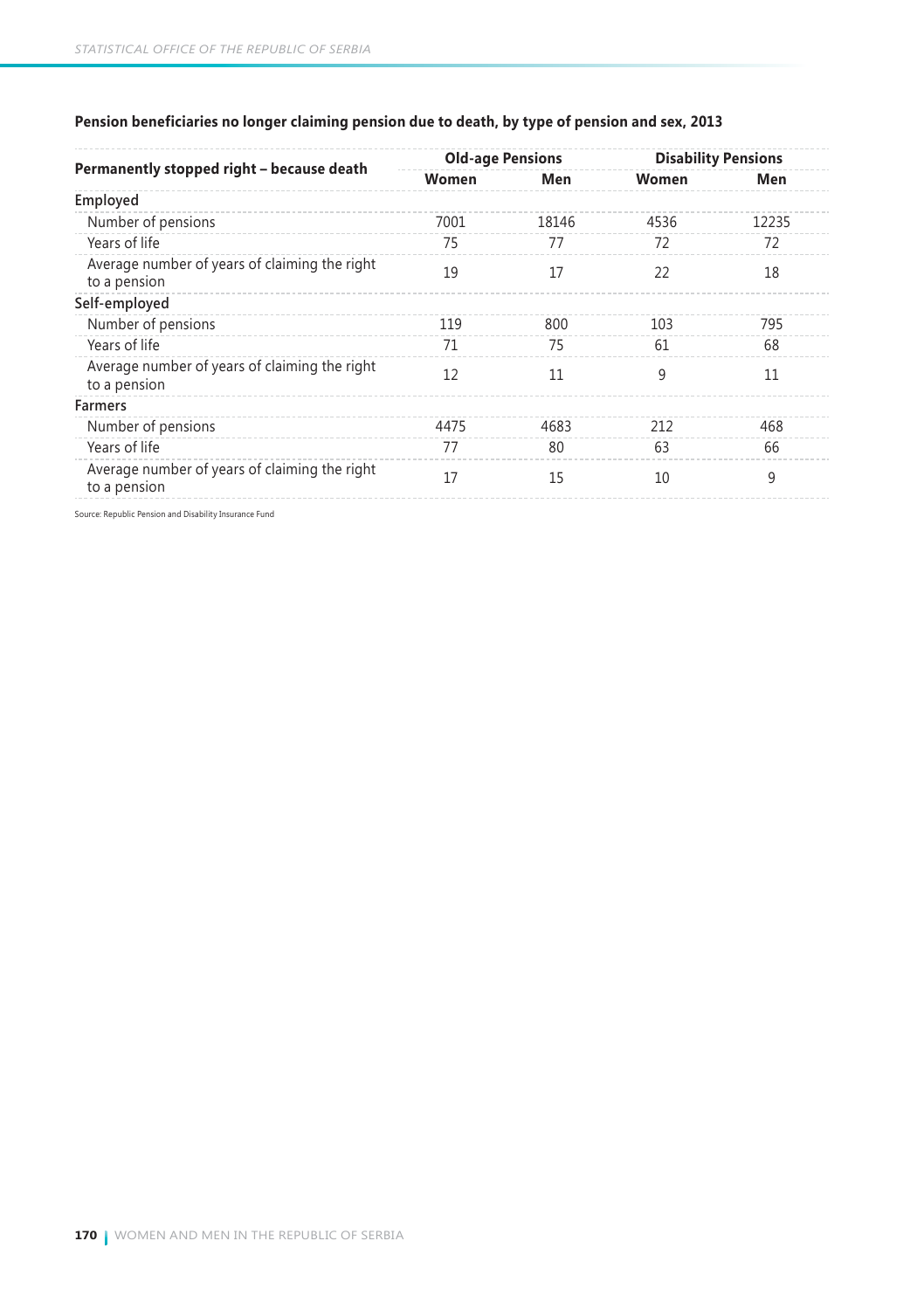|                                                               | <b>Old-age Pensions</b> |       | <b>Disability Pensions</b> |       |
|---------------------------------------------------------------|-------------------------|-------|----------------------------|-------|
| Permanently stopped right - because death                     | Women                   | Men   | Women                      | Men   |
| Employed                                                      |                         |       |                            |       |
| Number of pensions                                            | 7001                    | 18146 | 4536                       | 12235 |
| Years of life                                                 | 75                      | 77    | 72                         | 72    |
| Average number of years of claiming the right<br>to a pension | 19                      | 17    | 22                         | 18    |
| Self-employed                                                 |                         |       |                            |       |
| Number of pensions                                            | 119                     | 800   | 103                        | 795   |
| Years of life                                                 | 71                      | 75    | 61                         | 68    |
| Average number of years of claiming the right<br>to a pension | 12                      | 11    | 9                          | 11    |
| <b>Farmers</b>                                                |                         |       |                            |       |
| Number of pensions                                            | 4475                    | 4683  | 212                        | 468   |
| Years of life                                                 | 77                      | 80    | 63                         | 66    |
| Average number of years of claiming the right<br>to a pension | 17                      | 15    | 10                         | 9     |

### **Pension beneficiaries no longer claiming pension due to death, by type of pension and sex, 2013**

Source: Republic Pension and Disability Insurance Fund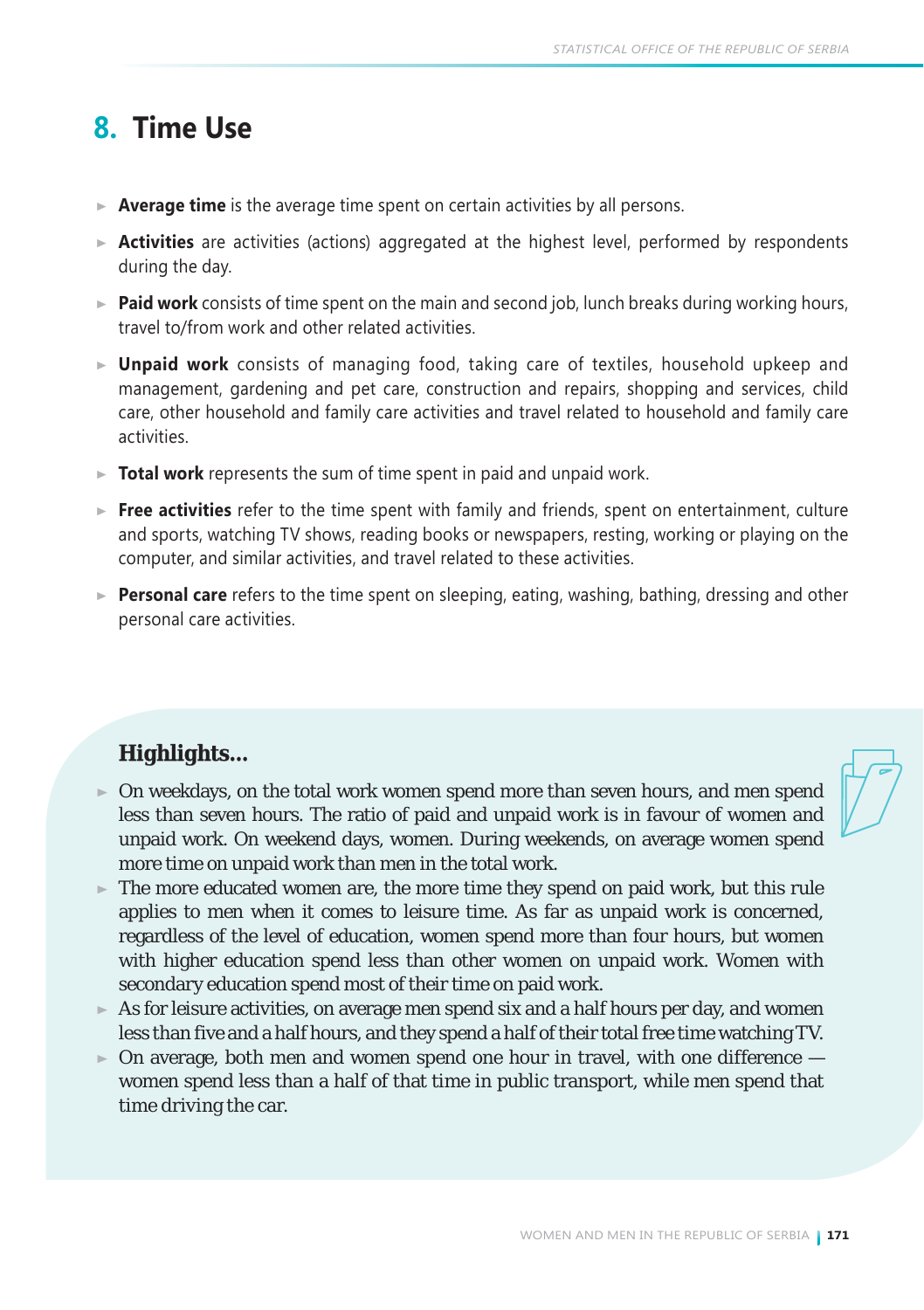## **8. Time Use**

- **Average time** is the average time spent on certain activities by all persons.
- **Activities** are activities (actions) aggregated at the highest level, performed by respondents during the day.
- **Paid work** consists of time spent on the main and second job, lunch breaks during working hours, travel to/from work and other related activities.
- **Unpaid work** consists of managing food, taking care of textiles, household upkeep and management, gardening and pet care, construction and repairs, shopping and services, child care, other household and family care activities and travel related to household and family care activities.
- **Total work** represents the sum of time spent in paid and unpaid work.
- **Free activities** refer to the time spent with family and friends, spent on entertainment, culture and sports, watching TV shows, reading books or newspapers, resting, working or playing on the computer, and similar activities, and travel related to these activities.
- **Personal care** refers to the time spent on sleeping, eating, washing, bathing, dressing and other personal care activities.

### *Highlights...*

- On weekdays, on the total work women spend more than seven hours, and men spend less than seven hours. The ratio of paid and unpaid work is in favour of women and unpaid work. On weekend days, women. During weekends, on average women spend more time on unpaid work than men in the total work.
- The more educated women are, the more time they spend on paid work, but this rule applies to men when it comes to leisure time. As far as unpaid work is concerned, regardless of the level of education, women spend more than four hours, but women with higher education spend less than other women on unpaid work. Women with secondary education spend most of their time on paid work.
- As for leisure activities, on average men spend six and a half hours per day, and women less than five and a half hours, and they spend a half of their total free time watching TV.
- $\triangleright$  On average, both men and women spend one hour in travel, with one difference  $$ women spend less than a half of that time in public transport, while men spend that time driving the car.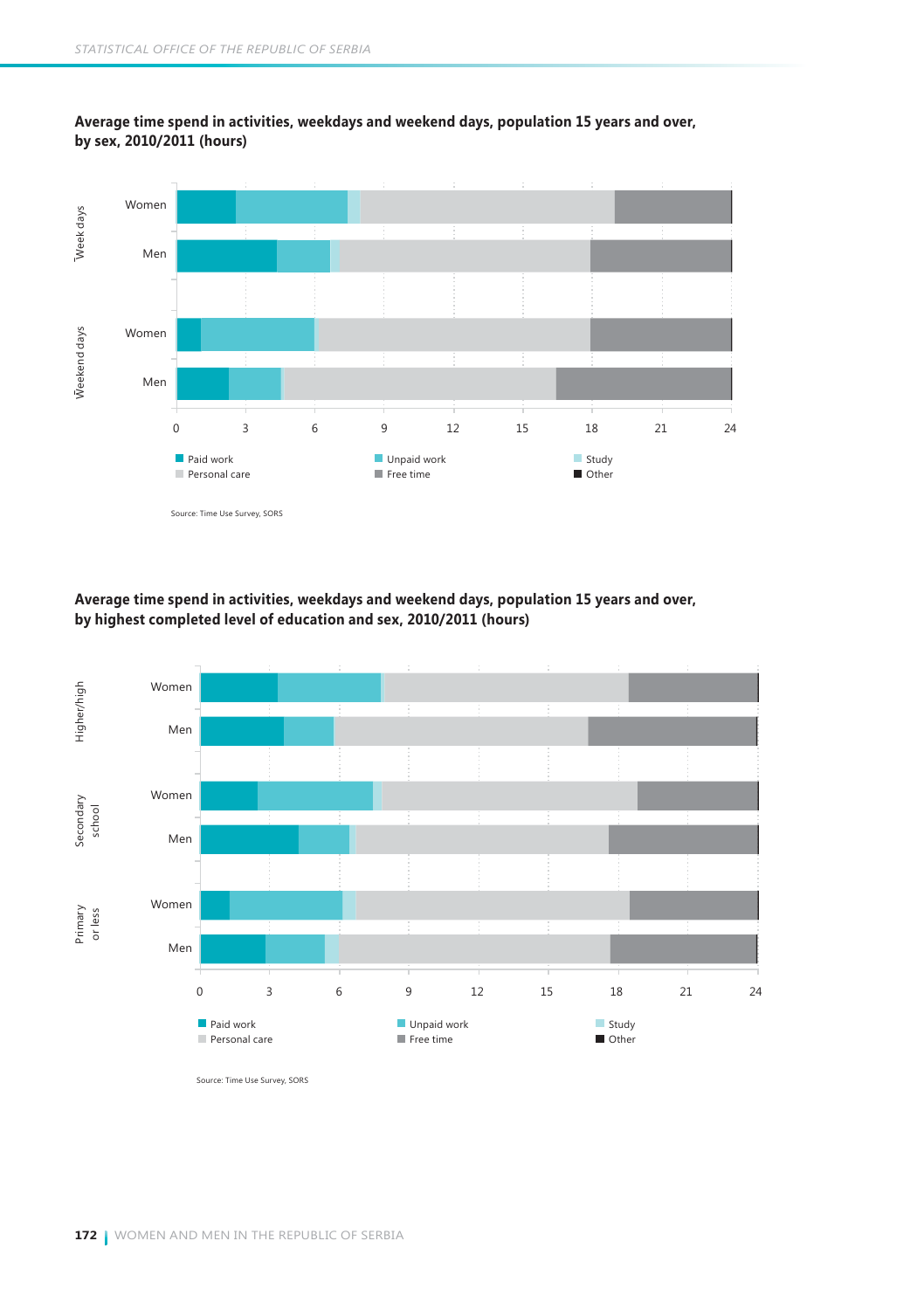

#### **Average time spend in activities, weekdays and weekend days, population 15 years and over, by sex, 2010/2011 (hours)**

#### **Average time spend in activities, weekdays and weekend days, population 15 years and over, by highest completed level of education and sex, 2010/2011 (hours)**



Source: Time Use Survey, SORS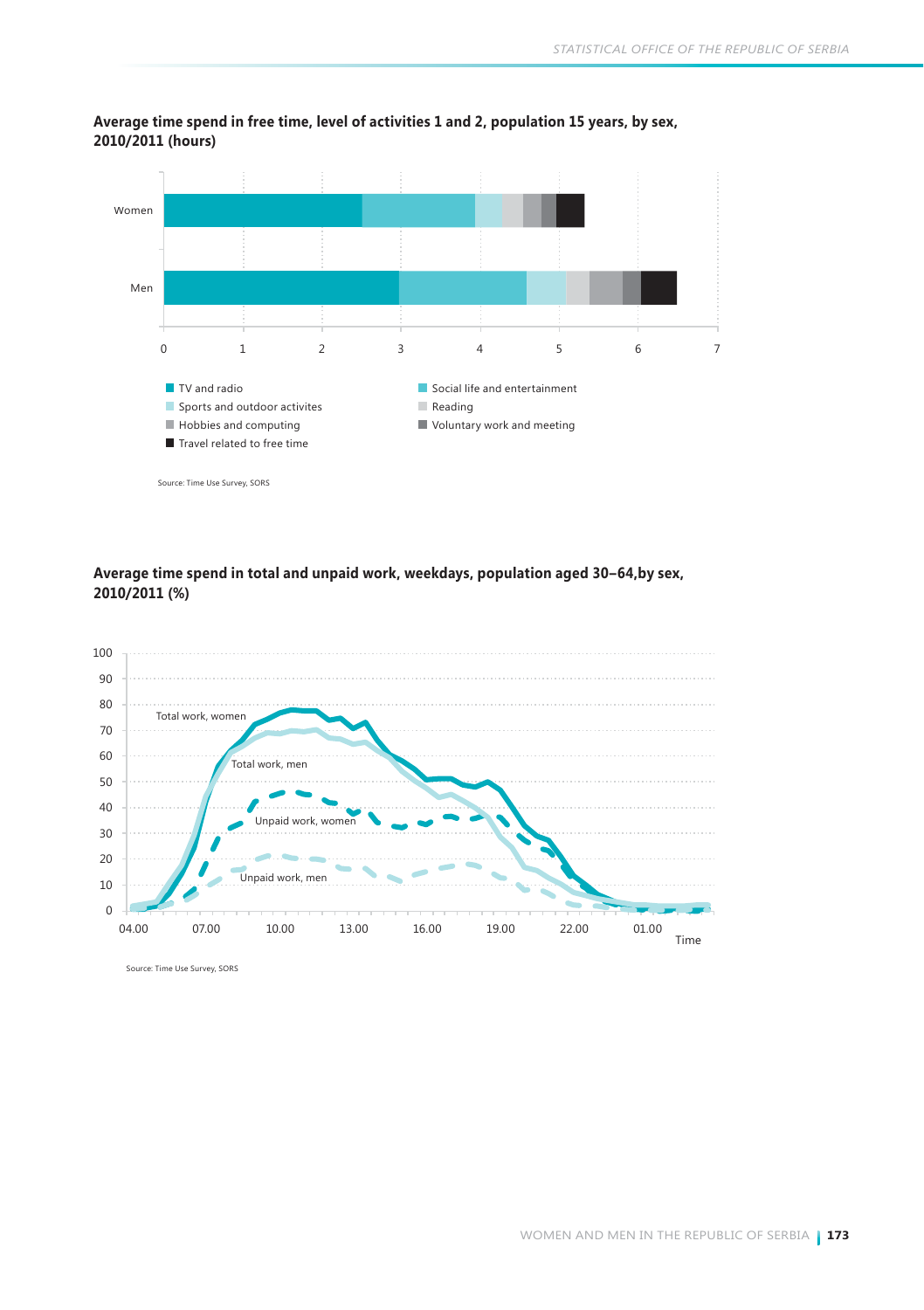



#### **Average time spend in total and unpaid work, weekdays, population aged 30–64,by sex, 2010/2011 (%)**



Source: Time Use Survey, SORS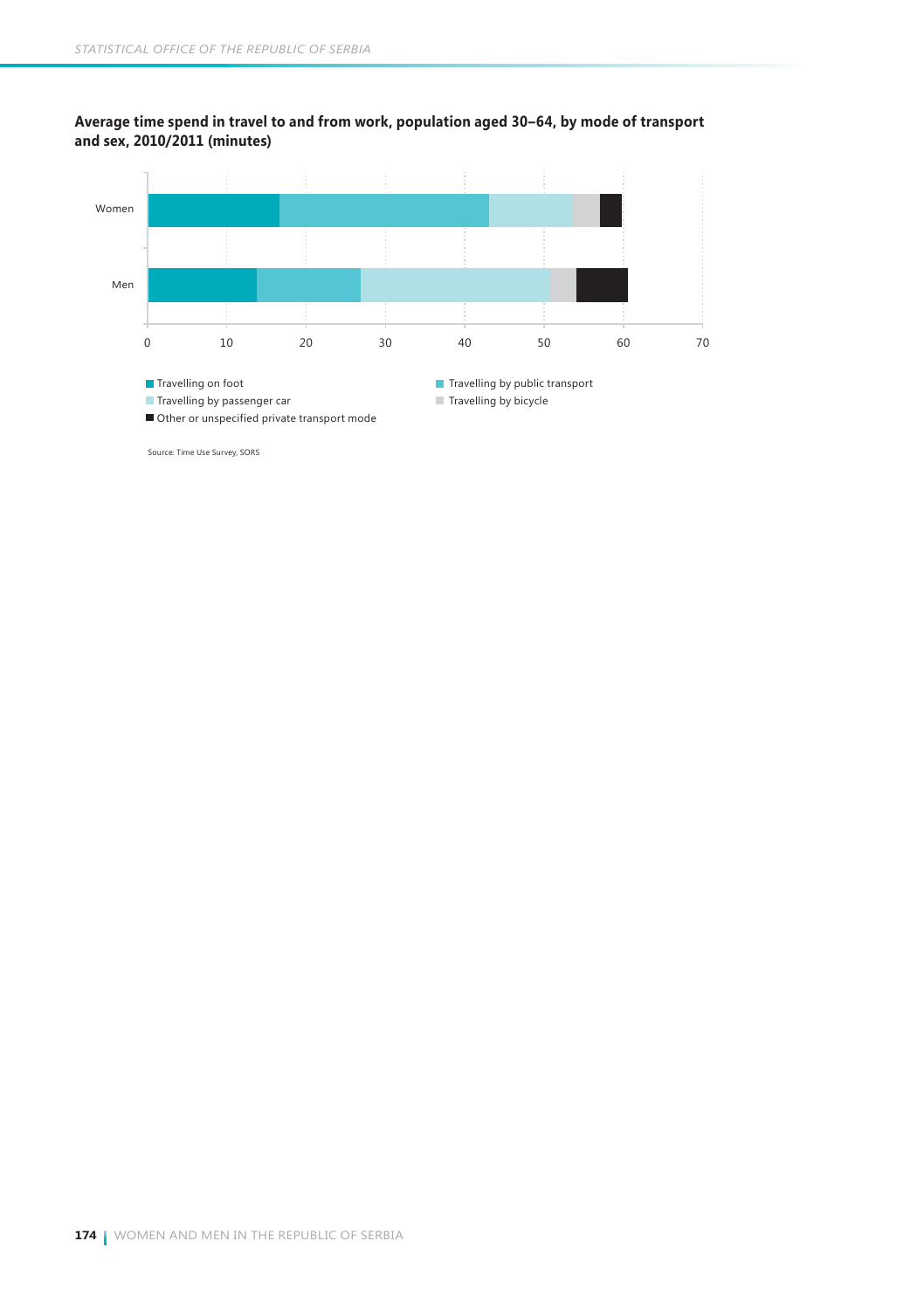#### **Average time spend in travel to and from work, population aged 30–64, by mode of transport and sex, 2010/2011 (minutes)**



Source: Time Use Survey, SORS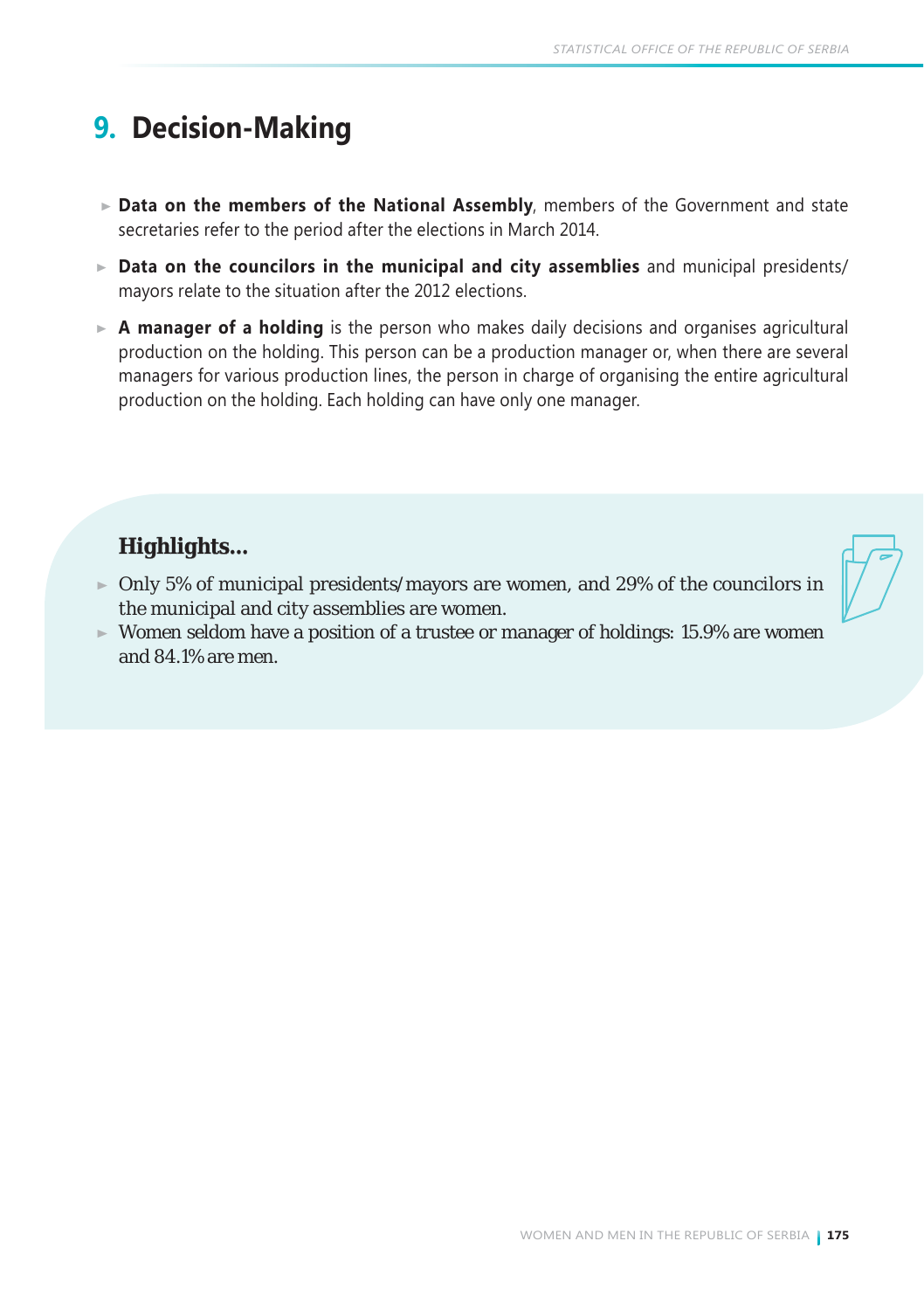# **9. Decision-Making**

- **Data on the members of the National Assembly**, members of the Government and state secretaries refer to the period after the elections in March 2014.
- **Data on the councilors in the municipal and city assemblies** and municipal presidents/ mayors relate to the situation after the 2012 elections.
- **A manager of a holding** is the person who makes daily decisions and organises agricultural production on the holding. This person can be a production manager or, when there are several managers for various production lines, the person in charge of organising the entire agricultural production on the holding. Each holding can have only one manager.

## *Highlights...*

- $\triangleright$  Only 5% of municipal presidents/mayors are women, and 29% of the councilors in the municipal and city assemblies are women.
- $\blacktriangleright$  Women seldom have a position of a trustee or manager of holdings: 15.9% are women and 84.1% are men.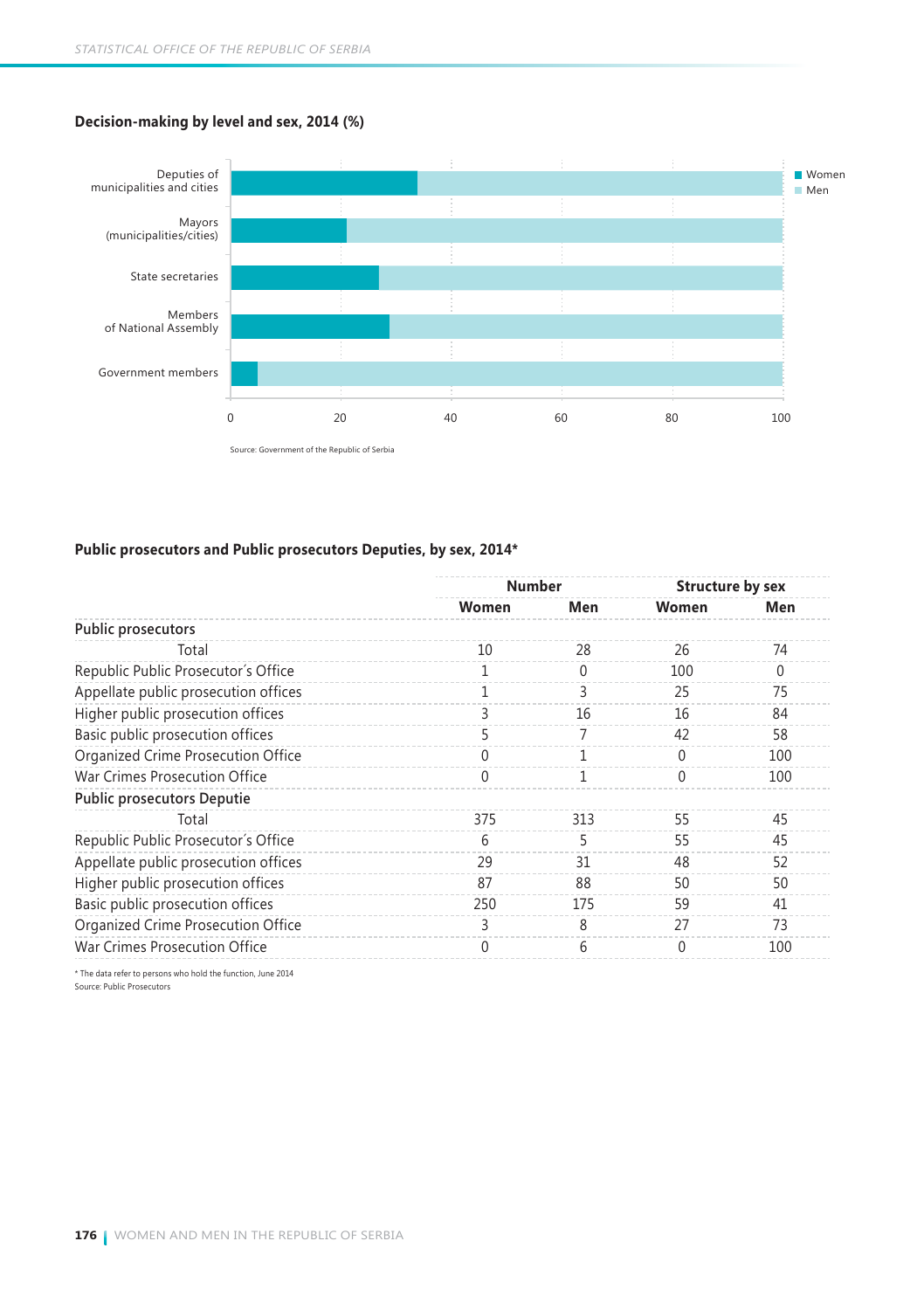#### **Decision-making by level and sex, 2014 (%)**



#### **Public prosecutors and Public prosecutors Deputies, by sex, 2014\***

|                                      |       | <b>Number</b> |          | <b>Structure by sex</b> |
|--------------------------------------|-------|---------------|----------|-------------------------|
|                                      | Women | Men           | Women    | Men                     |
| Public prosecutors                   |       |               |          |                         |
| Total                                | 10    | 28            | 26       | 74                      |
| Republic Public Prosecutor's Office  | 1     | $\theta$      | 100      | $\Omega$                |
| Appellate public prosecution offices | 1     | 3             | 25       | 75                      |
| Higher public prosecution offices    | 3     | 16            | 16       | 84                      |
| Basic public prosecution offices     | 5     | 7             | 42       | 58                      |
| Organized Crime Prosecution Office   | 0     | 1             | $\Omega$ | 100                     |
| War Crimes Prosecution Office        | 0     | 1             | $\Omega$ | 100                     |
| <b>Public prosecutors Deputie</b>    |       |               |          |                         |
| Total                                | 375   | 313           | 55       | 45                      |
| Republic Public Prosecutor's Office  | 6     | 5             | 55       | 45                      |
| Appellate public prosecution offices | 29    | 31            | 48       | 52                      |
| Higher public prosecution offices    | 87    | 88            | 50       | 50                      |
| Basic public prosecution offices     | 250   | 175           | 59       | 41                      |
| Organized Crime Prosecution Office   | 3     | 8             | 27       | 73                      |
| War Crimes Prosecution Office        | 0     | 6             | 0        | 100                     |

Source: Public Prosecutors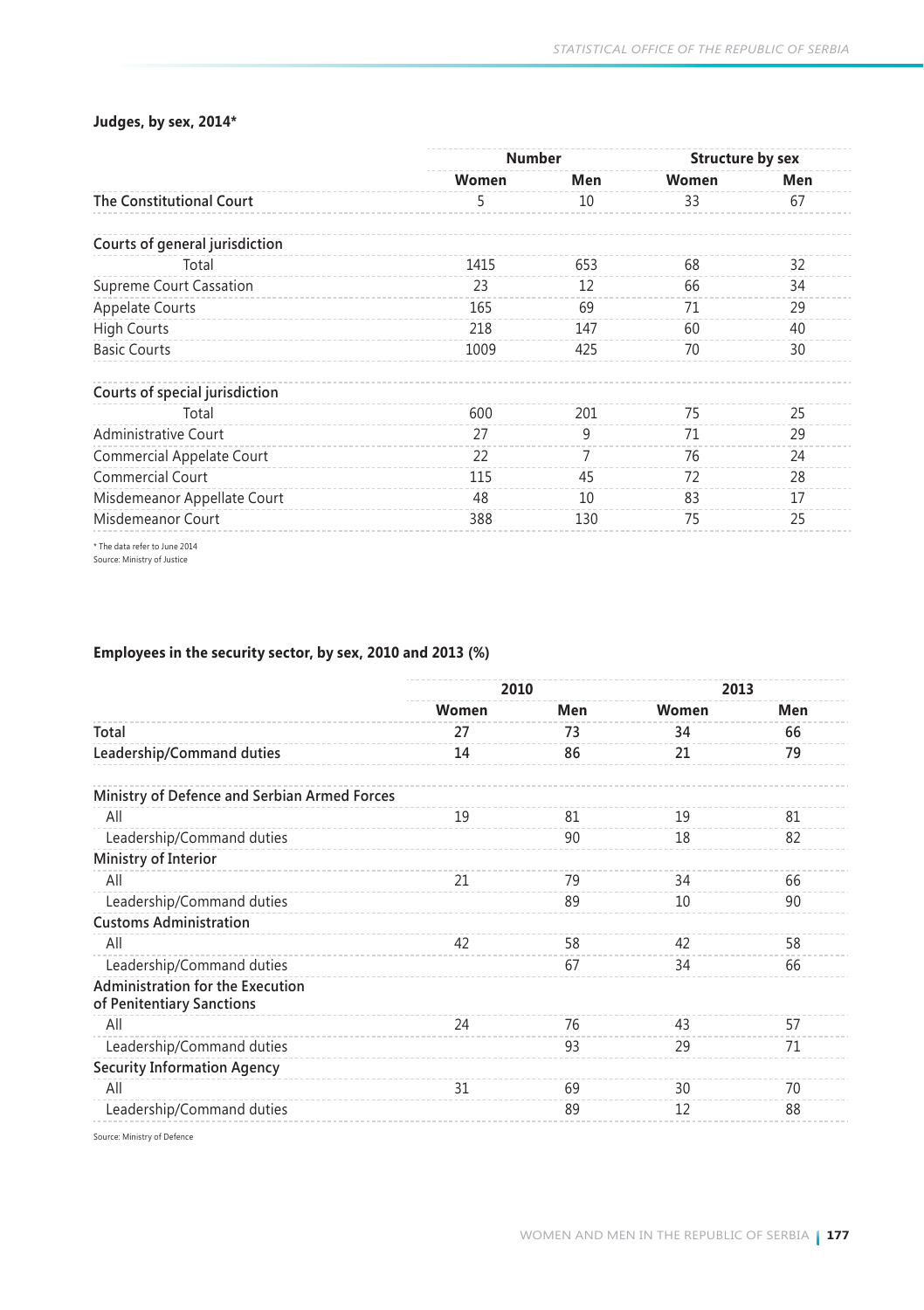#### **Judges, by sex, 2014\***

|                                 | <b>Number</b> |     | <b>Structure by sex</b> |     |
|---------------------------------|---------------|-----|-------------------------|-----|
|                                 | Women         | Men | Women                   | Men |
| <b>The Constitutional Court</b> | 5             | 10  | 33                      | 67  |
| Courts of general jurisdiction  |               |     |                         |     |
| Total                           | 1415          | 653 | 68                      | 32  |
| Supreme Court Cassation         | 23            | 12  | 66                      | 34  |
| <b>Appelate Courts</b>          | 165           | 69  | 71                      | 29  |
| <b>High Courts</b>              | 218           | 147 | 60                      | 40  |
| <b>Basic Courts</b>             | 1009          | 425 | 70                      | 30  |
| Courts of special jurisdiction  |               |     |                         |     |
| Total                           | 600           | 201 | 75                      | 25  |
| <b>Administrative Court</b>     | 27            | 9   | 71                      | 29  |
| Commercial Appelate Court       | 22            | 7   | 76                      | 24  |
| <b>Commercial Court</b>         | 115           | 45  | 72                      | 28  |
| Misdemeanor Appellate Court     | 48            | 10  | 83                      | 17  |
| Misdemeanor Court               | 388           | 130 | 75                      | 25  |

\* The data refer to June 2014 Source: Ministry of Justice

#### **Employees in the security sector, by sex, 2010 and 2013 (%)**

|                                                                      | 2010  |     | 2013  |     |
|----------------------------------------------------------------------|-------|-----|-------|-----|
|                                                                      | Women | Men | Women | Men |
| Total                                                                | 27    | 73  | 34    | 66  |
| Leadership/Command duties                                            | 14    | 86  | 21    | 79  |
| Ministry of Defence and Serbian Armed Forces                         |       |     |       |     |
| All                                                                  | 19    | 81  | 19    | 81  |
| Leadership/Command duties                                            |       | 90  | 18    | 82  |
| Ministry of Interior                                                 |       |     |       |     |
| All                                                                  | 21    | 79  | 34    | 66  |
| Leadership/Command duties                                            |       | 89  | 10    | 90  |
| <b>Customs Administration</b>                                        |       |     |       |     |
| All                                                                  | 42    | 58  | 42    | 58  |
| Leadership/Command duties                                            |       | 67  | 34    | 66  |
| <b>Administration for the Execution</b><br>of Penitentiary Sanctions |       |     |       |     |
| All                                                                  | 24    | 76  | 43    | 57  |
| Leadership/Command duties                                            |       | 93  | 29    | 71  |
| <b>Security Information Agency</b>                                   |       |     |       |     |
| All                                                                  | 31    | 69  | 30    | 70  |
| Leadership/Command duties                                            |       | 89  | 12    | 88  |

Source: Ministry of Defence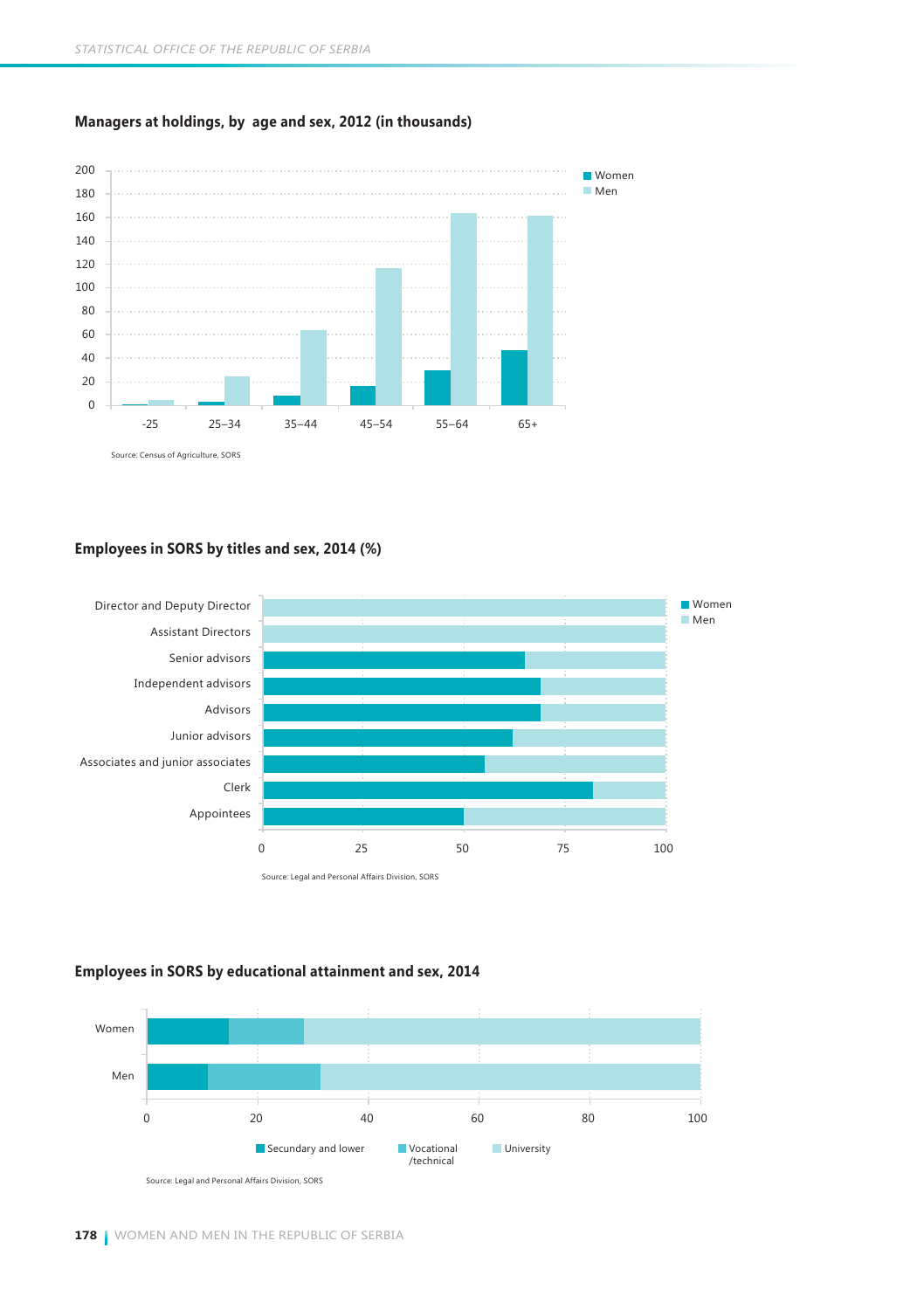

#### **Managers at holdings, by age and sex, 2012 (in thousands)**

#### **Employees in SORS by titles and sex, 2014 (%)**



#### **Employees in SORS by educational attainment and sex, 2014**